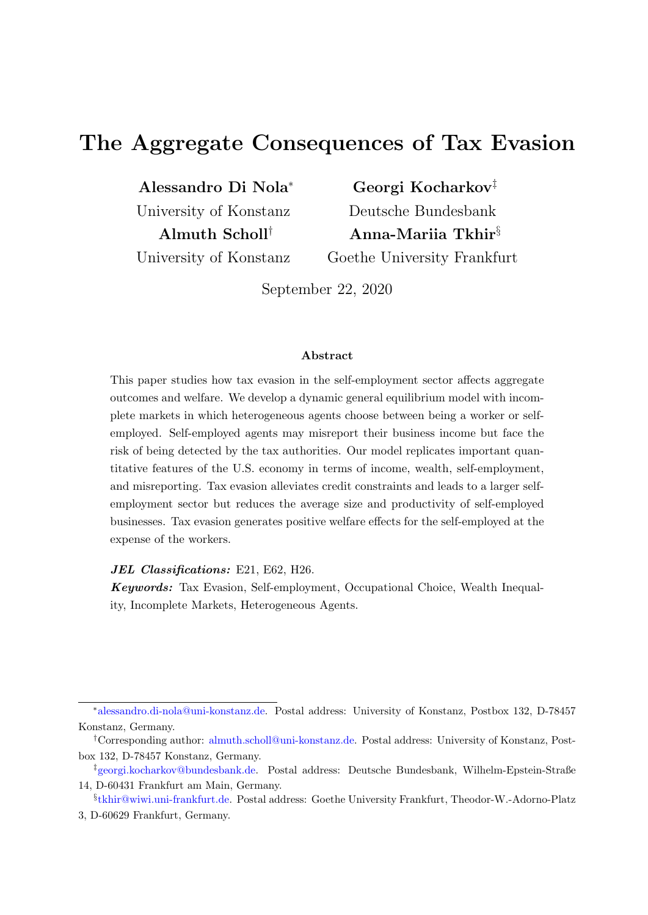# The Aggregate Consequences of Tax Evasion

Alessandro Di Nola<sup>∗</sup>

University of Konstanz Almuth Scholl†

University of Konstanz

Georgi Kocharkov‡ Deutsche Bundesbank Anna-Mariia Tkhir§ Goethe University Frankfurt

September 22, 2020

#### Abstract

This paper studies how tax evasion in the self-employment sector affects aggregate outcomes and welfare. We develop a dynamic general equilibrium model with incomplete markets in which heterogeneous agents choose between being a worker or selfemployed. Self-employed agents may misreport their business income but face the risk of being detected by the tax authorities. Our model replicates important quantitative features of the U.S. economy in terms of income, wealth, self-employment, and misreporting. Tax evasion alleviates credit constraints and leads to a larger selfemployment sector but reduces the average size and productivity of self-employed businesses. Tax evasion generates positive welfare effects for the self-employed at the expense of the workers.

#### JEL Classifications: E21, E62, H26.

Keywords: Tax Evasion, Self-employment, Occupational Choice, Wealth Inequality, Incomplete Markets, Heterogeneous Agents.

<sup>∗</sup>[alessandro.di-nola@uni-konstanz.de.](mailto:alessandro.di-nola@uni-konstanz.de) Postal address: University of Konstanz, Postbox 132, D-78457 Konstanz, Germany.

<sup>†</sup>Corresponding author: [almuth.scholl@uni-konstanz.de.](mailto:almuth.scholl@uni-konstanz.de) Postal address: University of Konstanz, Postbox 132, D-78457 Konstanz, Germany.

<sup>‡</sup>[georgi.kocharkov@bundesbank.de.](mailto:georgi.kocharkov@bundesbank.de) Postal address: Deutsche Bundesbank, Wilhelm-Epstein-Straße 14, D-60431 Frankfurt am Main, Germany.

<sup>§</sup> [tkhir@wiwi.uni-frankfurt.de.](mailto:tkhir@wiwi.uni-frankfurt.de) Postal address: Goethe University Frankfurt, Theodor-W.-Adorno-Platz 3, D-60629 Frankfurt, Germany.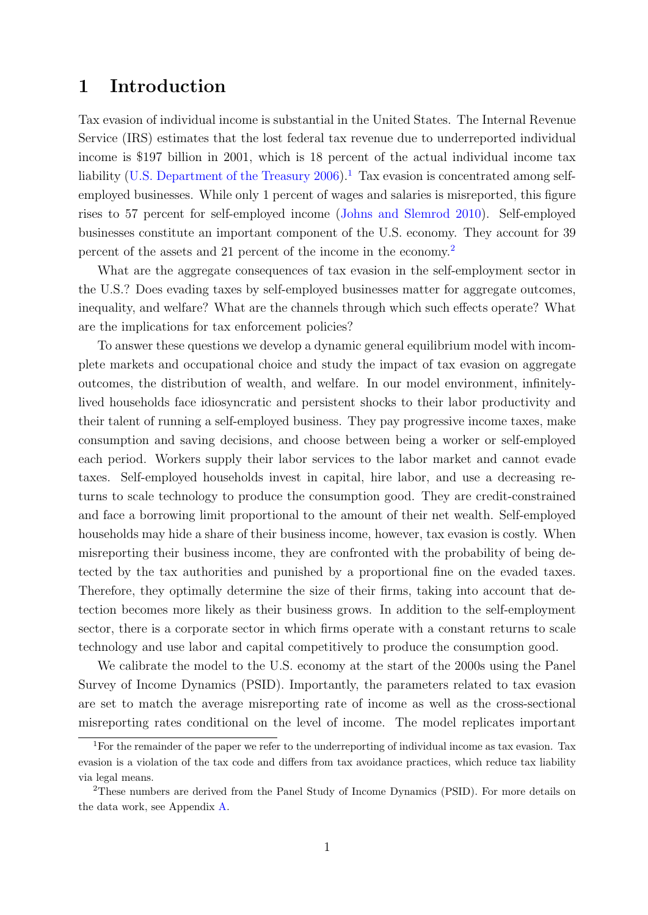### <span id="page-1-0"></span>1 Introduction

Tax evasion of individual income is substantial in the United States. The Internal Revenue Service (IRS) estimates that the lost federal tax revenue due to underreported individual income is \$197 billion in 2001, which is 18 percent of the actual individual income tax liability [\(U.S. Department of the Treasury](#page-48-0) [2006\)](#page-48-0).<sup>1</sup> Tax evasion is concentrated among selfemployed businesses. While only 1 percent of wages and salaries is misreported, this figure rises to 57 percent for self-employed income [\(Johns and Slemrod](#page-47-0) [2010\)](#page-47-0). Self-employed businesses constitute an important component of the U.S. economy. They account for 39 percent of the assets and 21 percent of the income in the economy.<sup>2</sup>

What are the aggregate consequences of tax evasion in the self-employment sector in the U.S.? Does evading taxes by self-employed businesses matter for aggregate outcomes, inequality, and welfare? What are the channels through which such effects operate? What are the implications for tax enforcement policies?

To answer these questions we develop a dynamic general equilibrium model with incomplete markets and occupational choice and study the impact of tax evasion on aggregate outcomes, the distribution of wealth, and welfare. In our model environment, infinitelylived households face idiosyncratic and persistent shocks to their labor productivity and their talent of running a self-employed business. They pay progressive income taxes, make consumption and saving decisions, and choose between being a worker or self-employed each period. Workers supply their labor services to the labor market and cannot evade taxes. Self-employed households invest in capital, hire labor, and use a decreasing returns to scale technology to produce the consumption good. They are credit-constrained and face a borrowing limit proportional to the amount of their net wealth. Self-employed households may hide a share of their business income, however, tax evasion is costly. When misreporting their business income, they are confronted with the probability of being detected by the tax authorities and punished by a proportional fine on the evaded taxes. Therefore, they optimally determine the size of their firms, taking into account that detection becomes more likely as their business grows. In addition to the self-employment sector, there is a corporate sector in which firms operate with a constant returns to scale technology and use labor and capital competitively to produce the consumption good.

We calibrate the model to the U.S. economy at the start of the 2000s using the Panel Survey of Income Dynamics (PSID). Importantly, the parameters related to tax evasion are set to match the average misreporting rate of income as well as the cross-sectional misreporting rates conditional on the level of income. The model replicates important

<sup>&</sup>lt;sup>1</sup>For the remainder of the paper we refer to the underreporting of individual income as tax evasion. Tax evasion is a violation of the tax code and differs from tax avoidance practices, which reduce tax liability via legal means.

<sup>2</sup>These numbers are derived from the Panel Study of Income Dynamics (PSID). For more details on the data work, see Appendix [A.](#page-50-0)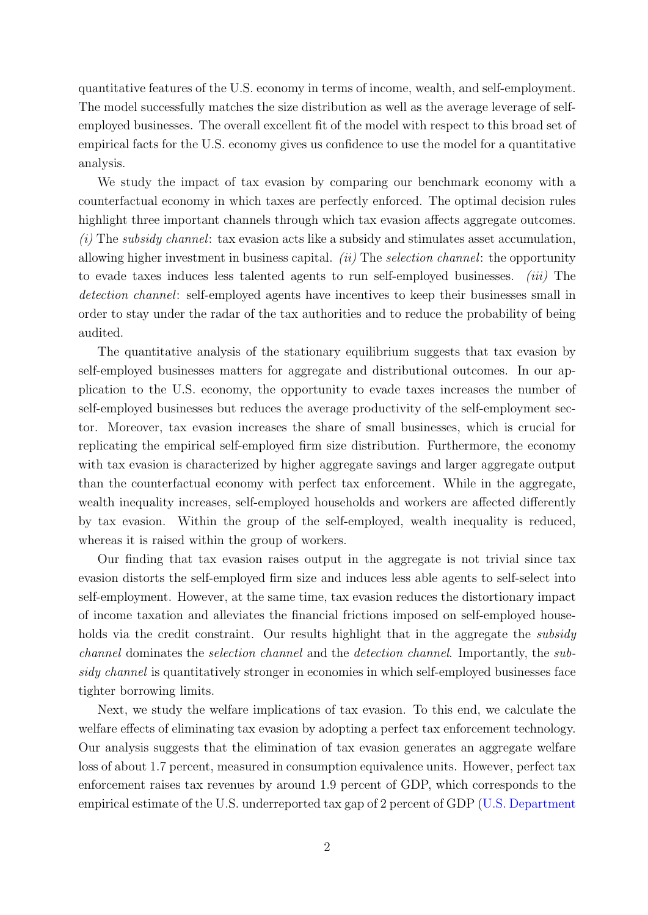quantitative features of the U.S. economy in terms of income, wealth, and self-employment. The model successfully matches the size distribution as well as the average leverage of selfemployed businesses. The overall excellent fit of the model with respect to this broad set of empirical facts for the U.S. economy gives us confidence to use the model for a quantitative analysis.

We study the impact of tax evasion by comparing our benchmark economy with a counterfactual economy in which taxes are perfectly enforced. The optimal decision rules highlight three important channels through which tax evasion affects aggregate outcomes.  $(i)$  The *subsidy channel*: tax evasion acts like a subsidy and stimulates asset accumulation, allowing higher investment in business capital. *(ii)* The *selection channel*: the opportunity to evade taxes induces less talented agents to run self-employed businesses.  $(iii)$  The detection channel: self-employed agents have incentives to keep their businesses small in order to stay under the radar of the tax authorities and to reduce the probability of being audited.

The quantitative analysis of the stationary equilibrium suggests that tax evasion by self-employed businesses matters for aggregate and distributional outcomes. In our application to the U.S. economy, the opportunity to evade taxes increases the number of self-employed businesses but reduces the average productivity of the self-employment sector. Moreover, tax evasion increases the share of small businesses, which is crucial for replicating the empirical self-employed firm size distribution. Furthermore, the economy with tax evasion is characterized by higher aggregate savings and larger aggregate output than the counterfactual economy with perfect tax enforcement. While in the aggregate, wealth inequality increases, self-employed households and workers are affected differently by tax evasion. Within the group of the self-employed, wealth inequality is reduced, whereas it is raised within the group of workers.

Our finding that tax evasion raises output in the aggregate is not trivial since tax evasion distorts the self-employed firm size and induces less able agents to self-select into self-employment. However, at the same time, tax evasion reduces the distortionary impact of income taxation and alleviates the financial frictions imposed on self-employed households via the credit constraint. Our results highlight that in the aggregate the *subsidy* channel dominates the selection channel and the detection channel. Importantly, the subsidy channel is quantitatively stronger in economies in which self-employed businesses face tighter borrowing limits.

Next, we study the welfare implications of tax evasion. To this end, we calculate the welfare effects of eliminating tax evasion by adopting a perfect tax enforcement technology. Our analysis suggests that the elimination of tax evasion generates an aggregate welfare loss of about 1.7 percent, measured in consumption equivalence units. However, perfect tax enforcement raises tax revenues by around 1.9 percent of GDP, which corresponds to the empirical estimate of the U.S. underreported tax gap of 2 percent of GDP [\(U.S. Department](#page-48-0)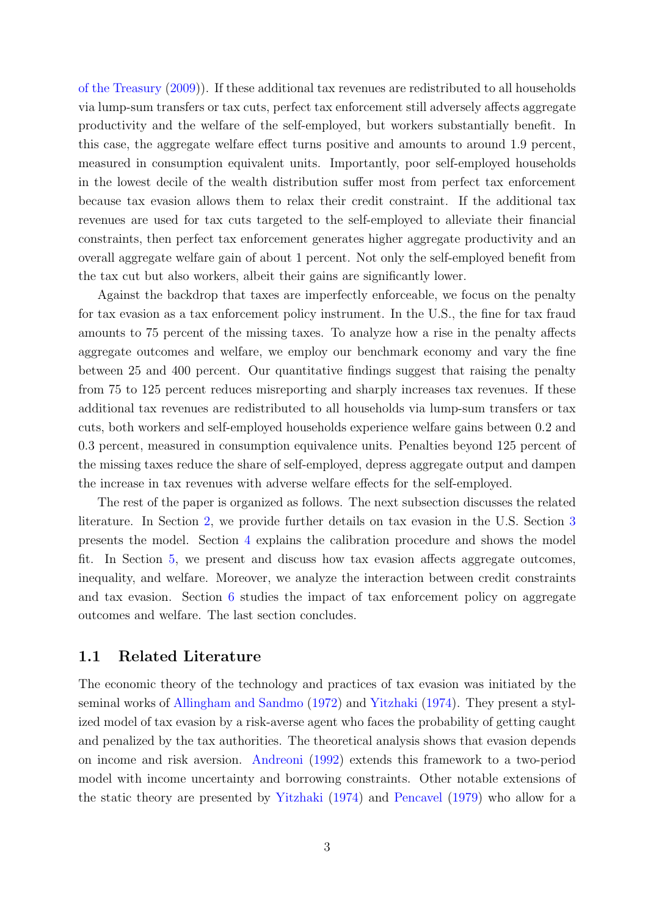<span id="page-3-0"></span>[of the Treasury](#page-48-0) [\(2009\)](#page-48-0)). If these additional tax revenues are redistributed to all households via lump-sum transfers or tax cuts, perfect tax enforcement still adversely affects aggregate productivity and the welfare of the self-employed, but workers substantially benefit. In this case, the aggregate welfare effect turns positive and amounts to around 1.9 percent, measured in consumption equivalent units. Importantly, poor self-employed households in the lowest decile of the wealth distribution suffer most from perfect tax enforcement because tax evasion allows them to relax their credit constraint. If the additional tax revenues are used for tax cuts targeted to the self-employed to alleviate their financial constraints, then perfect tax enforcement generates higher aggregate productivity and an overall aggregate welfare gain of about 1 percent. Not only the self-employed benefit from the tax cut but also workers, albeit their gains are significantly lower.

Against the backdrop that taxes are imperfectly enforceable, we focus on the penalty for tax evasion as a tax enforcement policy instrument. In the U.S., the fine for tax fraud amounts to 75 percent of the missing taxes. To analyze how a rise in the penalty affects aggregate outcomes and welfare, we employ our benchmark economy and vary the fine between 25 and 400 percent. Our quantitative findings suggest that raising the penalty from 75 to 125 percent reduces misreporting and sharply increases tax revenues. If these additional tax revenues are redistributed to all households via lump-sum transfers or tax cuts, both workers and self-employed households experience welfare gains between 0.2 and 0.3 percent, measured in consumption equivalence units. Penalties beyond 125 percent of the missing taxes reduce the share of self-employed, depress aggregate output and dampen the increase in tax revenues with adverse welfare effects for the self-employed.

The rest of the paper is organized as follows. The next subsection discusses the related literature. In Section [2,](#page-5-0) we provide further details on tax evasion in the U.S. Section [3](#page-6-0) presents the model. Section [4](#page-13-0) explains the calibration procedure and shows the model fit. In Section [5,](#page-20-0) we present and discuss how tax evasion affects aggregate outcomes, inequality, and welfare. Moreover, we analyze the interaction between credit constraints and tax evasion. Section [6](#page-38-0) studies the impact of tax enforcement policy on aggregate outcomes and welfare. The last section concludes.

#### 1.1 Related Literature

The economic theory of the technology and practices of tax evasion was initiated by the seminal works of [Allingham and Sandmo](#page-45-0) [\(1972\)](#page-45-0) and [Yitzhaki](#page-49-0) [\(1974\)](#page-49-0). They present a stylized model of tax evasion by a risk-averse agent who faces the probability of getting caught and penalized by the tax authorities. The theoretical analysis shows that evasion depends on income and risk aversion. [Andreoni](#page-45-0) [\(1992\)](#page-45-0) extends this framework to a two-period model with income uncertainty and borrowing constraints. Other notable extensions of the static theory are presented by [Yitzhaki](#page-49-0) [\(1974\)](#page-49-0) and [Pencavel](#page-48-0) [\(1979\)](#page-48-0) who allow for a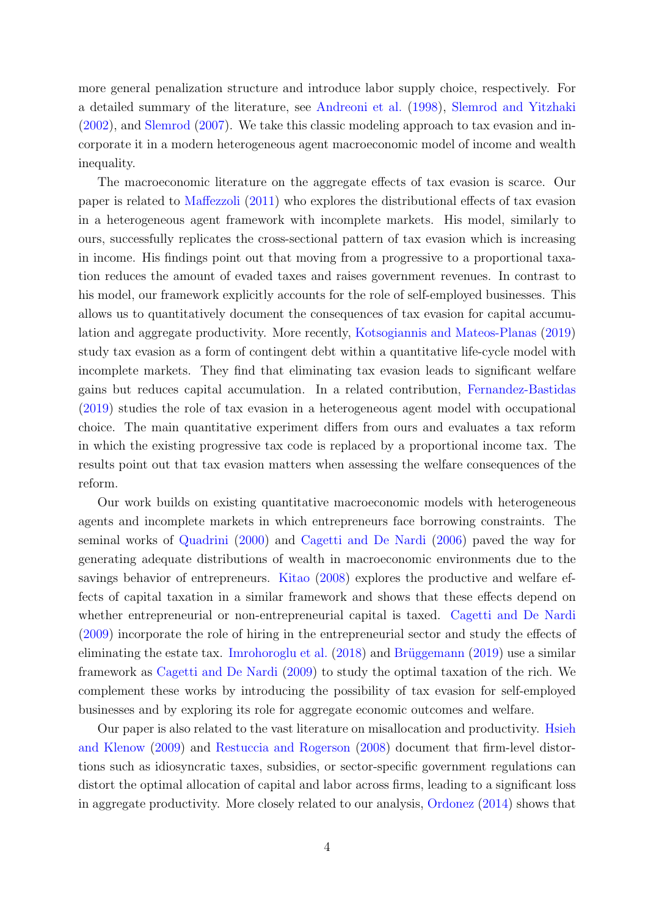more general penalization structure and introduce labor supply choice, respectively. For a detailed summary of the literature, see [Andreoni et al.](#page-45-0) [\(1998\)](#page-45-0), [Slemrod and Yitzhaki](#page-48-0) [\(2002\)](#page-48-0), and [Slemrod](#page-48-0) [\(2007\)](#page-48-0). We take this classic modeling approach to tax evasion and incorporate it in a modern heterogeneous agent macroeconomic model of income and wealth inequality.

The macroeconomic literature on the aggregate effects of tax evasion is scarce. Our paper is related to [Maffezzoli](#page-48-0) [\(2011\)](#page-48-0) who explores the distributional effects of tax evasion in a heterogeneous agent framework with incomplete markets. His model, similarly to ours, successfully replicates the cross-sectional pattern of tax evasion which is increasing in income. His findings point out that moving from a progressive to a proportional taxation reduces the amount of evaded taxes and raises government revenues. In contrast to his model, our framework explicitly accounts for the role of self-employed businesses. This allows us to quantitatively document the consequences of tax evasion for capital accumulation and aggregate productivity. More recently, [Kotsogiannis and Mateos-Planas](#page-47-0) [\(2019\)](#page-47-0) study tax evasion as a form of contingent debt within a quantitative life-cycle model with incomplete markets. They find that eliminating tax evasion leads to significant welfare gains but reduces capital accumulation. In a related contribution, [Fernandez-Bastidas](#page-46-0) [\(2019\)](#page-46-0) studies the role of tax evasion in a heterogeneous agent model with occupational choice. The main quantitative experiment differs from ours and evaluates a tax reform in which the existing progressive tax code is replaced by a proportional income tax. The results point out that tax evasion matters when assessing the welfare consequences of the reform.

Our work builds on existing quantitative macroeconomic models with heterogeneous agents and incomplete markets in which entrepreneurs face borrowing constraints. The seminal works of [Quadrini](#page-48-0) [\(2000\)](#page-48-0) and [Cagetti and De Nardi](#page-45-0) [\(2006\)](#page-45-0) paved the way for generating adequate distributions of wealth in macroeconomic environments due to the savings behavior of entrepreneurs. [Kitao](#page-47-0) [\(2008\)](#page-47-0) explores the productive and welfare effects of capital taxation in a similar framework and shows that these effects depend on whether entrepreneurial or non-entrepreneurial capital is taxed. [Cagetti and De Nardi](#page-45-0) [\(2009\)](#page-45-0) incorporate the role of hiring in the entrepreneurial sector and study the effects of eliminating the estate tax. [Imrohoroglu et al.](#page-47-0)  $(2018)$  and Brüggemann  $(2019)$  use a similar framework as [Cagetti and De Nardi](#page-45-0) [\(2009\)](#page-45-0) to study the optimal taxation of the rich. We complement these works by introducing the possibility of tax evasion for self-employed businesses and by exploring its role for aggregate economic outcomes and welfare.

Our paper is also related to the vast literature on misallocation and productivity. [Hsieh](#page-47-0) [and Klenow](#page-47-0) [\(2009\)](#page-47-0) and [Restuccia and Rogerson](#page-48-0) [\(2008\)](#page-48-0) document that firm-level distortions such as idiosyncratic taxes, subsidies, or sector-specific government regulations can distort the optimal allocation of capital and labor across firms, leading to a significant loss in aggregate productivity. More closely related to our analysis, [Ordonez](#page-48-0) [\(2014\)](#page-48-0) shows that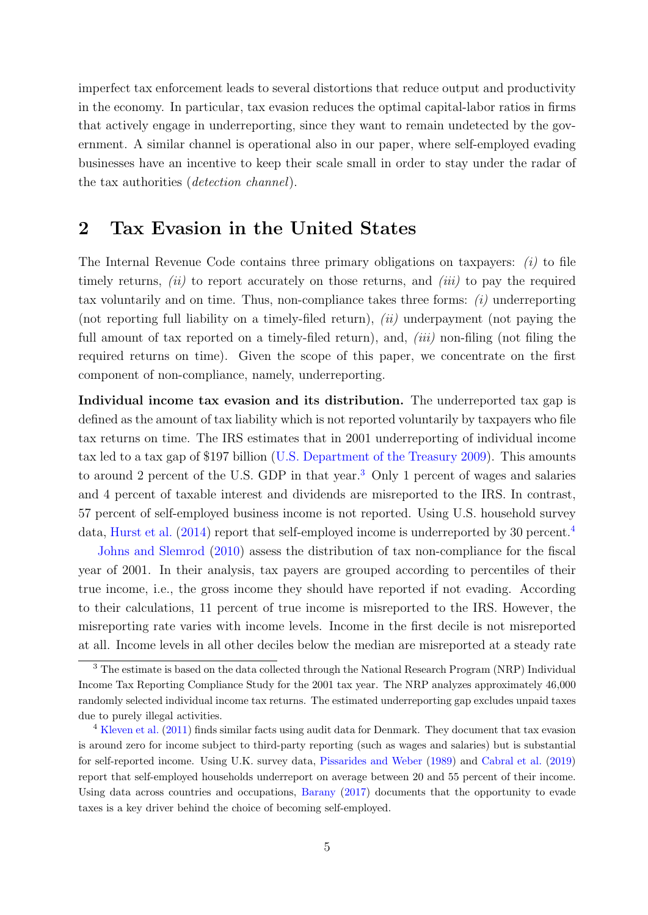<span id="page-5-0"></span>imperfect tax enforcement leads to several distortions that reduce output and productivity in the economy. In particular, tax evasion reduces the optimal capital-labor ratios in firms that actively engage in underreporting, since they want to remain undetected by the government. A similar channel is operational also in our paper, where self-employed evading businesses have an incentive to keep their scale small in order to stay under the radar of the tax authorities (detection channel).

### 2 Tax Evasion in the United States

The Internal Revenue Code contains three primary obligations on taxpayers:  $(i)$  to file timely returns,  $(ii)$  to report accurately on those returns, and  $(iii)$  to pay the required tax voluntarily and on time. Thus, non-compliance takes three forms:  $(i)$  underreporting (not reporting full liability on a timely-filed return),  $(ii)$  underpayment (not paying the full amount of tax reported on a timely-filed return), and,  $(iii)$  non-filing (not filing the required returns on time). Given the scope of this paper, we concentrate on the first component of non-compliance, namely, underreporting.

Individual income tax evasion and its distribution. The underreported tax gap is defined as the amount of tax liability which is not reported voluntarily by taxpayers who file tax returns on time. The IRS estimates that in 2001 underreporting of individual income tax led to a tax gap of \$197 billion [\(U.S. Department of the Treasury](#page-48-0) [2009\)](#page-48-0). This amounts to around 2 percent of the U.S. GDP in that year.<sup>3</sup> Only 1 percent of wages and salaries and 4 percent of taxable interest and dividends are misreported to the IRS. In contrast, 57 percent of self-employed business income is not reported. Using U.S. household survey data, [Hurst et al.](#page-47-0) [\(2014\)](#page-47-0) report that self-employed income is underreported by 30 percent.<sup>4</sup>

[Johns and Slemrod](#page-47-0) [\(2010\)](#page-47-0) assess the distribution of tax non-compliance for the fiscal year of 2001. In their analysis, tax payers are grouped according to percentiles of their true income, i.e., the gross income they should have reported if not evading. According to their calculations, 11 percent of true income is misreported to the IRS. However, the misreporting rate varies with income levels. Income in the first decile is not misreported at all. Income levels in all other deciles below the median are misreported at a steady rate

<sup>&</sup>lt;sup>3</sup> The estimate is based on the data collected through the National Research Program (NRP) Individual Income Tax Reporting Compliance Study for the 2001 tax year. The NRP analyzes approximately 46,000 randomly selected individual income tax returns. The estimated underreporting gap excludes unpaid taxes due to purely illegal activities.

<sup>&</sup>lt;sup>4</sup> [Kleven et al.](#page-47-0) [\(2011\)](#page-47-0) finds similar facts using audit data for Denmark. They document that tax evasion is around zero for income subject to third-party reporting (such as wages and salaries) but is substantial for self-reported income. Using U.K. survey data, [Pissarides and Weber](#page-48-0) [\(1989\)](#page-48-0) and [Cabral et al.](#page-45-0) [\(2019\)](#page-45-0) report that self-employed households underreport on average between 20 and 55 percent of their income. Using data across countries and occupations, [Barany](#page-45-0) [\(2017\)](#page-45-0) documents that the opportunity to evade taxes is a key driver behind the choice of becoming self-employed.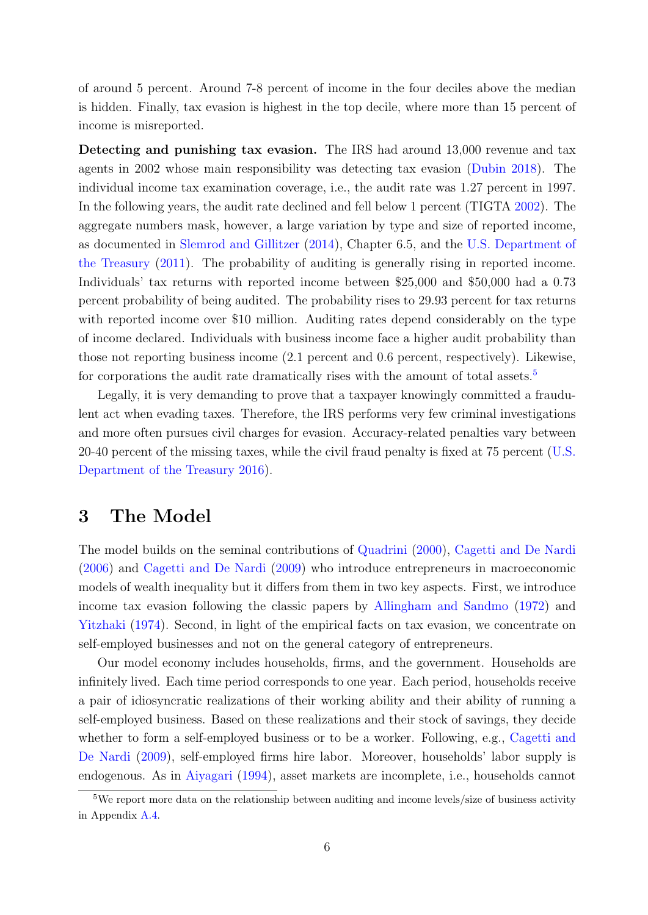<span id="page-6-0"></span>of around 5 percent. Around 7-8 percent of income in the four deciles above the median is hidden. Finally, tax evasion is highest in the top decile, where more than 15 percent of income is misreported.

Detecting and punishing tax evasion. The IRS had around 13,000 revenue and tax agents in 2002 whose main responsibility was detecting tax evasion [\(Dubin](#page-46-0) [2018\)](#page-46-0). The individual income tax examination coverage, i.e., the audit rate was 1.27 percent in 1997. In the following years, the audit rate declined and fell below 1 percent (TIGTA [2002\)](#page-49-0). The aggregate numbers mask, however, a large variation by type and size of reported income, as documented in [Slemrod and Gillitzer](#page-48-0) [\(2014\)](#page-48-0), Chapter 6.5, and the [U.S. Department of](#page-48-0) [the Treasury](#page-48-0) [\(2011\)](#page-48-0). The probability of auditing is generally rising in reported income. Individuals' tax returns with reported income between \$25,000 and \$50,000 had a 0.73 percent probability of being audited. The probability rises to 29.93 percent for tax returns with reported income over \$10 million. Auditing rates depend considerably on the type of income declared. Individuals with business income face a higher audit probability than those not reporting business income (2.1 percent and 0.6 percent, respectively). Likewise, for corporations the audit rate dramatically rises with the amount of total assets.<sup>5</sup>

Legally, it is very demanding to prove that a taxpayer knowingly committed a fraudulent act when evading taxes. Therefore, the IRS performs very few criminal investigations and more often pursues civil charges for evasion. Accuracy-related penalties vary between 20-40 percent of the missing taxes, while the civil fraud penalty is fixed at 75 percent [\(U.S.](#page-49-0) [Department of the Treasury](#page-49-0) [2016\)](#page-49-0).

### 3 The Model

The model builds on the seminal contributions of [Quadrini](#page-48-0) [\(2000\)](#page-48-0), [Cagetti and De Nardi](#page-45-0) [\(2006\)](#page-45-0) and [Cagetti and De Nardi](#page-45-0) [\(2009\)](#page-45-0) who introduce entrepreneurs in macroeconomic models of wealth inequality but it differs from them in two key aspects. First, we introduce income tax evasion following the classic papers by [Allingham and Sandmo](#page-45-0) [\(1972\)](#page-45-0) and [Yitzhaki](#page-49-0) [\(1974\)](#page-49-0). Second, in light of the empirical facts on tax evasion, we concentrate on self-employed businesses and not on the general category of entrepreneurs.

Our model economy includes households, firms, and the government. Households are infinitely lived. Each time period corresponds to one year. Each period, households receive a pair of idiosyncratic realizations of their working ability and their ability of running a self-employed business. Based on these realizations and their stock of savings, they decide whether to form a self-employed business or to be a worker. Following, e.g., [Cagetti and](#page-45-0) [De Nardi](#page-45-0) [\(2009\)](#page-45-0), self-employed firms hire labor. Moreover, households' labor supply is endogenous. As in [Aiyagari](#page-45-0) [\(1994\)](#page-45-0), asset markets are incomplete, i.e., households cannot

<sup>5</sup>We report more data on the relationship between auditing and income levels/size of business activity in Appendix [A.4.](#page-52-0)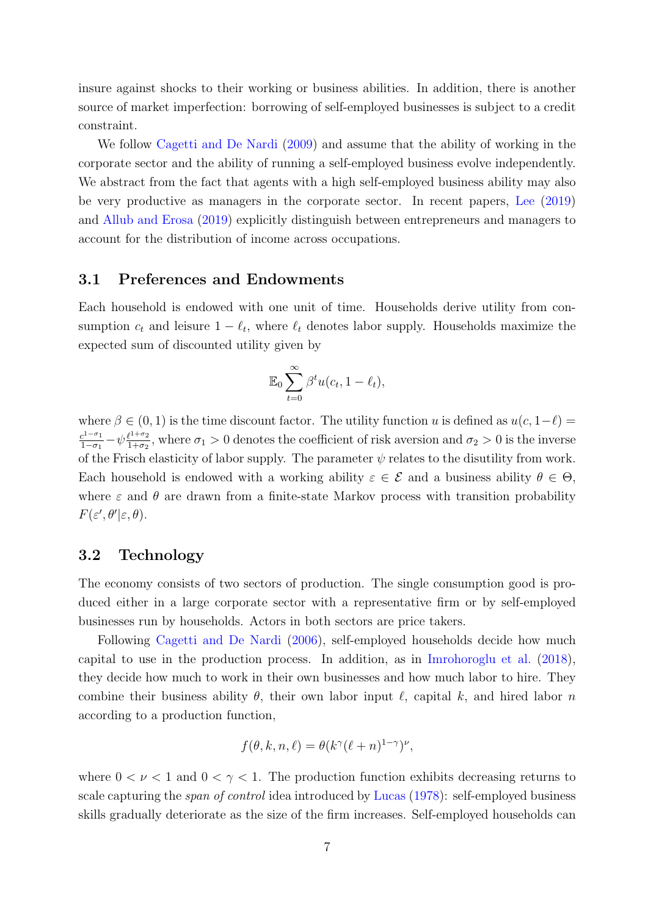<span id="page-7-0"></span>insure against shocks to their working or business abilities. In addition, there is another source of market imperfection: borrowing of self-employed businesses is subject to a credit constraint.

We follow [Cagetti and De Nardi](#page-45-0) [\(2009\)](#page-45-0) and assume that the ability of working in the corporate sector and the ability of running a self-employed business evolve independently. We abstract from the fact that agents with a high self-employed business ability may also be very productive as managers in the corporate sector. In recent papers, [Lee](#page-47-0) [\(2019\)](#page-47-0) and [Allub and Erosa](#page-45-0) [\(2019\)](#page-45-0) explicitly distinguish between entrepreneurs and managers to account for the distribution of income across occupations.

#### 3.1 Preferences and Endowments

Each household is endowed with one unit of time. Households derive utility from consumption  $c_t$  and leisure  $1 - \ell_t$ , where  $\ell_t$  denotes labor supply. Households maximize the expected sum of discounted utility given by

$$
\mathbb{E}_0 \sum_{t=0}^{\infty} \beta^t u(c_t, 1 - \ell_t),
$$

where  $\beta \in (0, 1)$  is the time discount factor. The utility function u is defined as  $u(c, 1-\ell) =$  $c^{1-\sigma_1}$  $\frac{c^{1-\sigma_1}}{1-\sigma_1}-\psi\frac{\ell^{1+\sigma_2}}{1+\sigma_2}$  $\frac{\ell^{1+\sigma_2}}{1+\sigma_2}$ , where  $\sigma_1 > 0$  denotes the coefficient of risk aversion and  $\sigma_2 > 0$  is the inverse of the Frisch elasticity of labor supply. The parameter  $\psi$  relates to the disutility from work. Each household is endowed with a working ability  $\varepsilon \in \mathcal{E}$  and a business ability  $\theta \in \Theta$ , where  $\varepsilon$  and  $\theta$  are drawn from a finite-state Markov process with transition probability  $F(\varepsilon', \theta' | \varepsilon, \theta).$ 

### 3.2 Technology

The economy consists of two sectors of production. The single consumption good is produced either in a large corporate sector with a representative firm or by self-employed businesses run by households. Actors in both sectors are price takers.

Following [Cagetti and De Nardi](#page-45-0) [\(2006\)](#page-45-0), self-employed households decide how much capital to use in the production process. In addition, as in [Imrohoroglu et al.](#page-47-0) [\(2018\)](#page-47-0), they decide how much to work in their own businesses and how much labor to hire. They combine their business ability  $\theta$ , their own labor input  $\ell$ , capital k, and hired labor n according to a production function,

$$
f(\theta, k, n, \ell) = \theta(k^{\gamma}(\ell+n)^{1-\gamma})^{\nu},
$$

where  $0 < \nu < 1$  and  $0 < \gamma < 1$ . The production function exhibits decreasing returns to scale capturing the *span of control* idea introduced by [Lucas](#page-47-0) [\(1978\)](#page-47-0): self-employed business skills gradually deteriorate as the size of the firm increases. Self-employed households can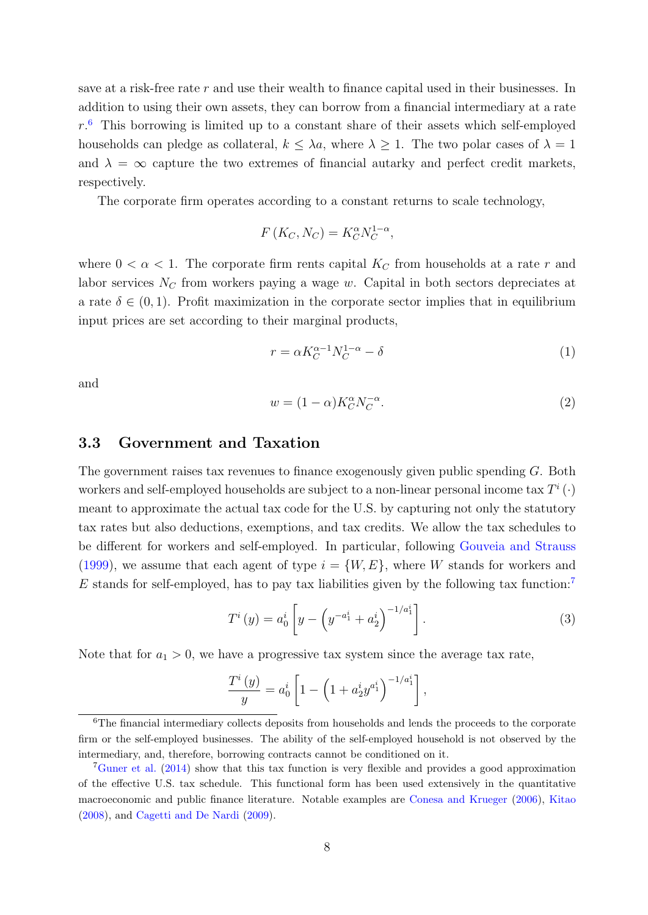<span id="page-8-0"></span>save at a risk-free rate r and use their wealth to finance capital used in their businesses. In addition to using their own assets, they can borrow from a financial intermediary at a rate  $r<sup>6</sup>$ . This borrowing is limited up to a constant share of their assets which self-employed households can pledge as collateral,  $k \leq \lambda a$ , where  $\lambda \geq 1$ . The two polar cases of  $\lambda = 1$ and  $\lambda = \infty$  capture the two extremes of financial autarky and perfect credit markets, respectively.

The corporate firm operates according to a constant returns to scale technology,

$$
F(K_C, N_C) = K_C^{\alpha} N_C^{1-\alpha},
$$

where  $0 < \alpha < 1$ . The corporate firm rents capital  $K_C$  from households at a rate r and labor services  $N_c$  from workers paying a wage w. Capital in both sectors depreciates at a rate  $\delta \in (0,1)$ . Profit maximization in the corporate sector implies that in equilibrium input prices are set according to their marginal products,

$$
r = \alpha K_C^{\alpha - 1} N_C^{1 - \alpha} - \delta \tag{1}
$$

and

$$
w = (1 - \alpha) K_C^{\alpha} N_C^{-\alpha}.
$$
\n<sup>(2)</sup>

#### 3.3 Government and Taxation

The government raises tax revenues to finance exogenously given public spending G. Both workers and self-employed households are subject to a non-linear personal income tax  $T^i(\cdot)$ meant to approximate the actual tax code for the U.S. by capturing not only the statutory tax rates but also deductions, exemptions, and tax credits. We allow the tax schedules to be different for workers and self-employed. In particular, following [Gouveia and Strauss](#page-46-0) [\(1999\)](#page-46-0), we assume that each agent of type  $i = \{W, E\}$ , where W stands for workers and E stands for self-employed, has to pay tax liabilities given by the following tax function:<sup>7</sup>

$$
T^{i}(y) = a_{0}^{i} \left[ y - \left( y^{-a_{1}^{i}} + a_{2}^{i} \right)^{-1/a_{1}^{i}} \right]. \tag{3}
$$

Note that for  $a_1 > 0$ , we have a progressive tax system since the average tax rate,

$$
\frac{T^{i}(y)}{y} = a_0^{i} \left[ 1 - \left( 1 + a_2^{i} y^{a_1^{i}} \right)^{-1/a_1^{i}} \right],
$$

<sup>&</sup>lt;sup>6</sup>The financial intermediary collects deposits from households and lends the proceeds to the corporate firm or the self-employed businesses. The ability of the self-employed household is not observed by the intermediary, and, therefore, borrowing contracts cannot be conditioned on it.

<sup>7</sup>[Guner et al.](#page-46-0) [\(2014\)](#page-46-0) show that this tax function is very flexible and provides a good approximation of the effective U.S. tax schedule. This functional form has been used extensively in the quantitative macroeconomic and public finance literature. Notable examples are [Conesa and Krueger](#page-46-0) [\(2006\)](#page-46-0), [Kitao](#page-47-0) [\(2008\)](#page-47-0), and [Cagetti and De Nardi](#page-45-0) [\(2009\)](#page-45-0).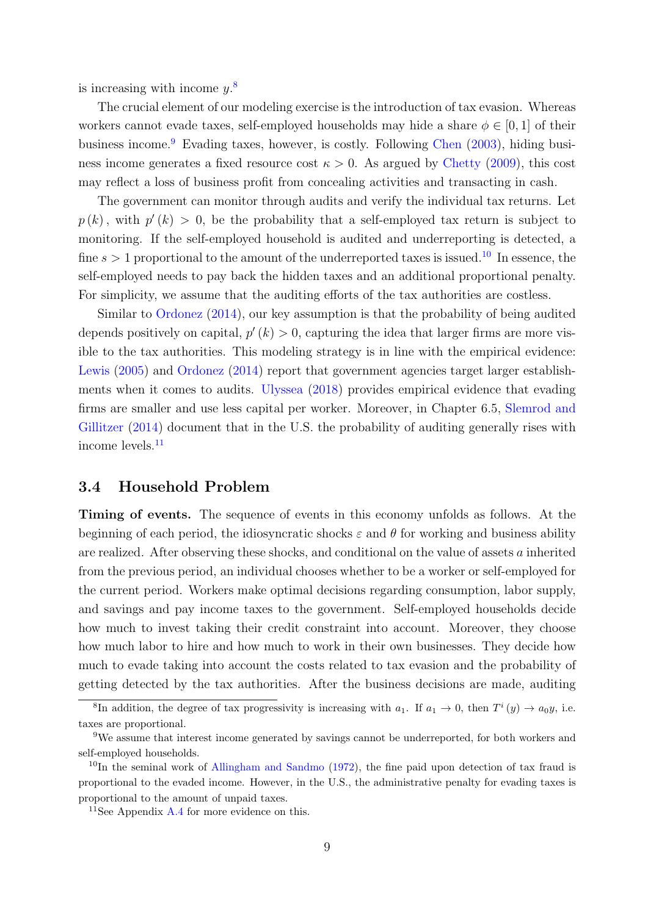<span id="page-9-0"></span>is increasing with income  $y$ <sup>8</sup>

The crucial element of our modeling exercise is the introduction of tax evasion. Whereas workers cannot evade taxes, self-employed households may hide a share  $\phi \in [0, 1]$  of their business income.<sup>9</sup> Evading taxes, however, is costly. Following [Chen](#page-46-0) [\(2003\)](#page-46-0), hiding business income generates a fixed resource cost  $\kappa > 0$ . As argued by [Chetty](#page-46-0) [\(2009\)](#page-46-0), this cost may reflect a loss of business profit from concealing activities and transacting in cash.

The government can monitor through audits and verify the individual tax returns. Let  $p(k)$ , with  $p'(k) > 0$ , be the probability that a self-employed tax return is subject to monitoring. If the self-employed household is audited and underreporting is detected, a fine  $s > 1$  proportional to the amount of the underreported taxes is issued.<sup>10</sup> In essence, the self-employed needs to pay back the hidden taxes and an additional proportional penalty. For simplicity, we assume that the auditing efforts of the tax authorities are costless.

Similar to [Ordonez](#page-48-0) [\(2014\)](#page-48-0), our key assumption is that the probability of being audited depends positively on capital,  $p'(k) > 0$ , capturing the idea that larger firms are more visible to the tax authorities. This modeling strategy is in line with the empirical evidence: [Lewis](#page-47-0) [\(2005\)](#page-47-0) and [Ordonez](#page-48-0) [\(2014\)](#page-48-0) report that government agencies target larger establishments when it comes to audits. [Ulyssea](#page-48-0) [\(2018\)](#page-48-0) provides empirical evidence that evading firms are smaller and use less capital per worker. Moreover, in Chapter 6.5, [Slemrod and](#page-48-0) [Gillitzer](#page-48-0) [\(2014\)](#page-48-0) document that in the U.S. the probability of auditing generally rises with income levels.<sup>11</sup>

#### 3.4 Household Problem

Timing of events. The sequence of events in this economy unfolds as follows. At the beginning of each period, the idiosyncratic shocks  $\varepsilon$  and  $\theta$  for working and business ability are realized. After observing these shocks, and conditional on the value of assets a inherited from the previous period, an individual chooses whether to be a worker or self-employed for the current period. Workers make optimal decisions regarding consumption, labor supply, and savings and pay income taxes to the government. Self-employed households decide how much to invest taking their credit constraint into account. Moreover, they choose how much labor to hire and how much to work in their own businesses. They decide how much to evade taking into account the costs related to tax evasion and the probability of getting detected by the tax authorities. After the business decisions are made, auditing

<sup>&</sup>lt;sup>8</sup>In addition, the degree of tax progressivity is increasing with  $a_1$ . If  $a_1 \to 0$ , then  $T^i(y) \to a_0y$ , i.e. taxes are proportional.

<sup>9</sup>We assume that interest income generated by savings cannot be underreported, for both workers and self-employed households.

<sup>&</sup>lt;sup>10</sup>In the seminal work of [Allingham and Sandmo](#page-45-0) [\(1972\)](#page-45-0), the fine paid upon detection of tax fraud is proportional to the evaded income. However, in the U.S., the administrative penalty for evading taxes is proportional to the amount of unpaid taxes.

<sup>11</sup>See Appendix [A.4](#page-52-0) for more evidence on this.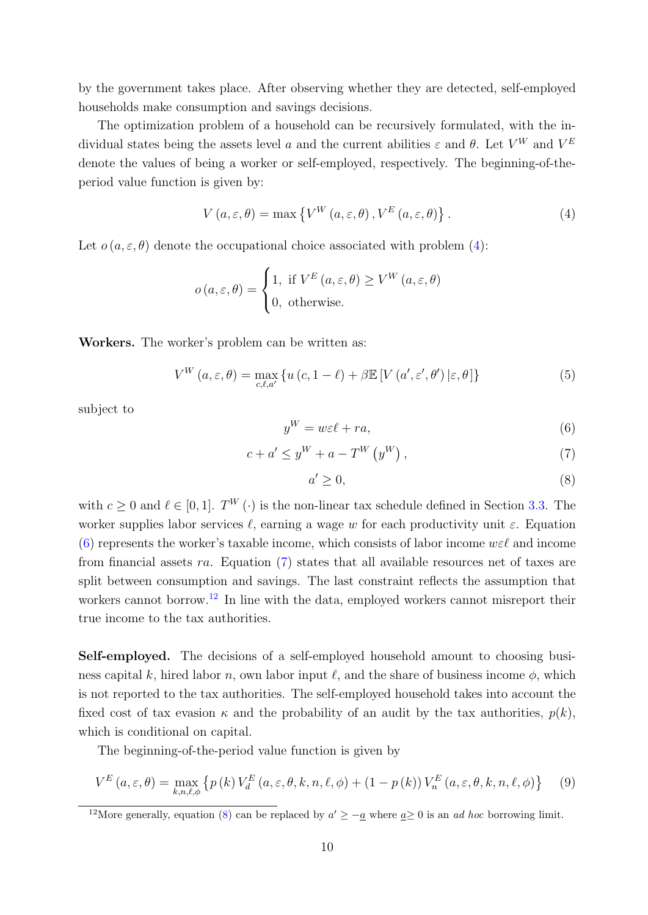<span id="page-10-0"></span>by the government takes place. After observing whether they are detected, self-employed households make consumption and savings decisions.

The optimization problem of a household can be recursively formulated, with the individual states being the assets level a and the current abilities  $\varepsilon$  and  $\theta$ . Let  $V^W$  and  $V^E$ denote the values of being a worker or self-employed, respectively. The beginning-of-theperiod value function is given by:

$$
V(a,\varepsilon,\theta) = \max\left\{V^W(a,\varepsilon,\theta), V^E(a,\varepsilon,\theta)\right\}.
$$
 (4)

Let  $o(a, \varepsilon, \theta)$  denote the occupational choice associated with problem (4):

$$
o(a, \varepsilon, \theta) = \begin{cases} 1, & \text{if } V^E(a, \varepsilon, \theta) \ge V^W(a, \varepsilon, \theta) \\ 0, & \text{otherwise.} \end{cases}
$$

Workers. The worker's problem can be written as:

$$
V^{W}\left(a,\varepsilon,\theta\right) = \max_{c,\ell,a'} \left\{ u\left(c,1-\ell\right) + \beta \mathbb{E}\left[V\left(a',\varepsilon',\theta'\right)|\varepsilon,\theta\right] \right\} \tag{5}
$$

subject to

$$
y^W = w\varepsilon \ell + ra,\tag{6}
$$

$$
c + a' \le y^W + a - T^W \left( y^W \right), \tag{7}
$$

$$
a' \ge 0,\tag{8}
$$

with  $c \ge 0$  and  $\ell \in [0, 1]$ .  $T^W(\cdot)$  is the non-linear tax schedule defined in Section [3.3.](#page-8-0) The worker supplies labor services  $\ell$ , earning a wage w for each productivity unit  $\varepsilon$ . Equation (6) represents the worker's taxable income, which consists of labor income  $w \in \ell$  and income from financial assets ra. Equation  $(7)$  states that all available resources net of taxes are split between consumption and savings. The last constraint reflects the assumption that workers cannot borrow.<sup>12</sup> In line with the data, employed workers cannot misreport their true income to the tax authorities.

Self-employed. The decisions of a self-employed household amount to choosing business capital k, hired labor n, own labor input  $\ell$ , and the share of business income  $\phi$ , which is not reported to the tax authorities. The self-employed household takes into account the fixed cost of tax evasion  $\kappa$  and the probability of an audit by the tax authorities,  $p(k)$ , which is conditional on capital.

The beginning-of-the-period value function is given by

$$
V^{E}\left(a,\varepsilon,\theta\right) = \max_{k,n,\ell,\phi} \left\{ p\left(k\right) V_{d}^{E}\left(a,\varepsilon,\theta,k,n,\ell,\phi\right) + \left(1-p\left(k\right)\right) V_{n}^{E}\left(a,\varepsilon,\theta,k,n,\ell,\phi\right) \right\} \tag{9}
$$

<sup>&</sup>lt;sup>12</sup>More generally, equation (8) can be replaced by  $a' \geq -a$  where  $a \geq 0$  is an *ad hoc* borrowing limit.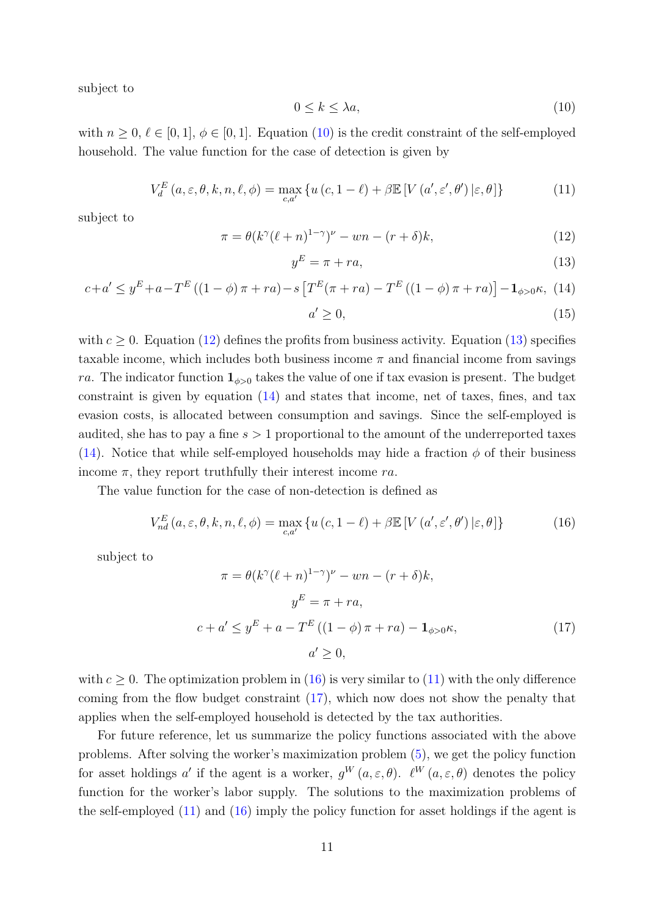<span id="page-11-0"></span>subject to

$$
0 \le k \le \lambda a,\tag{10}
$$

with  $n \geq 0, \ell \in [0, 1], \phi \in [0, 1]$ . Equation (10) is the credit constraint of the self-employed household. The value function for the case of detection is given by

$$
V_d^E(a,\varepsilon,\theta,k,n,\ell,\phi) = \max_{c,a'} \left\{ u(c,1-\ell) + \beta \mathbb{E} \left[ V\left(a',\varepsilon',\theta'\right) | \varepsilon,\theta \right] \right\} \tag{11}
$$

subject to

$$
\pi = \theta (k^{\gamma} (\ell + n)^{1 - \gamma})^{\nu} - wn - (r + \delta)k, \tag{12}
$$

$$
y^E = \pi + ra,\tag{13}
$$

$$
c+a' \leq y^E + a - T^E \left( (1-\phi)\pi + ra \right) - s \left[ T^E(\pi + ra) - T^E \left( (1-\phi)\pi + ra \right) \right] - \mathbf{1}_{\phi > 0} \kappa, \tag{15}
$$

$$
a' \ge 0,\tag{15}
$$

with  $c > 0$ . Equation (12) defines the profits from business activity. Equation (13) specifies taxable income, which includes both business income  $\pi$  and financial income from savings ra. The indicator function  $\mathbb{1}_{\phi>0}$  takes the value of one if tax evasion is present. The budget constraint is given by equation (14) and states that income, net of taxes, fines, and tax evasion costs, is allocated between consumption and savings. Since the self-employed is audited, she has to pay a fine  $s > 1$  proportional to the amount of the underreported taxes (14). Notice that while self-employed households may hide a fraction  $\phi$  of their business income  $\pi$ , they report truthfully their interest income ra.

The value function for the case of non-detection is defined as

$$
V_{nd}^{E}(a, \varepsilon, \theta, k, n, \ell, \phi) = \max_{c, a'} \left\{ u(c, 1 - \ell) + \beta \mathbb{E} \left[ V(a', \varepsilon', \theta') \left| \varepsilon, \theta \right| \right\} \right\}
$$
(16)

subject to

$$
\pi = \theta (k^{\gamma} (\ell + n)^{1-\gamma})^{\nu} - wn - (r + \delta)k,
$$
  
\n
$$
y^{E} = \pi + ra,
$$
  
\n
$$
c + a' \le y^{E} + a - T^{E} ((1 - \phi) \pi + ra) - \mathbf{1}_{\phi > 0} \kappa,
$$
  
\n
$$
a' \ge 0,
$$
\n(17)

with  $c \geq 0$ . The optimization problem in (16) is very similar to (11) with the only difference coming from the flow budget constraint (17), which now does not show the penalty that applies when the self-employed household is detected by the tax authorities.

For future reference, let us summarize the policy functions associated with the above problems. After solving the worker's maximization problem [\(5\)](#page-10-0), we get the policy function for asset holdings a' if the agent is a worker,  $g^W(a,\varepsilon,\theta)$ .  $\ell^W(a,\varepsilon,\theta)$  denotes the policy function for the worker's labor supply. The solutions to the maximization problems of the self-employed (11) and (16) imply the policy function for asset holdings if the agent is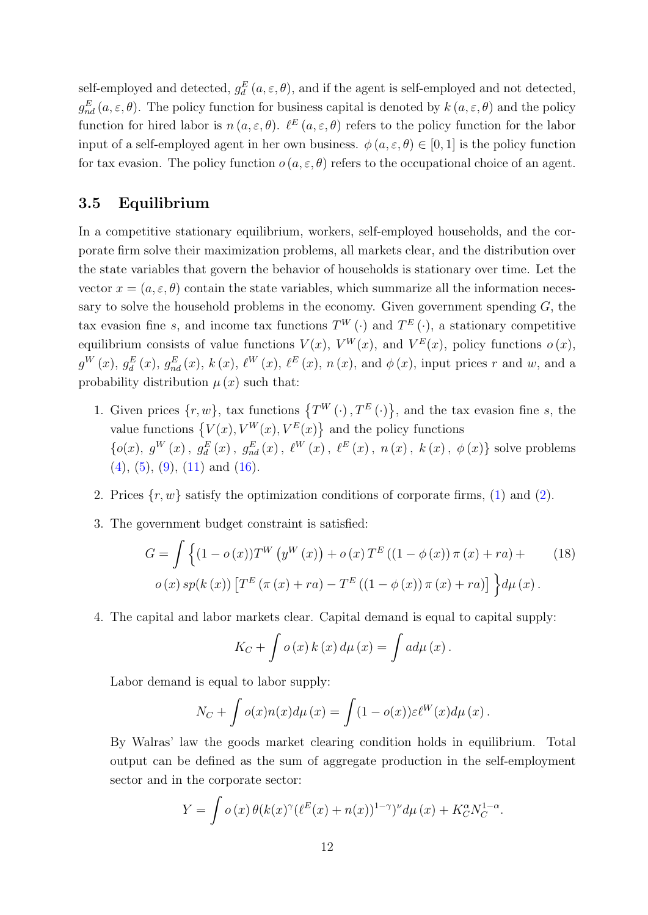self-employed and detected,  $g_d^E(a, \varepsilon, \theta)$ , and if the agent is self-employed and not detected,  $g_{nd}^{E}(a, \varepsilon, \theta)$ . The policy function for business capital is denoted by  $k(a, \varepsilon, \theta)$  and the policy function for hired labor is  $n(a, \varepsilon, \theta)$ .  $\ell^E(a, \varepsilon, \theta)$  refers to the policy function for the labor input of a self-employed agent in her own business.  $\phi(a, \varepsilon, \theta) \in [0, 1]$  is the policy function for tax evasion. The policy function  $o(a, \varepsilon, \theta)$  refers to the occupational choice of an agent.

### 3.5 Equilibrium

In a competitive stationary equilibrium, workers, self-employed households, and the corporate firm solve their maximization problems, all markets clear, and the distribution over the state variables that govern the behavior of households is stationary over time. Let the vector  $x = (a, \varepsilon, \theta)$  contain the state variables, which summarize all the information necessary to solve the household problems in the economy. Given government spending  $G$ , the tax evasion fine s, and income tax functions  $T^W(\cdot)$  and  $T^E(\cdot)$ , a stationary competitive equilibrium consists of value functions  $V(x)$ ,  $V^W(x)$ , and  $V^E(x)$ , policy functions  $o(x)$ ,  $g^{W}(x)$ ,  $g_{d}^{E}(x)$ ,  $g_{nd}^{E}(x)$ ,  $k(x)$ ,  $\ell^{W}(x)$ ,  $\ell^{E}(x)$ ,  $n(x)$ , and  $\phi(x)$ , input prices r and w, and a probability distribution  $\mu(x)$  such that:

- 1. Given prices  $\{r, w\}$ , tax functions  $\{T^W(\cdot), T^E(\cdot)\}\$ , and the tax evasion fine s, the value functions  $\{V(x), V^W(x), V^E(x)\}\$ and the policy functions  ${o(x), g<sup>W</sup>(x), g<sup>E</sup><sub>d</sub>(x), g<sup>E</sup><sub>nd</sub>(x), \ell<sup>W</sup>(x), \ell<sup>E</sup>(x), n(x), k(x), \phi(x)}$  solve problems  $(4)$ ,  $(5)$ ,  $(9)$ ,  $(11)$  and  $(16)$ .
- 2. Prices  $\{r, w\}$  satisfy the optimization conditions of corporate firms, [\(1\)](#page-8-0) and [\(2\)](#page-8-0).
- 3. The government budget constraint is satisfied:

$$
G = \int \left\{ (1 - o(x)) T^{W} (y^{W}(x)) + o(x) T^{E} ((1 - \phi(x)) \pi (x) + ra) + (18) \right\} d\mu(x).
$$
  
\n
$$
o(x) sp(k(x)) [T^{E} (\pi (x) + ra) - T^{E} ((1 - \phi(x)) \pi (x) + ra)] \right\} d\mu(x).
$$

4. The capital and labor markets clear. Capital demand is equal to capital supply:

$$
K_C + \int o(x) k(x) d\mu(x) = \int a d\mu(x).
$$

Labor demand is equal to labor supply:

$$
N_C + \int o(x)n(x)d\mu(x) = \int (1 - o(x))\varepsilon \ell^W(x)d\mu(x).
$$

By Walras' law the goods market clearing condition holds in equilibrium. Total output can be defined as the sum of aggregate production in the self-employment sector and in the corporate sector:

$$
Y = \int o(x) \theta(k(x)^{\gamma} (\ell^{E}(x) + n(x))^{1-\gamma})^{\nu} d\mu(x) + K_{C}^{\alpha} N_{C}^{1-\alpha}.
$$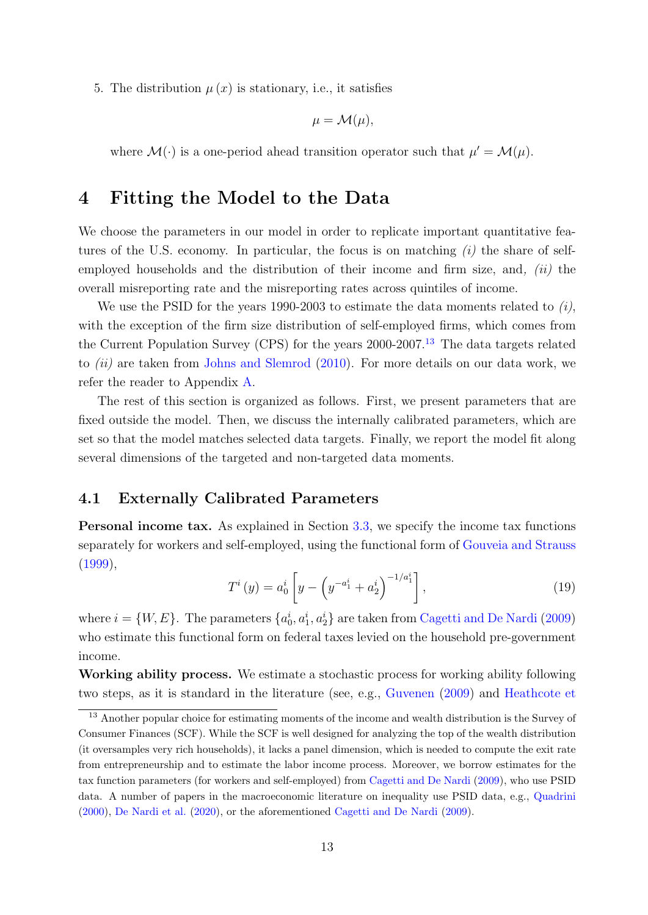<span id="page-13-0"></span>5. The distribution  $\mu(x)$  is stationary, i.e., it satisfies

$$
\mu = \mathcal{M}(\mu),
$$

where  $\mathcal{M}(\cdot)$  is a one-period ahead transition operator such that  $\mu' = \mathcal{M}(\mu)$ .

### 4 Fitting the Model to the Data

We choose the parameters in our model in order to replicate important quantitative features of the U.S. economy. In particular, the focus is on matching  $(i)$  the share of selfemployed households and the distribution of their income and firm size, and, *(ii)* the overall misreporting rate and the misreporting rates across quintiles of income.

We use the PSID for the years 1990-2003 to estimate the data moments related to  $(i)$ , with the exception of the firm size distribution of self-employed firms, which comes from the Current Population Survey (CPS) for the years 2000-2007.<sup>13</sup> The data targets related to  $(ii)$  are taken from [Johns and Slemrod](#page-47-0) [\(2010\)](#page-47-0). For more details on our data work, we refer the reader to Appendix [A.](#page-50-0)

The rest of this section is organized as follows. First, we present parameters that are fixed outside the model. Then, we discuss the internally calibrated parameters, which are set so that the model matches selected data targets. Finally, we report the model fit along several dimensions of the targeted and non-targeted data moments.

#### 4.1 Externally Calibrated Parameters

Personal income tax. As explained in Section [3.3,](#page-8-0) we specify the income tax functions separately for workers and self-employed, using the functional form of [Gouveia and Strauss](#page-46-0)  $(1999),$  $(1999),$ 

$$
T^{i}(y) = a_{0}^{i} \left[ y - \left( y^{-a_{1}^{i}} + a_{2}^{i} \right)^{-1/a_{1}^{i}} \right],
$$
\n(19)

where  $i = \{W, E\}$ . The parameters  $\{a_0^i, a_1^i, a_2^i\}$  are taken from [Cagetti and De Nardi](#page-45-0) [\(2009\)](#page-45-0) who estimate this functional form on federal taxes levied on the household pre-government income.

Working ability process. We estimate a stochastic process for working ability following two steps, as it is standard in the literature (see, e.g., [Guvenen](#page-46-0) [\(2009\)](#page-46-0) and [Heathcote et](#page-47-0)

<sup>&</sup>lt;sup>13</sup> [Another popular choice for estimating moments of the income and wealth distribution is the Survey of](#page-47-0) [Consumer Finances \(SCF\). While the SCF is well designed for analyzing the top of the wealth distribution](#page-47-0) [\(it oversamples very rich households\), it lacks a panel dimension, which is needed to compute the exit rate](#page-47-0) [from entrepreneurship and to estimate the labor income process. Moreover, we borrow estimates for the](#page-47-0) [tax function parameters \(for workers and self-employed\) from](#page-47-0) [Cagetti and De Nardi](#page-45-0) [\(2009\)](#page-45-0), who use PSID [data. A number of papers in the macroeconomic literature on inequality use PSID data, e.g.,](#page-47-0) [Quadrini](#page-48-0) [\(2000\)](#page-48-0), [De Nardi et al.](#page-46-0) [\(2020\), or the aforementioned](#page-47-0) [Cagetti and De Nardi](#page-45-0) [\(2009\)](#page-45-0).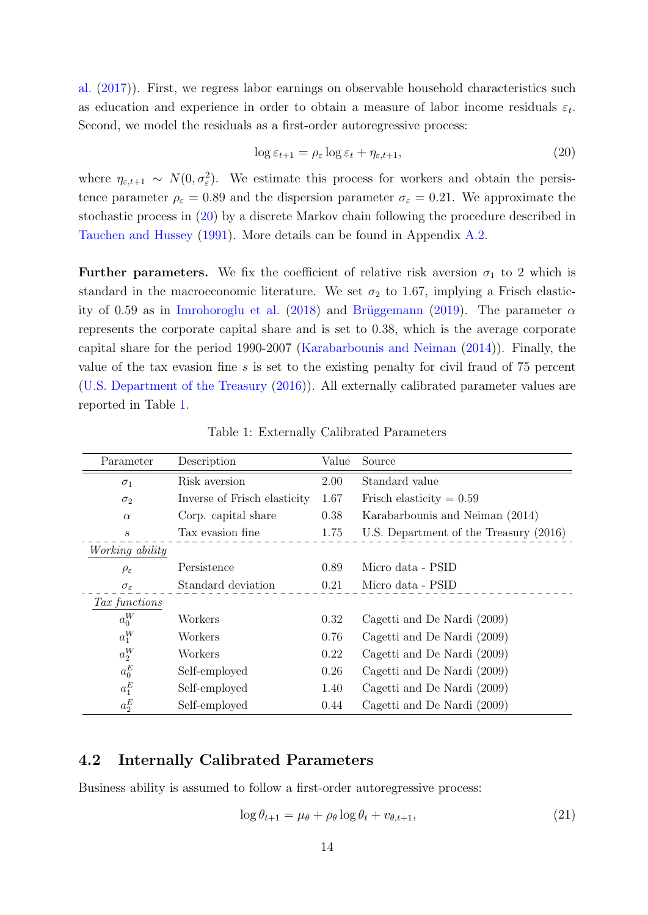<span id="page-14-0"></span>[al.](#page-47-0) [\(2017\)](#page-47-0)). First, we regress labor earnings on observable household characteristics such as education and experience in order to obtain a measure of labor income residuals  $\varepsilon_t$ . Second, we model the residuals as a first-order autoregressive process:

$$
\log \varepsilon_{t+1} = \rho_{\varepsilon} \log \varepsilon_t + \eta_{\varepsilon, t+1},\tag{20}
$$

where  $\eta_{\varepsilon,t+1} \sim N(0, \sigma_{\varepsilon}^2)$ . We estimate this process for workers and obtain the persistence parameter  $\rho_{\varepsilon} = 0.89$  and the dispersion parameter  $\sigma_{\varepsilon} = 0.21$ . We approximate the stochastic process in (20) by a discrete Markov chain following the procedure described in [Tauchen and Hussey](#page-48-0) [\(1991\)](#page-48-0). More details can be found in Appendix [A.2.](#page-51-0)

**Further parameters.** We fix the coefficient of relative risk aversion  $\sigma_1$  to 2 which is standard in the macroeconomic literature. We set  $\sigma_2$  to 1.67, implying a Frisch elastic-ity of 0.59 as in [Imrohoroglu et al.](#page-47-0) [\(2018\)](#page-47-0) and Brüggemann [\(2019\)](#page-45-0). The parameter  $\alpha$ represents the corporate capital share and is set to 0.38, which is the average corporate capital share for the period 1990-2007 [\(Karabarbounis and Neiman](#page-47-0) [\(2014\)](#page-47-0)). Finally, the value of the tax evasion fine s is set to the existing penalty for civil fraud of 75 percent [\(U.S. Department of the Treasury](#page-49-0) [\(2016\)](#page-49-0)). All externally calibrated parameter values are reported in Table 1.

| Parameter              | Description                  | Value | Source                                 |
|------------------------|------------------------------|-------|----------------------------------------|
| $\sigma_1$             | Risk aversion                | 2.00  | Standard value                         |
| $\sigma_2$             | Inverse of Frisch elasticity | 1.67  | Frisch elasticity $= 0.59$             |
| $\alpha$               | Corp. capital share          | 0.38  | Karabarbounis and Neiman (2014)        |
| $\mathcal{S}_{0}$      | Tax evasion fine             | 1.75  | U.S. Department of the Treasury (2016) |
| <i>Working ability</i> |                              |       |                                        |
| $\rho_{\varepsilon}$   | Persistence                  | 0.89  | Micro data - PSID                      |
| $\sigma_{\varepsilon}$ | Standard deviation           | 0.21  | Micro data - PSID                      |
| Tax functions          |                              |       |                                        |
| $a_0^W$                | Workers                      | 0.32  | Cagetti and De Nardi (2009)            |
| $a_1^W$                | Workers                      | 0.76  | Cagetti and De Nardi (2009)            |
| $a_2^W$                | Workers                      | 0.22  | Cagetti and De Nardi (2009)            |
| $a_0^E$                | Self-employed                | 0.26  | Cagetti and De Nardi (2009)            |
| $a_1^E$                | Self-employed                | 1.40  | Cagetti and De Nardi (2009)            |
| $a_2^E$                | Self-employed                | 0.44  | Cagetti and De Nardi (2009)            |

Table 1: Externally Calibrated Parameters

#### 4.2 Internally Calibrated Parameters

Business ability is assumed to follow a first-order autoregressive process:

$$
\log \theta_{t+1} = \mu_{\theta} + \rho_{\theta} \log \theta_t + v_{\theta, t+1},\tag{21}
$$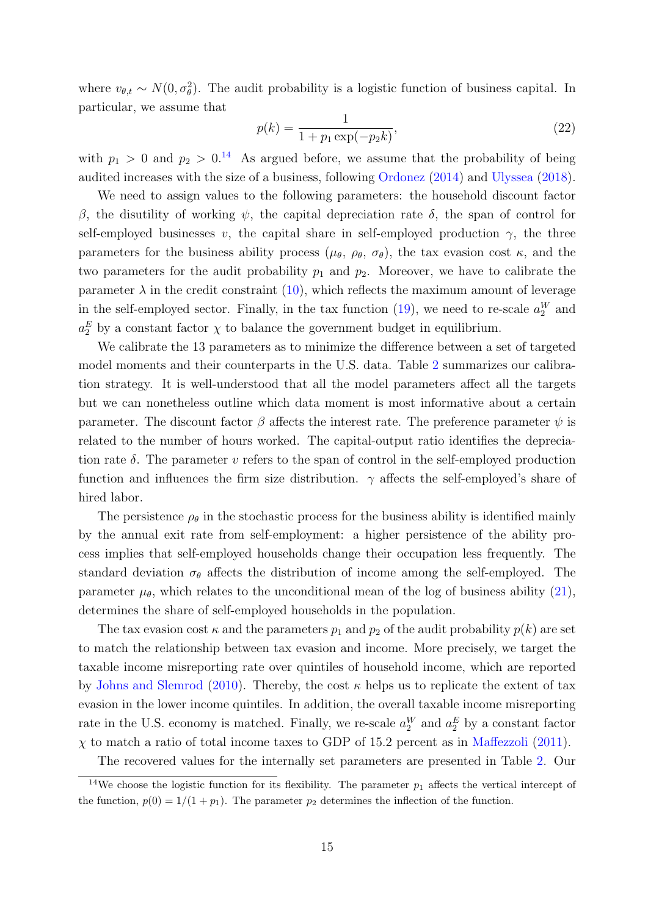<span id="page-15-0"></span>where  $v_{\theta,t} \sim N(0, \sigma_{\theta}^2)$ . The audit probability is a logistic function of business capital. In particular, we assume that

$$
p(k) = \frac{1}{1 + p_1 \exp(-p_2 k)},
$$
\n(22)

with  $p_1 > 0$  and  $p_2 > 0.14$  As argued before, we assume that the probability of being audited increases with the size of a business, following [Ordonez](#page-48-0) [\(2014\)](#page-48-0) and [Ulyssea](#page-48-0) [\(2018\)](#page-48-0).

We need to assign values to the following parameters: the household discount factor β, the disutility of working  $ψ$ , the capital depreciation rate δ, the span of control for self-employed businesses v, the capital share in self-employed production  $\gamma$ , the three parameters for the business ability process  $(\mu_{\theta}, \rho_{\theta}, \sigma_{\theta})$ , the tax evasion cost  $\kappa$ , and the two parameters for the audit probability  $p_1$  and  $p_2$ . Moreover, we have to calibrate the parameter  $\lambda$  in the credit constraint [\(10\)](#page-11-0), which reflects the maximum amount of leverage in the self-employed sector. Finally, in the tax function [\(19\)](#page-13-0), we need to re-scale  $a_2^W$  and  $a_2^E$  by a constant factor  $\chi$  to balance the government budget in equilibrium.

We calibrate the 13 parameters as to minimize the difference between a set of targeted model moments and their counterparts in the U.S. data. Table [2](#page-16-0) summarizes our calibration strategy. It is well-understood that all the model parameters affect all the targets but we can nonetheless outline which data moment is most informative about a certain parameter. The discount factor  $\beta$  affects the interest rate. The preference parameter  $\psi$  is related to the number of hours worked. The capital-output ratio identifies the depreciation rate  $\delta$ . The parameter v refers to the span of control in the self-employed production function and influences the firm size distribution.  $\gamma$  affects the self-employed's share of hired labor.

The persistence  $\rho_{\theta}$  in the stochastic process for the business ability is identified mainly by the annual exit rate from self-employment: a higher persistence of the ability process implies that self-employed households change their occupation less frequently. The standard deviation  $\sigma_{\theta}$  affects the distribution of income among the self-employed. The parameter  $\mu_{\theta}$ , which relates to the unconditional mean of the log of business ability [\(21\)](#page-14-0), determines the share of self-employed households in the population.

The tax evasion cost  $\kappa$  and the parameters  $p_1$  and  $p_2$  of the audit probability  $p(k)$  are set to match the relationship between tax evasion and income. More precisely, we target the taxable income misreporting rate over quintiles of household income, which are reported by [Johns and Slemrod](#page-47-0) [\(2010\)](#page-47-0). Thereby, the cost  $\kappa$  helps us to replicate the extent of tax evasion in the lower income quintiles. In addition, the overall taxable income misreporting rate in the U.S. economy is matched. Finally, we re-scale  $a_2^W$  and  $a_2^E$  by a constant factor  $\chi$  to match a ratio of total income taxes to GDP of 15.2 percent as in [Maffezzoli](#page-48-0) [\(2011\)](#page-48-0).

The recovered values for the internally set parameters are presented in Table [2.](#page-16-0) Our

<sup>&</sup>lt;sup>14</sup>We choose the logistic function for its flexibility. The parameter  $p_1$  affects the vertical intercept of the function,  $p(0) = 1/(1 + p_1)$ . The parameter  $p_2$  determines the inflection of the function.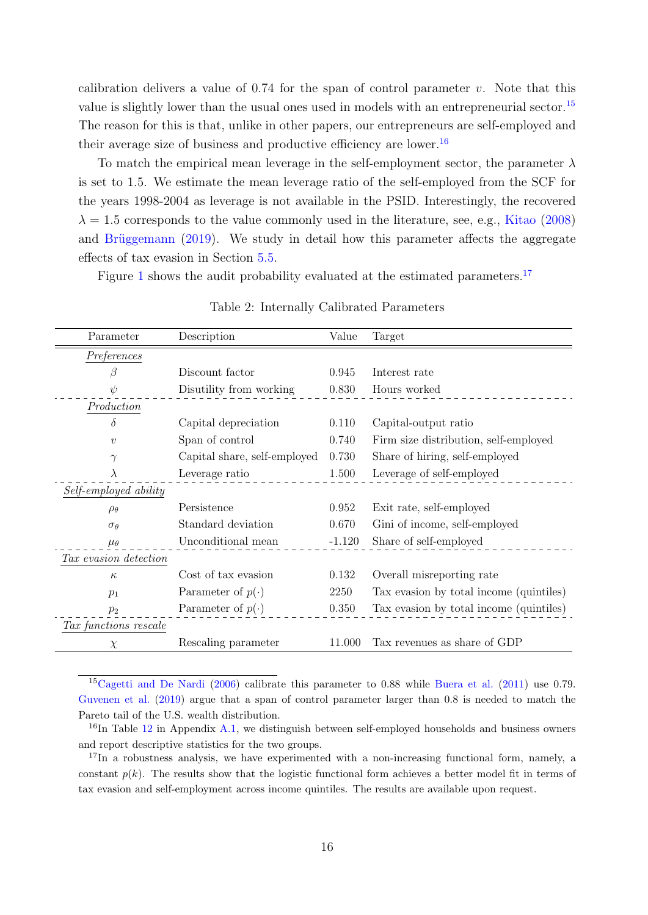<span id="page-16-0"></span>calibration delivers a value of  $0.74$  for the span of control parameter v. Note that this value is slightly lower than the usual ones used in models with an entrepreneurial sector.<sup>15</sup> The reason for this is that, unlike in other papers, our entrepreneurs are self-employed and their average size of business and productive efficiency are lower.<sup>16</sup>

To match the empirical mean leverage in the self-employment sector, the parameter  $\lambda$ is set to 1.5. We estimate the mean leverage ratio of the self-employed from the SCF for the years 1998-2004 as leverage is not available in the PSID. Interestingly, the recovered  $\lambda = 1.5$  corresponds to the value commonly used in the literature, see, e.g., [Kitao](#page-47-0) [\(2008\)](#page-47-0) and Brüggemann  $(2019)$ . We study in detail how this parameter affects the aggregate effects of tax evasion in Section [5.5.](#page-34-0)

Figure [1](#page-17-0) shows the audit probability evaluated at the estimated parameters.<sup>17</sup>

| Parameter             | Description                  | Value    | Target                                  |
|-----------------------|------------------------------|----------|-----------------------------------------|
| Preferences           |                              |          |                                         |
| β                     | Discount factor              | 0.945    | Interest rate                           |
| $\psi$                | Disutility from working      | 0.830    | Hours worked                            |
| Production            |                              |          |                                         |
| δ                     | Capital depreciation         | 0.110    | Capital-output ratio                    |
| $\boldsymbol{v}$      | Span of control              | 0.740    | Firm size distribution, self-employed   |
| $\gamma$              | Capital share, self-employed | 0.730    | Share of hiring, self-employed          |
| λ                     | Leverage ratio               | 1.500    | Leverage of self-employed               |
| Self-employed ability |                              |          |                                         |
| $\rho_{\theta}$       | Persistence                  | 0.952    | Exit rate, self-employed                |
| $\sigma_{\theta}$     | Standard deviation           | 0.670    | Gini of income, self-employed           |
| $\mu_{\theta}$        | Unconditional mean           | $-1.120$ | Share of self-employed                  |
| Tax evasion detection |                              |          |                                         |
| $\kappa$              | Cost of tax evasion          | 0.132    | Overall misreporting rate               |
| $p_1$                 | Parameter of $p(\cdot)$      | 2250     | Tax evasion by total income (quintiles) |
| $p_2$                 | Parameter of $p(\cdot)$      | 0.350    | Tax evasion by total income (quintiles) |
| Tax functions rescale |                              |          |                                         |
| $\chi$                | Rescaling parameter          | 11.000   | Tax revenues as share of GDP            |

#### Table 2: Internally Calibrated Parameters

<sup>15</sup>[Cagetti and De Nardi](#page-45-0) [\(2006\)](#page-45-0) calibrate this parameter to 0.88 while [Buera et al.](#page-45-0) [\(2011\)](#page-45-0) use 0.79. [Guvenen et al.](#page-46-0) [\(2019\)](#page-46-0) argue that a span of control parameter larger than 0.8 is needed to match the Pareto tail of the U.S. wealth distribution.

 $^{16}$ In Table [12](#page-51-0) in Appendix [A.1,](#page-50-0) we distinguish between self-employed households and business owners and report descriptive statistics for the two groups.

<sup>17</sup>In a robustness analysis, we have experimented with a non-increasing functional form, namely, a constant  $p(k)$ . The results show that the logistic functional form achieves a better model fit in terms of tax evasion and self-employment across income quintiles. The results are available upon request.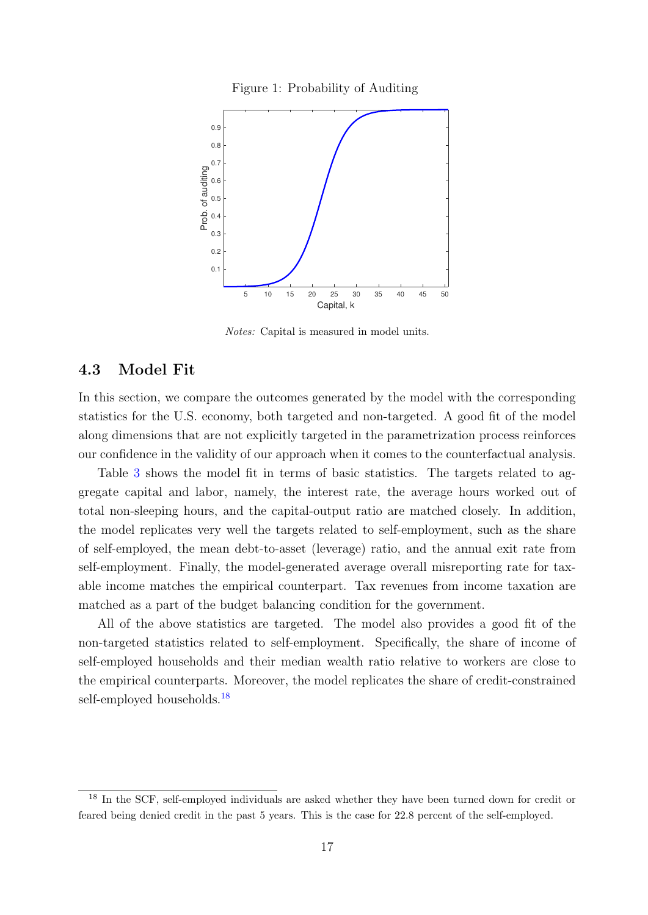Figure 1: Probability of Auditing

<span id="page-17-0"></span>

Notes: Capital is measured in model units.

#### 4.3 Model Fit

In this section, we compare the outcomes generated by the model with the corresponding statistics for the U.S. economy, both targeted and non-targeted. A good fit of the model along dimensions that are not explicitly targeted in the parametrization process reinforces our confidence in the validity of our approach when it comes to the counterfactual analysis.

Table [3](#page-18-0) shows the model fit in terms of basic statistics. The targets related to aggregate capital and labor, namely, the interest rate, the average hours worked out of total non-sleeping hours, and the capital-output ratio are matched closely. In addition, the model replicates very well the targets related to self-employment, such as the share of self-employed, the mean debt-to-asset (leverage) ratio, and the annual exit rate from self-employment. Finally, the model-generated average overall misreporting rate for taxable income matches the empirical counterpart. Tax revenues from income taxation are matched as a part of the budget balancing condition for the government.

All of the above statistics are targeted. The model also provides a good fit of the non-targeted statistics related to self-employment. Specifically, the share of income of self-employed households and their median wealth ratio relative to workers are close to the empirical counterparts. Moreover, the model replicates the share of credit-constrained self-employed households.<sup>18</sup>

<sup>18</sup> In the SCF, self-employed individuals are asked whether they have been turned down for credit or feared being denied credit in the past 5 years. This is the case for 22.8 percent of the self-employed.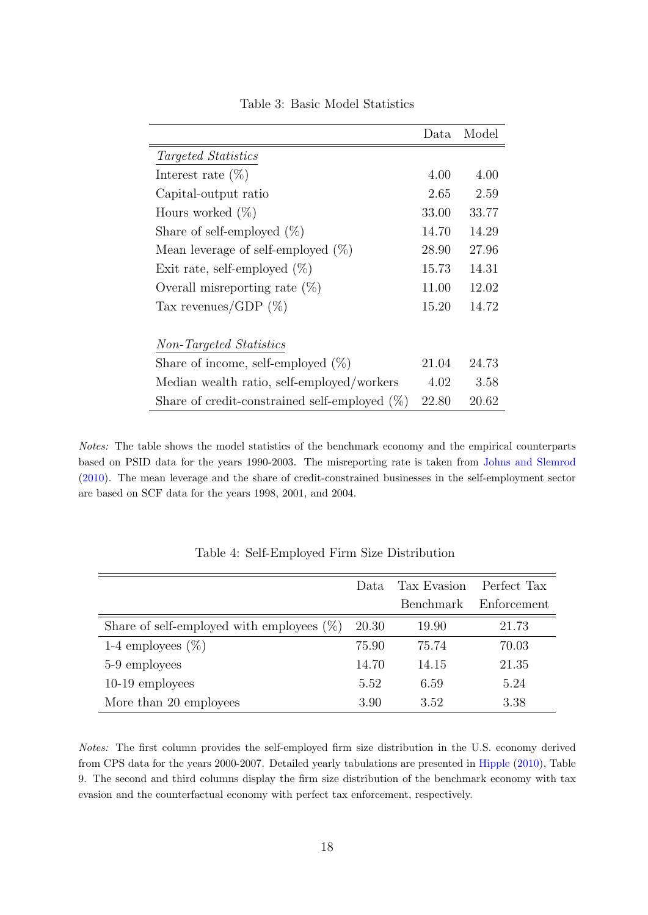<span id="page-18-0"></span>

|                                                  | Data  | Model |
|--------------------------------------------------|-------|-------|
| Targeted Statistics                              |       |       |
| Interest rate $(\%)$                             | 4.00  | 4.00  |
| Capital-output ratio                             | 2.65  | 2.59  |
| Hours worked $(\%)$                              | 33.00 | 33.77 |
| Share of self-employed $(\%)$                    | 14.70 | 14.29 |
| Mean leverage of self-employed $(\%)$            | 28.90 | 27.96 |
| Exit rate, self-employed $(\%)$                  | 15.73 | 14.31 |
| Overall misreporting rate $(\%)$                 | 11.00 | 12.02 |
| Tax revenues/GDP $(\%)$                          | 15.20 | 14.72 |
|                                                  |       |       |
| Non-Targeted Statistics                          |       |       |
| Share of income, self-employed $(\%)$            | 21.04 | 24.73 |
| Median wealth ratio, self-employed/workers       | 4.02  | 3.58  |
| Share of credit-constrained self-employed $(\%)$ | 22.80 | 20.62 |

Table 3: Basic Model Statistics

Notes: The table shows the model statistics of the benchmark economy and the empirical counterparts based on PSID data for the years 1990-2003. The misreporting rate is taken from [Johns and Slemrod](#page-47-0) [\(2010\)](#page-47-0). The mean leverage and the share of credit-constrained businesses in the self-employment sector are based on SCF data for the years 1998, 2001, and 2004.

 $\overline{a}$ 

|                                              | Data. | Tax Evasion | Perfect Tax |
|----------------------------------------------|-------|-------------|-------------|
|                                              |       | Benchmark   | Enforcement |
| Share of self-employed with employees $(\%)$ | 20.30 | 19.90       | 21.73       |
| 1-4 employees $(\%)$                         | 75.90 | 75.74       | 70.03       |
| 5-9 employees                                | 14.70 | 14.15       | 21.35       |
| 10-19 employees                              | 5.52  | 6.59        | 5.24        |
| More than 20 employees                       | 3.90  | 3.52        | 3.38        |

Table 4: Self-Employed Firm Size Distribution

Notes: The first column provides the self-employed firm size distribution in the U.S. economy derived from CPS data for the years 2000-2007. Detailed yearly tabulations are presented in [Hipple](#page-47-0) [\(2010\)](#page-47-0), Table 9. The second and third columns display the firm size distribution of the benchmark economy with tax evasion and the counterfactual economy with perfect tax enforcement, respectively.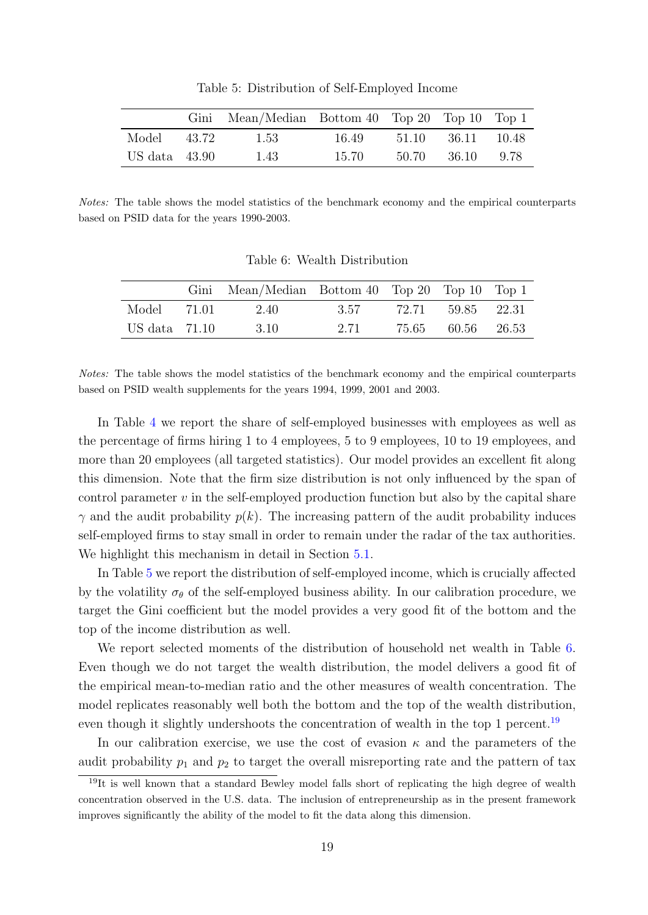Table 5: Distribution of Self-Employed Income

<span id="page-19-0"></span>

|                 |       | Gini Mean/Median Bottom 40 Top 20 Top 10 Top 1 |       |       |             |  |
|-----------------|-------|------------------------------------------------|-------|-------|-------------|--|
| Model           | 43.72 | - 1.53 -                                       | 16.49 | 51.10 | 36.11 10.48 |  |
| US data $43.90$ |       | 1.43                                           | 15.70 | 50.70 | 36.10 9.78  |  |

Notes: The table shows the model statistics of the benchmark economy and the empirical counterparts based on PSID data for the years 1990-2003.

|                 | Gini Mean/Median Bottom 40 Top 20 Top 10 Top 1 |      |                   |  |
|-----------------|------------------------------------------------|------|-------------------|--|
| Model 71.01     | 2.40                                           | 3.57 | 72.71 59.85 22.31 |  |
| US data $71.10$ | - 3.10                                         | 2.71 | 75.65 60.56 26.53 |  |

Table 6: Wealth Distribution

Notes: The table shows the model statistics of the benchmark economy and the empirical counterparts based on PSID wealth supplements for the years 1994, 1999, 2001 and 2003.

In Table [4](#page-18-0) we report the share of self-employed businesses with employees as well as the percentage of firms hiring 1 to 4 employees, 5 to 9 employees, 10 to 19 employees, and more than 20 employees (all targeted statistics). Our model provides an excellent fit along this dimension. Note that the firm size distribution is not only influenced by the span of control parameter  $v$  in the self-employed production function but also by the capital share  $\gamma$  and the audit probability  $p(k)$ . The increasing pattern of the audit probability induces self-employed firms to stay small in order to remain under the radar of the tax authorities. We highlight this mechanism in detail in Section [5.1.](#page-20-0)

In Table 5 we report the distribution of self-employed income, which is crucially affected by the volatility  $\sigma_{\theta}$  of the self-employed business ability. In our calibration procedure, we target the Gini coefficient but the model provides a very good fit of the bottom and the top of the income distribution as well.

We report selected moments of the distribution of household net wealth in Table 6. Even though we do not target the wealth distribution, the model delivers a good fit of the empirical mean-to-median ratio and the other measures of wealth concentration. The model replicates reasonably well both the bottom and the top of the wealth distribution, even though it slightly undershoots the concentration of wealth in the top 1 percent.<sup>19</sup>

In our calibration exercise, we use the cost of evasion  $\kappa$  and the parameters of the audit probability  $p_1$  and  $p_2$  to target the overall misreporting rate and the pattern of tax

<sup>&</sup>lt;sup>19</sup>It is well known that a standard Bewley model falls short of replicating the high degree of wealth concentration observed in the U.S. data. The inclusion of entrepreneurship as in the present framework improves significantly the ability of the model to fit the data along this dimension.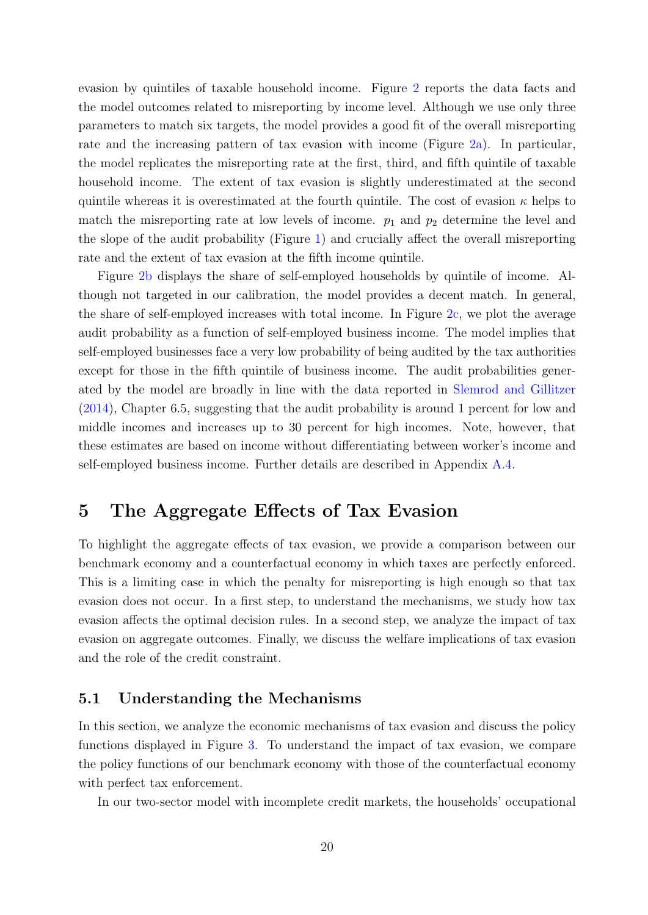<span id="page-20-0"></span>evasion by quintiles of taxable household income. Figure [2](#page-21-0) reports the data facts and the model outcomes related to misreporting by income level. Although we use only three parameters to match six targets, the model provides a good fit of the overall misreporting rate and the increasing pattern of tax evasion with income (Figure [2a\)](#page-21-0). In particular, the model replicates the misreporting rate at the first, third, and fifth quintile of taxable household income. The extent of tax evasion is slightly underestimated at the second quintile whereas it is overestimated at the fourth quintile. The cost of evasion  $\kappa$  helps to match the misreporting rate at low levels of income.  $p_1$  and  $p_2$  determine the level and the slope of the audit probability (Figure [1\)](#page-17-0) and crucially affect the overall misreporting rate and the extent of tax evasion at the fifth income quintile.

Figure [2b](#page-21-0) displays the share of self-employed households by quintile of income. Although not targeted in our calibration, the model provides a decent match. In general, the share of self-employed increases with total income. In Figure [2c,](#page-21-0) we plot the average audit probability as a function of self-employed business income. The model implies that self-employed businesses face a very low probability of being audited by the tax authorities except for those in the fifth quintile of business income. The audit probabilities generated by the model are broadly in line with the data reported in [Slemrod and Gillitzer](#page-48-0) [\(2014\)](#page-48-0), Chapter 6.5, suggesting that the audit probability is around 1 percent for low and middle incomes and increases up to 30 percent for high incomes. Note, however, that these estimates are based on income without differentiating between worker's income and self-employed business income. Further details are described in Appendix [A.4.](#page-52-0)

## 5 The Aggregate Effects of Tax Evasion

To highlight the aggregate effects of tax evasion, we provide a comparison between our benchmark economy and a counterfactual economy in which taxes are perfectly enforced. This is a limiting case in which the penalty for misreporting is high enough so that tax evasion does not occur. In a first step, to understand the mechanisms, we study how tax evasion affects the optimal decision rules. In a second step, we analyze the impact of tax evasion on aggregate outcomes. Finally, we discuss the welfare implications of tax evasion and the role of the credit constraint.

### 5.1 Understanding the Mechanisms

In this section, we analyze the economic mechanisms of tax evasion and discuss the policy functions displayed in Figure [3.](#page-24-0) To understand the impact of tax evasion, we compare the policy functions of our benchmark economy with those of the counterfactual economy with perfect tax enforcement.

In our two-sector model with incomplete credit markets, the households' occupational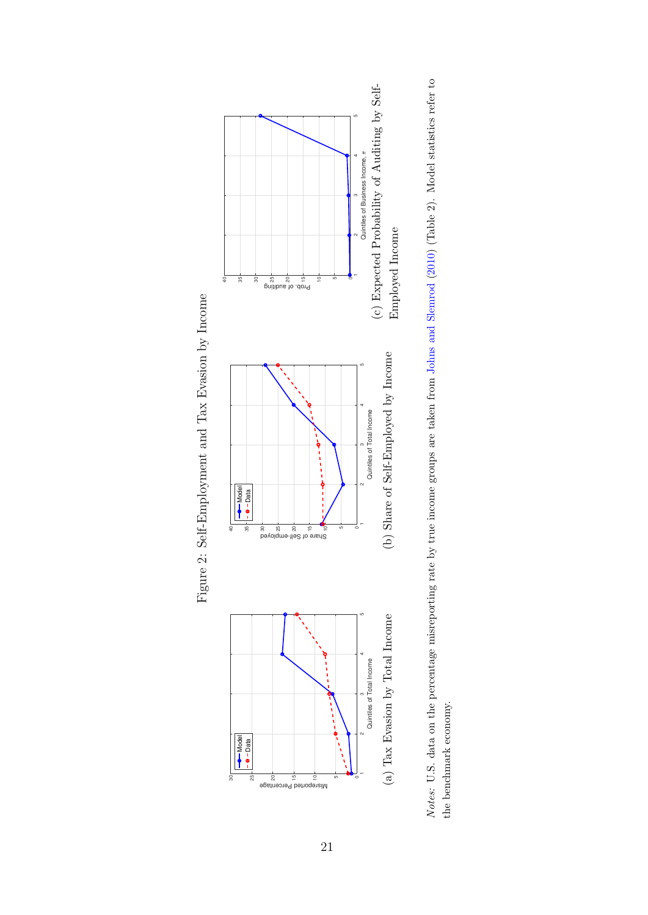<span id="page-21-0"></span>

Figure 2: Self-Employment and Tax Evasion by Income

Figure 2: Self-Employment and Tax Evasion by Income

Notes: U.S. data on the percentage misreporting rate by true income groups are taken from Johns and Slemrod (2010) (Table 2). Model statistics refer to Notes: U.S. data on the percentage misreporting rate by true income groups are taken from Johns and [Slemrod](#page-47-0) ([2010\)](#page-47-0) (Table 2). Model statistics refer to the benchmark economy. the benchmark economy.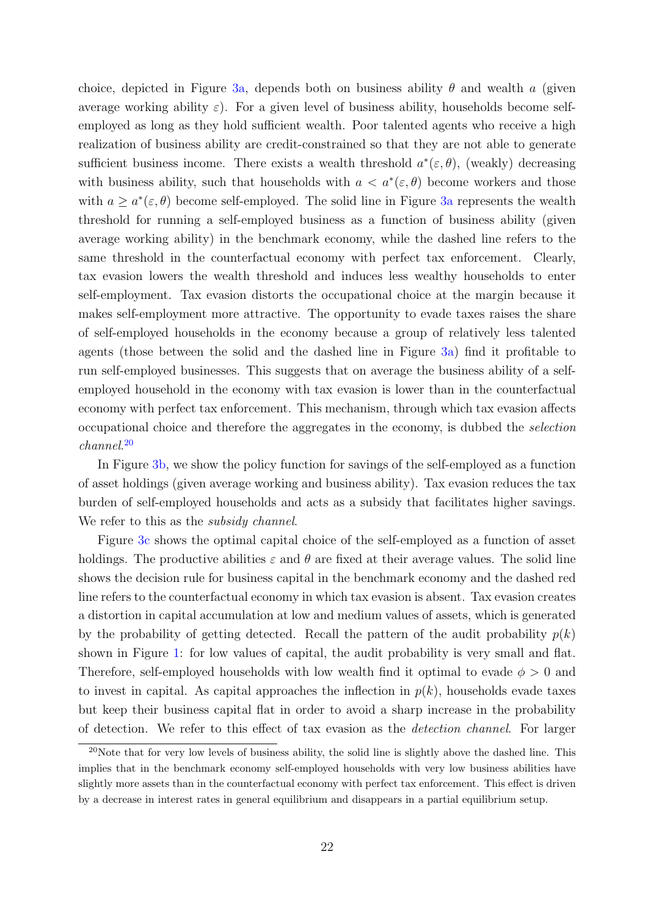choice, depicted in Figure [3a,](#page-24-0) depends both on business ability  $\theta$  and wealth a (given average working ability  $\varepsilon$ ). For a given level of business ability, households become selfemployed as long as they hold sufficient wealth. Poor talented agents who receive a high realization of business ability are credit-constrained so that they are not able to generate sufficient business income. There exists a wealth threshold  $a^*(\epsilon, \theta)$ , (weakly) decreasing with business ability, such that households with  $a < a^*(\varepsilon, \theta)$  become workers and those with  $a \ge a^*(\varepsilon, \theta)$  become self-employed. The solid line in Figure [3a](#page-24-0) represents the wealth threshold for running a self-employed business as a function of business ability (given average working ability) in the benchmark economy, while the dashed line refers to the same threshold in the counterfactual economy with perfect tax enforcement. Clearly, tax evasion lowers the wealth threshold and induces less wealthy households to enter self-employment. Tax evasion distorts the occupational choice at the margin because it makes self-employment more attractive. The opportunity to evade taxes raises the share of self-employed households in the economy because a group of relatively less talented agents (those between the solid and the dashed line in Figure [3a\)](#page-24-0) find it profitable to run self-employed businesses. This suggests that on average the business ability of a selfemployed household in the economy with tax evasion is lower than in the counterfactual economy with perfect tax enforcement. This mechanism, through which tax evasion affects occupational choice and therefore the aggregates in the economy, is dubbed the selection channel. 20

In Figure [3b,](#page-24-0) we show the policy function for savings of the self-employed as a function of asset holdings (given average working and business ability). Tax evasion reduces the tax burden of self-employed households and acts as a subsidy that facilitates higher savings. We refer to this as the *subsidy channel*.

Figure [3c](#page-24-0) shows the optimal capital choice of the self-employed as a function of asset holdings. The productive abilities  $\varepsilon$  and  $\theta$  are fixed at their average values. The solid line shows the decision rule for business capital in the benchmark economy and the dashed red line refers to the counterfactual economy in which tax evasion is absent. Tax evasion creates a distortion in capital accumulation at low and medium values of assets, which is generated by the probability of getting detected. Recall the pattern of the audit probability  $p(k)$ shown in Figure [1:](#page-17-0) for low values of capital, the audit probability is very small and flat. Therefore, self-employed households with low wealth find it optimal to evade  $\phi > 0$  and to invest in capital. As capital approaches the inflection in  $p(k)$ , households evade taxes but keep their business capital flat in order to avoid a sharp increase in the probability of detection. We refer to this effect of tax evasion as the detection channel. For larger

 $^{20}$ Note that for very low levels of business ability, the solid line is slightly above the dashed line. This implies that in the benchmark economy self-employed households with very low business abilities have slightly more assets than in the counterfactual economy with perfect tax enforcement. This effect is driven by a decrease in interest rates in general equilibrium and disappears in a partial equilibrium setup.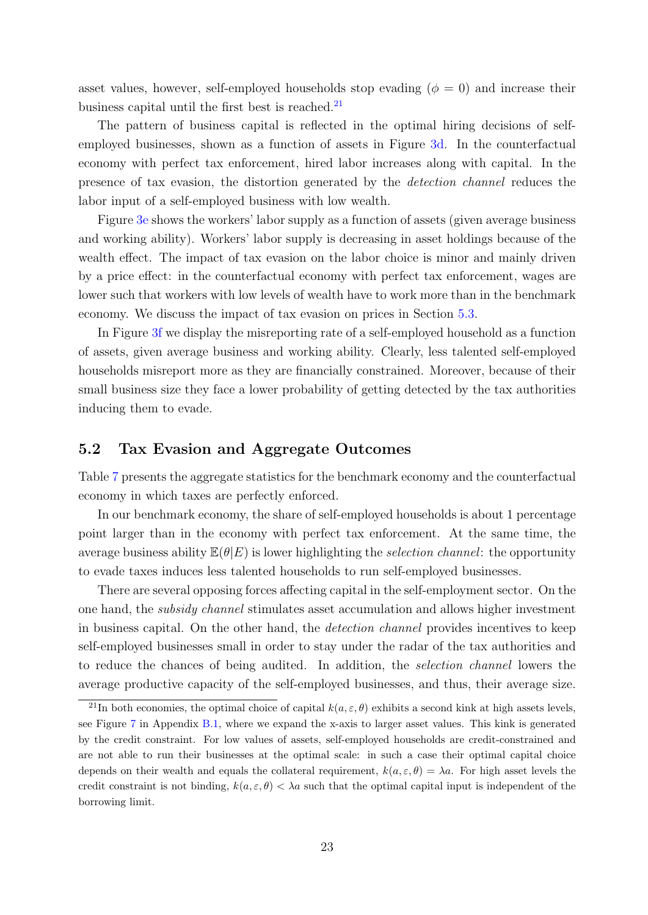asset values, however, self-employed households stop evading ( $\phi = 0$ ) and increase their business capital until the first best is reached.<sup>21</sup>

The pattern of business capital is reflected in the optimal hiring decisions of selfemployed businesses, shown as a function of assets in Figure [3d.](#page-24-0) In the counterfactual economy with perfect tax enforcement, hired labor increases along with capital. In the presence of tax evasion, the distortion generated by the detection channel reduces the labor input of a self-employed business with low wealth.

Figure [3e](#page-24-0) shows the workers' labor supply as a function of assets (given average business and working ability). Workers' labor supply is decreasing in asset holdings because of the wealth effect. The impact of tax evasion on the labor choice is minor and mainly driven by a price effect: in the counterfactual economy with perfect tax enforcement, wages are lower such that workers with low levels of wealth have to work more than in the benchmark economy. We discuss the impact of tax evasion on prices in Section [5.3.](#page-27-0)

In Figure [3f](#page-24-0) we display the misreporting rate of a self-employed household as a function of assets, given average business and working ability. Clearly, less talented self-employed households misreport more as they are financially constrained. Moreover, because of their small business size they face a lower probability of getting detected by the tax authorities inducing them to evade.

#### 5.2 Tax Evasion and Aggregate Outcomes

Table [7](#page-26-0) presents the aggregate statistics for the benchmark economy and the counterfactual economy in which taxes are perfectly enforced.

In our benchmark economy, the share of self-employed households is about 1 percentage point larger than in the economy with perfect tax enforcement. At the same time, the average business ability  $\mathbb{E}(\theta|E)$  is lower highlighting the selection channel: the opportunity to evade taxes induces less talented households to run self-employed businesses.

There are several opposing forces affecting capital in the self-employment sector. On the one hand, the subsidy channel stimulates asset accumulation and allows higher investment in business capital. On the other hand, the detection channel provides incentives to keep self-employed businesses small in order to stay under the radar of the tax authorities and to reduce the chances of being audited. In addition, the selection channel lowers the average productive capacity of the self-employed businesses, and thus, their average size.

<sup>&</sup>lt;sup>21</sup>In both economies, the optimal choice of capital  $k(a, \varepsilon, \theta)$  exhibits a second kink at high assets levels, see Figure [7](#page-54-0) in Appendix [B.1,](#page-53-0) where we expand the x-axis to larger asset values. This kink is generated by the credit constraint. For low values of assets, self-employed households are credit-constrained and are not able to run their businesses at the optimal scale: in such a case their optimal capital choice depends on their wealth and equals the collateral requirement,  $k(a, \varepsilon, \theta) = \lambda a$ . For high asset levels the credit constraint is not binding,  $k(a, \varepsilon, \theta) < \lambda a$  such that the optimal capital input is independent of the borrowing limit.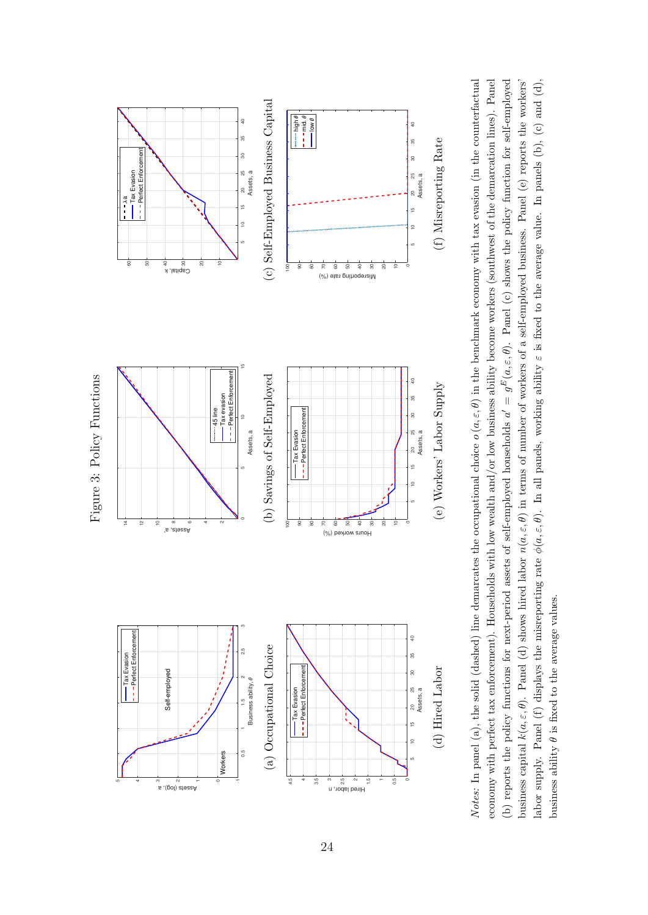<span id="page-24-0"></span>

Notes: In panel (a), the solid (dashed) line demarcates the occupational choice  $o(a, \varepsilon, \theta)$  in the benchmark economy with tax evasion (in the counterfactual economy with perfect tax enforcement). Households with low wealth and/or low business ability become workers (southwest of the demarcation lines). Panel (b) reports the policy functions for next-period assets of self-employed households  $a' = g^E(a, \varepsilon, \theta)$ . Panel (c) shows the policy function for self-employed ousiness capital  $k(a, \varepsilon, \theta)$ . Panel (d) shows hired labor  $n(a, \varepsilon, \theta)$  in terms of number of workers of a self-employed business. Panel (e) reports the workers' abor supply. Panel (f) displays the misreporting rate  $\phi(a,\varepsilon,\theta)$ . In all panels, working ability  $\varepsilon$  is fixed to the average value. In panels (b), (c) and (d), Notes: In panel (a), the solid (dashed) line demarcates the occupational choice  $o(a, \varepsilon, \theta)$  in the benchmark economy with tax evasion (in the counterfactual economy with perfect tax enforcement). Households with low wealth and/or low business ability become workers (southwest of the demarcation lines). Panel (b) reports the policy functions for next-period assets of self-employed households  $a' = g^E(a, \varepsilon, \theta)$ . Panel (c) shows the policy function for self-employed business capital  $k(a, \varepsilon, \theta)$ . Panel (d) shows hired labor  $n(a, \varepsilon, \theta)$  in terms of number of workers of a self-employed business. Panel (e) reports the workers' labor supply. Panel (f) displays the misreporting rate  $\phi(a, \varepsilon, \theta)$ . In all panels, working ability  $\varepsilon$  is fixed to the average value. In panels (b), (c) and (d), ousiness ability  $\theta$  is fixed to the average values. business ability  $\theta$  is fixed to the average values.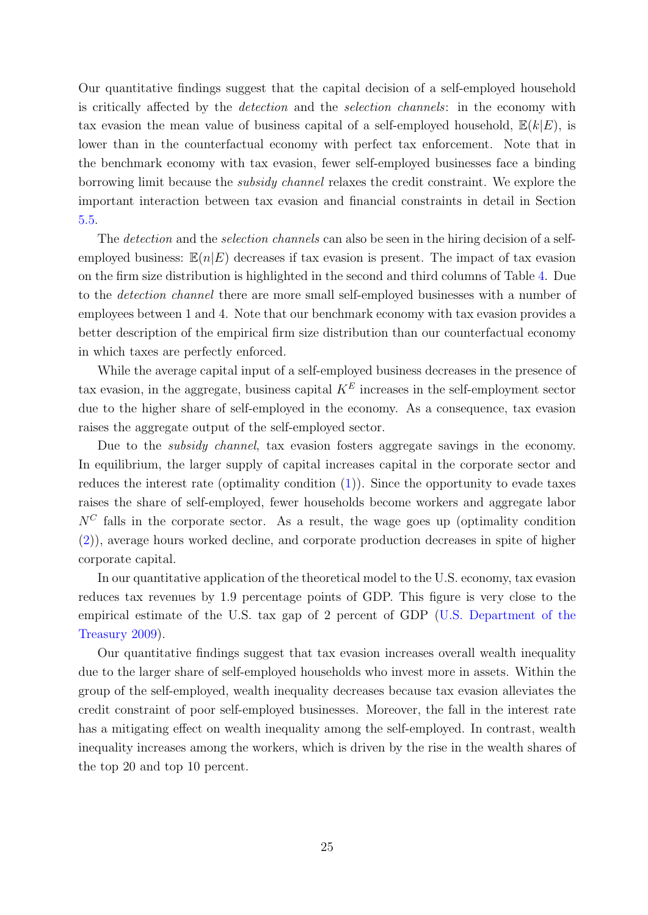Our quantitative findings suggest that the capital decision of a self-employed household is critically affected by the detection and the selection channels: in the economy with tax evasion the mean value of business capital of a self-employed household,  $\mathbb{E}(k|E)$ , is lower than in the counterfactual economy with perfect tax enforcement. Note that in the benchmark economy with tax evasion, fewer self-employed businesses face a binding borrowing limit because the subsidy channel relaxes the credit constraint. We explore the important interaction between tax evasion and financial constraints in detail in Section [5.5.](#page-34-0)

The *detection* and the *selection channels* can also be seen in the hiring decision of a selfemployed business:  $\mathbb{E}(n|E)$  decreases if tax evasion is present. The impact of tax evasion on the firm size distribution is highlighted in the second and third columns of Table [4.](#page-18-0) Due to the detection channel there are more small self-employed businesses with a number of employees between 1 and 4. Note that our benchmark economy with tax evasion provides a better description of the empirical firm size distribution than our counterfactual economy in which taxes are perfectly enforced.

While the average capital input of a self-employed business decreases in the presence of tax evasion, in the aggregate, business capital  $K<sup>E</sup>$  increases in the self-employment sector due to the higher share of self-employed in the economy. As a consequence, tax evasion raises the aggregate output of the self-employed sector.

Due to the subsidy channel, tax evasion fosters aggregate savings in the economy. In equilibrium, the larger supply of capital increases capital in the corporate sector and reduces the interest rate (optimality condition [\(1\)](#page-8-0)). Since the opportunity to evade taxes raises the share of self-employed, fewer households become workers and aggregate labor  $N^C$  falls in the corporate sector. As a result, the wage goes up (optimality condition [\(2\)](#page-8-0)), average hours worked decline, and corporate production decreases in spite of higher corporate capital.

In our quantitative application of the theoretical model to the U.S. economy, tax evasion reduces tax revenues by 1.9 percentage points of GDP. This figure is very close to the empirical estimate of the U.S. tax gap of 2 percent of GDP [\(U.S. Department of the](#page-48-0) [Treasury](#page-48-0) [2009\)](#page-48-0).

Our quantitative findings suggest that tax evasion increases overall wealth inequality due to the larger share of self-employed households who invest more in assets. Within the group of the self-employed, wealth inequality decreases because tax evasion alleviates the credit constraint of poor self-employed businesses. Moreover, the fall in the interest rate has a mitigating effect on wealth inequality among the self-employed. In contrast, wealth inequality increases among the workers, which is driven by the rise in the wealth shares of the top 20 and top 10 percent.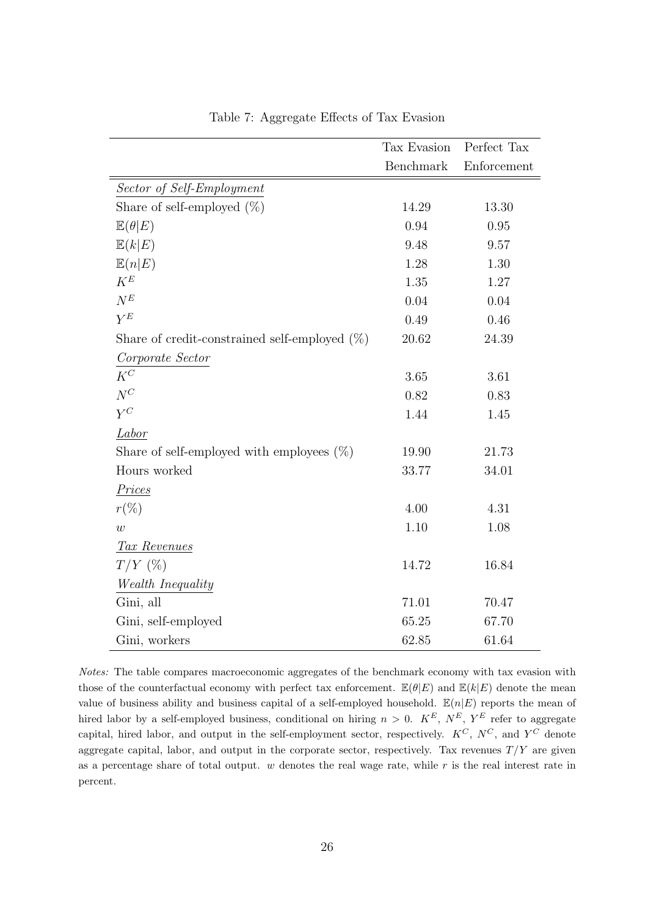<span id="page-26-0"></span>

|                                                  | Tax Evasion | Perfect Tax |
|--------------------------------------------------|-------------|-------------|
|                                                  | Benchmark   | Enforcement |
| Sector of Self-Employment                        |             |             |
| Share of self-employed $(\%)$                    | 14.29       | 13.30       |
| $\mathbb{E}(\theta E)$                           | 0.94        | 0.95        |
| $\mathbb{E}(k E)$                                | 9.48        | 9.57        |
| $\mathbb{E}(n E)$                                | 1.28        | 1.30        |
| ${\cal K}^E$                                     | 1.35        | 1.27        |
| $N^E$                                            | 0.04        | 0.04        |
| $Y^E$                                            | 0.49        | 0.46        |
| Share of credit-constrained self-employed $(\%)$ | 20.62       | 24.39       |
| Corporate Sector                                 |             |             |
| $K^C$                                            | 3.65        | 3.61        |
| $N^C$                                            | 0.82        | 0.83        |
| $Y^C$                                            | 1.44        | 1.45        |
| Labor                                            |             |             |
| Share of self-employed with employees $(\%)$     | 19.90       | 21.73       |
| Hours worked                                     | 33.77       | 34.01       |
| Prices                                           |             |             |
| $r(\%)$                                          | 4.00        | 4.31        |
| w                                                | 1.10        | 1.08        |
| Tax Revenues                                     |             |             |
| $T/Y$ (%)                                        | 14.72       | 16.84       |
| Wealth Inequality                                |             |             |
| Gini, all                                        | 71.01       | 70.47       |
| Gini, self-employed                              | 65.25       | 67.70       |
| Gini, workers                                    | 62.85       | 61.64       |

Table 7: Aggregate Effects of Tax Evasion

Notes: The table compares macroeconomic aggregates of the benchmark economy with tax evasion with those of the counterfactual economy with perfect tax enforcement.  $\mathbb{E}(\theta|E)$  and  $\mathbb{E}(k|E)$  denote the mean value of business ability and business capital of a self-employed household.  $\mathbb{E}(n|E)$  reports the mean of hired labor by a self-employed business, conditional on hiring  $n > 0$ .  $K^E$ ,  $N^E$ ,  $Y^E$  refer to aggregate capital, hired labor, and output in the self-employment sector, respectively.  $K^C$ ,  $N^C$ , and  $Y^C$  denote aggregate capital, labor, and output in the corporate sector, respectively. Tax revenues  $T/Y$  are given as a percentage share of total output.  $w$  denotes the real wage rate, while  $r$  is the real interest rate in percent.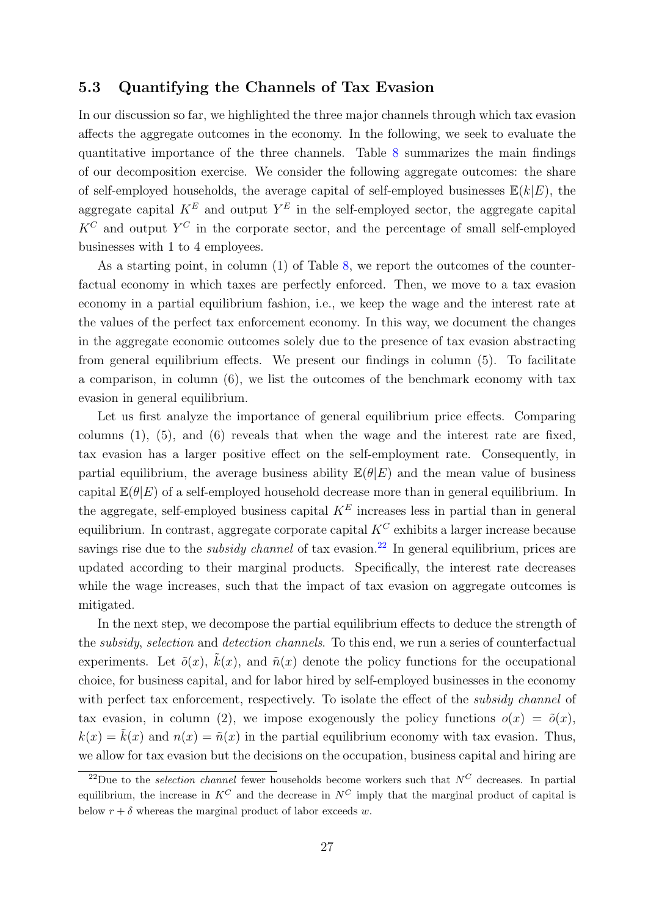#### <span id="page-27-0"></span>5.3 Quantifying the Channels of Tax Evasion

In our discussion so far, we highlighted the three major channels through which tax evasion affects the aggregate outcomes in the economy. In the following, we seek to evaluate the quantitative importance of the three channels. Table [8](#page-29-0) summarizes the main findings of our decomposition exercise. We consider the following aggregate outcomes: the share of self-employed households, the average capital of self-employed businesses  $\mathbb{E}(k|E)$ , the aggregate capital  $K^E$  and output  $Y^E$  in the self-employed sector, the aggregate capital  $K^C$  and output  $Y^C$  in the corporate sector, and the percentage of small self-employed businesses with 1 to 4 employees.

As a starting point, in column (1) of Table [8,](#page-29-0) we report the outcomes of the counterfactual economy in which taxes are perfectly enforced. Then, we move to a tax evasion economy in a partial equilibrium fashion, i.e., we keep the wage and the interest rate at the values of the perfect tax enforcement economy. In this way, we document the changes in the aggregate economic outcomes solely due to the presence of tax evasion abstracting from general equilibrium effects. We present our findings in column (5). To facilitate a comparison, in column (6), we list the outcomes of the benchmark economy with tax evasion in general equilibrium.

Let us first analyze the importance of general equilibrium price effects. Comparing columns  $(1)$ ,  $(5)$ , and  $(6)$  reveals that when the wage and the interest rate are fixed, tax evasion has a larger positive effect on the self-employment rate. Consequently, in partial equilibrium, the average business ability  $\mathbb{E}(\theta|E)$  and the mean value of business capital  $\mathbb{E}(\theta|E)$  of a self-employed household decrease more than in general equilibrium. In the aggregate, self-employed business capital  $K<sup>E</sup>$  increases less in partial than in general equilibrium. In contrast, aggregate corporate capital  $K^C$  exhibits a larger increase because savings rise due to the *subsidy channel* of tax evasion.<sup>22</sup> In general equilibrium, prices are updated according to their marginal products. Specifically, the interest rate decreases while the wage increases, such that the impact of tax evasion on aggregate outcomes is mitigated.

In the next step, we decompose the partial equilibrium effects to deduce the strength of the subsidy, selection and detection channels. To this end, we run a series of counterfactual experiments. Let  $\tilde{\rho}(x)$ ,  $k(x)$ , and  $\tilde{n}(x)$  denote the policy functions for the occupational choice, for business capital, and for labor hired by self-employed businesses in the economy with perfect tax enforcement, respectively. To isolate the effect of the *subsidy channel* of tax evasion, in column (2), we impose exogenously the policy functions  $o(x) = \tilde{o}(x)$ ,  $k(x) = \tilde{k}(x)$  and  $n(x) = \tilde{n}(x)$  in the partial equilibrium economy with tax evasion. Thus, we allow for tax evasion but the decisions on the occupation, business capital and hiring are

 $\overline{a^{22}$ Due to the *selection channel* fewer households become workers such that  $N^C$  decreases. In partial equilibrium, the increase in  $K^C$  and the decrease in  $N^C$  imply that the marginal product of capital is below  $r + \delta$  whereas the marginal product of labor exceeds w.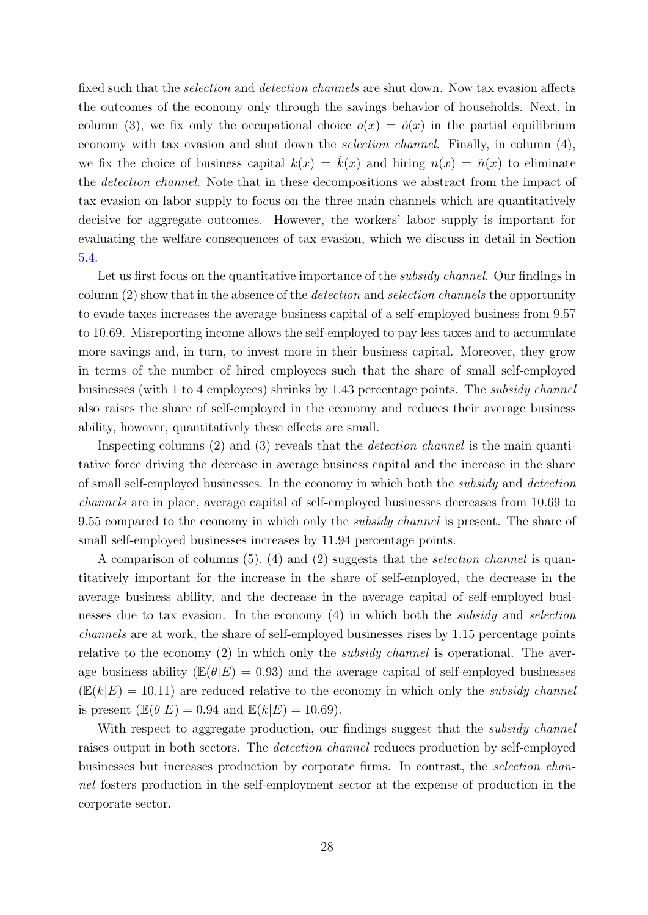fixed such that the *selection* and *detection channels* are shut down. Now tax evasion affects the outcomes of the economy only through the savings behavior of households. Next, in column (3), we fix only the occupational choice  $o(x) = \tilde{o}(x)$  in the partial equilibrium economy with tax evasion and shut down the selection channel. Finally, in column (4), we fix the choice of business capital  $k(x) = \tilde{k}(x)$  and hiring  $n(x) = \tilde{n}(x)$  to eliminate the detection channel. Note that in these decompositions we abstract from the impact of tax evasion on labor supply to focus on the three main channels which are quantitatively decisive for aggregate outcomes. However, the workers' labor supply is important for evaluating the welfare consequences of tax evasion, which we discuss in detail in Section [5.4.](#page-30-0)

Let us first focus on the quantitative importance of the *subsidy channel*. Our findings in column (2) show that in the absence of the detection and selection channels the opportunity to evade taxes increases the average business capital of a self-employed business from 9.57 to 10.69. Misreporting income allows the self-employed to pay less taxes and to accumulate more savings and, in turn, to invest more in their business capital. Moreover, they grow in terms of the number of hired employees such that the share of small self-employed businesses (with 1 to 4 employees) shrinks by 1.43 percentage points. The subsidy channel also raises the share of self-employed in the economy and reduces their average business ability, however, quantitatively these effects are small.

Inspecting columns  $(2)$  and  $(3)$  reveals that the *detection channel* is the main quantitative force driving the decrease in average business capital and the increase in the share of small self-employed businesses. In the economy in which both the subsidy and detection channels are in place, average capital of self-employed businesses decreases from 10.69 to 9.55 compared to the economy in which only the *subsidy channel* is present. The share of small self-employed businesses increases by 11.94 percentage points.

A comparison of columns (5), (4) and (2) suggests that the selection channel is quantitatively important for the increase in the share of self-employed, the decrease in the average business ability, and the decrease in the average capital of self-employed businesses due to tax evasion. In the economy (4) in which both the subsidy and selection channels are at work, the share of self-employed businesses rises by 1.15 percentage points relative to the economy (2) in which only the *subsidy channel* is operational. The average business ability ( $\mathbb{E}(\theta|E) = 0.93$ ) and the average capital of self-employed businesses  $(\mathbb{E}(k|E) = 10.11)$  are reduced relative to the economy in which only the subsidy channel is present  $(\mathbb{E}(\theta|E) = 0.94$  and  $\mathbb{E}(k|E) = 10.69)$ .

With respect to aggregate production, our findings suggest that the *subsidy channel* raises output in both sectors. The *detection channel* reduces production by self-employed businesses but increases production by corporate firms. In contrast, the selection channel fosters production in the self-employment sector at the expense of production in the corporate sector.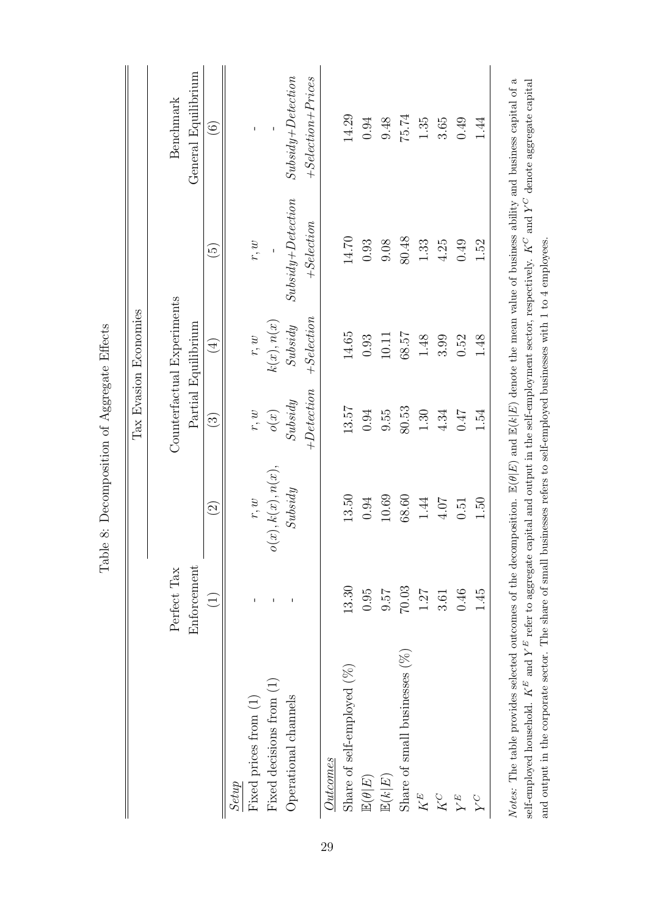<span id="page-29-0"></span>

|                                                                                                                                                                                                                                                                                                                                          |                 | T                    |                            | Tax Evasion Economies |                          |                       |
|------------------------------------------------------------------------------------------------------------------------------------------------------------------------------------------------------------------------------------------------------------------------------------------------------------------------------------------|-----------------|----------------------|----------------------------|-----------------------|--------------------------|-----------------------|
|                                                                                                                                                                                                                                                                                                                                          | Perfect Tax     |                      | Counterfactual Experiments |                       |                          | Benchmark             |
|                                                                                                                                                                                                                                                                                                                                          | Enforcement     |                      |                            | Partial Equilibrium   |                          | General Equilibrium   |
|                                                                                                                                                                                                                                                                                                                                          | $\widehat{\Xi}$ | $\widetilde{\Omega}$ | $\widetilde{\Xi}$          | $(\pm)$               | $\widetilde{\mathbb{G}}$ | $\widehat{\circ}$     |
| Setup                                                                                                                                                                                                                                                                                                                                    |                 |                      |                            |                       |                          |                       |
| Fixed prices from (1)                                                                                                                                                                                                                                                                                                                    |                 | r, w                 | $r,w$                      | r, w                  | r, w                     | ı                     |
| Fixed decisions from (1)                                                                                                                                                                                                                                                                                                                 |                 | o(x), k(x), n(x),    | $o(x)$                     | k(x), n(x)            |                          |                       |
| Operational channels                                                                                                                                                                                                                                                                                                                     |                 | Subsidy              | Subsidy                    | Subsidy               | $Subsidy+Detection$      | $Subsidy+Detection$   |
|                                                                                                                                                                                                                                                                                                                                          |                 |                      | $+Detection$               | $+ Selection$         | $+ Selection$            | $+Selection + Prices$ |
| Outcomes                                                                                                                                                                                                                                                                                                                                 |                 |                      |                            |                       |                          |                       |
| Share of self-employed (%)                                                                                                                                                                                                                                                                                                               | 13.30           | 13.50                | 13.57                      | 14.65                 | 14.70                    | 14.29                 |
| $\mathbb{E}(\theta E)$                                                                                                                                                                                                                                                                                                                   | 0.95            | 0.94                 | 0.94                       | 0.93                  | 0.93                     | 0.94                  |
| $\mathbb{E}(k E)$                                                                                                                                                                                                                                                                                                                        | 19.6            | 10.69                | 0.55                       | 10.11                 | 9.08                     | 9.48                  |
| Share of small businesses $(\%)$                                                                                                                                                                                                                                                                                                         | $70.03\,$       | 68.60                | 80.53                      | 68.57                 | 80.48                    | 75.74                 |
| $K^E$                                                                                                                                                                                                                                                                                                                                    | 1.27            | 1.44                 | 1.30                       | 1.48                  | 1.33                     | 1.35                  |
| $K^C$                                                                                                                                                                                                                                                                                                                                    | 3.61            | 4.07                 | 4.34                       | 3.99                  | 4.25                     | 3.65                  |
| $Y^E\,$                                                                                                                                                                                                                                                                                                                                  | 0.46            | 0.51                 | 747                        | 0.52                  | 0.49                     | 0.49                  |
| $\zeta$                                                                                                                                                                                                                                                                                                                                  | 1.45            | 1.50                 | 1.54                       | 1.48                  | 1.52                     | 1.44                  |
| Notes: The table provides selected outcomes of the decomposition. $E(\theta E)$ and $E(k E)$ denote the mean value of business ability and business capital of a<br>self-employed household. $K^E$ and $Y^E$ refer to aggregate capital and output in the self-employment sector, respectively. $K^C$ and $Y^C$ denote aggregate capital |                 |                      |                            |                       |                          |                       |

and output in the corporate sector. The share of small businesses refers to self-employed businesses with 1 to 4 employees.

and output in the corporate sector. The share of small businesses refers to self-employed businesses with 1 to 4 employees.

Table 8: Decomposition of Aggregate Effects Table 8: Decomposition of Aggregate Effects

29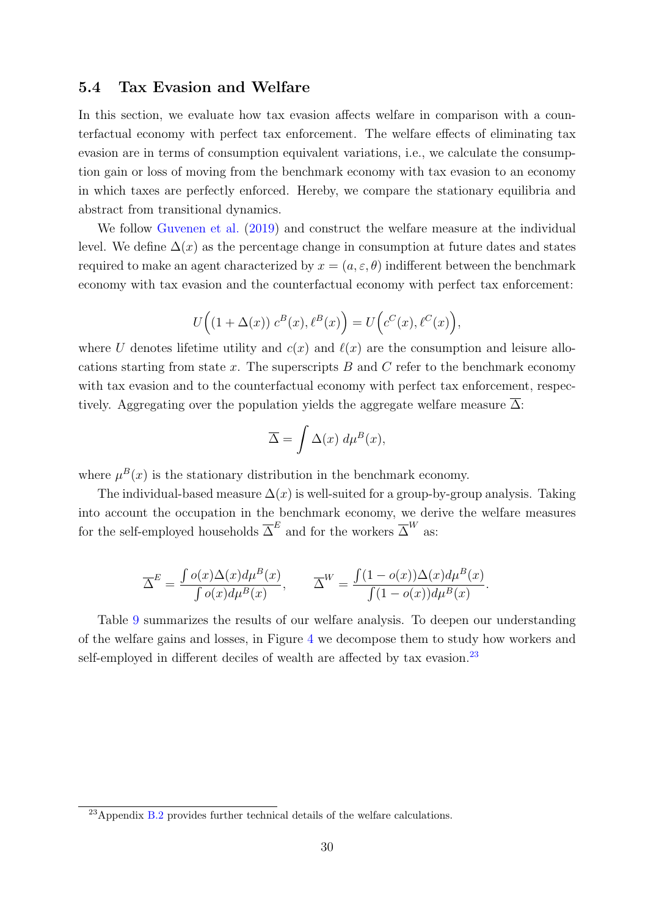#### <span id="page-30-0"></span>5.4 Tax Evasion and Welfare

In this section, we evaluate how tax evasion affects welfare in comparison with a counterfactual economy with perfect tax enforcement. The welfare effects of eliminating tax evasion are in terms of consumption equivalent variations, i.e., we calculate the consumption gain or loss of moving from the benchmark economy with tax evasion to an economy in which taxes are perfectly enforced. Hereby, we compare the stationary equilibria and abstract from transitional dynamics.

We follow [Guvenen et al.](#page-46-0) [\(2019\)](#page-46-0) and construct the welfare measure at the individual level. We define  $\Delta(x)$  as the percentage change in consumption at future dates and states required to make an agent characterized by  $x = (a, \varepsilon, \theta)$  indifferent between the benchmark economy with tax evasion and the counterfactual economy with perfect tax enforcement:

$$
U\Big((1+\Delta(x))\;c^B(x),\ell^B(x)\Big)=U\Big(c^C(x),\ell^C(x)\Big),
$$

where U denotes lifetime utility and  $c(x)$  and  $\ell(x)$  are the consumption and leisure allocations starting from state x. The superscripts  $B$  and  $C$  refer to the benchmark economy with tax evasion and to the counterfactual economy with perfect tax enforcement, respectively. Aggregating over the population yields the aggregate welfare measure ∆:

$$
\overline{\Delta} = \int \Delta(x) \, d\mu^B(x),
$$

where  $\mu^{B}(x)$  is the stationary distribution in the benchmark economy.

The individual-based measure  $\Delta(x)$  is well-suited for a group-by-group analysis. Taking into account the occupation in the benchmark economy, we derive the welfare measures for the self-employed households  $\overline{\Delta}^E$  and for the workers  $\overline{\Delta}^W$  as:

$$
\overline{\Delta}^E = \frac{\int o(x)\Delta(x)d\mu^B(x)}{\int o(x)d\mu^B(x)}, \qquad \overline{\Delta}^W = \frac{\int (1 - o(x))\Delta(x)d\mu^B(x)}{\int (1 - o(x))d\mu^B(x)}.
$$

Table [9](#page-31-0) summarizes the results of our welfare analysis. To deepen our understanding of the welfare gains and losses, in Figure [4](#page-33-0) we decompose them to study how workers and self-employed in different deciles of wealth are affected by tax evasion.<sup>23</sup>

 $^{23}$ Appendix [B.2](#page-54-0) provides further technical details of the welfare calculations.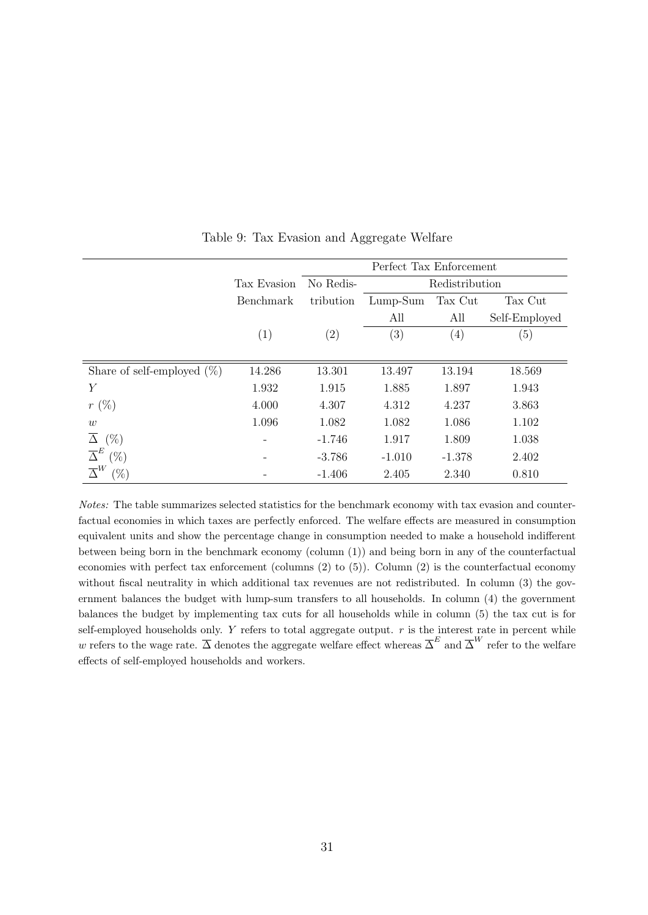<span id="page-31-0"></span>

|                                 |                  |                   | Perfect Tax Enforcement |                   |               |  |
|---------------------------------|------------------|-------------------|-------------------------|-------------------|---------------|--|
|                                 | Tax Evasion      | No Redis-         |                         | Redistribution    |               |  |
|                                 | <b>Benchmark</b> | tribution         | $Lump-Sum$              | Tax Cut           | Tax Cut       |  |
|                                 |                  |                   | All                     | All               | Self-Employed |  |
|                                 | (1)              | $\left( 2\right)$ | $\left( 3\right)$       | $\left( 4\right)$ | (5)           |  |
|                                 |                  |                   |                         |                   |               |  |
| Share of self-employed $(\%)$   | 14.286           | 13.301            | 13.497                  | 13.194            | 18.569        |  |
| Y                               | 1.932            | 1.915             | 1.885                   | 1.897             | 1.943         |  |
| $r(\%)$                         | 4.000            | 4.307             | 4.312                   | 4.237             | 3.863         |  |
| w                               | 1.096            | 1.082             | 1.082                   | 1.086             | 1.102         |  |
| Δ<br>$(\% )$                    |                  | $-1.746$          | 1.917                   | 1.809             | 1.038         |  |
| $\overline{\Delta}^E$<br>(% )   |                  | $-3.786$          | $-1.010$                | $-1.378$          | 2.402         |  |
| $\overline{\wedge}^W$<br>$(\%)$ |                  | $-1.406$          | 2.405                   | 2.340             | 0.810         |  |

Table 9: Tax Evasion and Aggregate Welfare

Notes: The table summarizes selected statistics for the benchmark economy with tax evasion and counterfactual economies in which taxes are perfectly enforced. The welfare effects are measured in consumption equivalent units and show the percentage change in consumption needed to make a household indifferent between being born in the benchmark economy (column (1)) and being born in any of the counterfactual economies with perfect tax enforcement (columns (2) to (5)). Column (2) is the counterfactual economy without fiscal neutrality in which additional tax revenues are not redistributed. In column (3) the government balances the budget with lump-sum transfers to all households. In column (4) the government balances the budget by implementing tax cuts for all households while in column (5) the tax cut is for self-employed households only. Y refers to total aggregate output.  $r$  is the interest rate in percent while w refers to the wage rate.  $\overline{\Delta}$  denotes the aggregate welfare effect whereas  $\overline{\Delta}^E$  and  $\overline{\Delta}^W$  refer to the welfare effects of self-employed households and workers.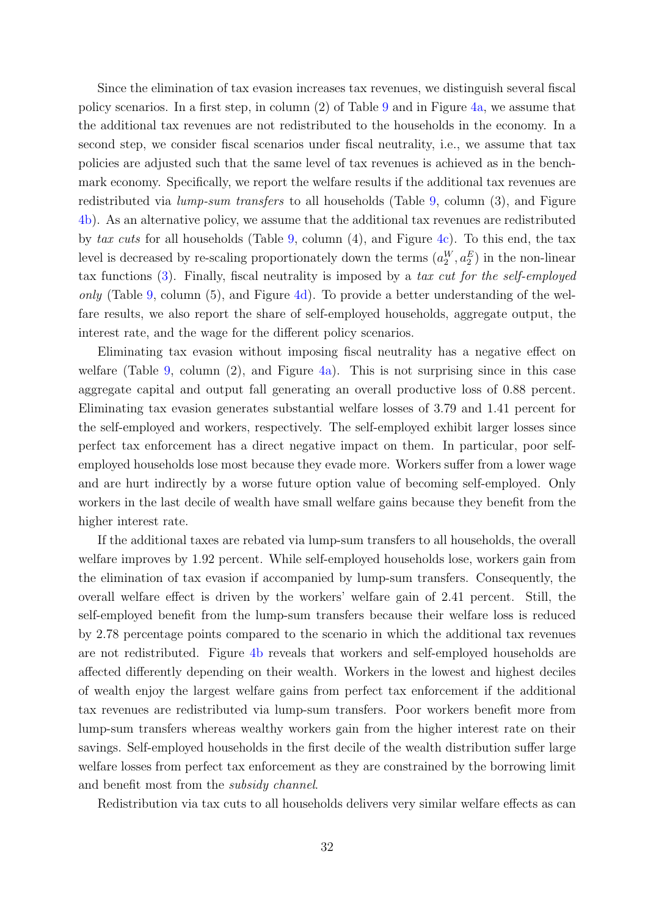Since the elimination of tax evasion increases tax revenues, we distinguish several fiscal policy scenarios. In a first step, in column (2) of Table [9](#page-31-0) and in Figure [4a,](#page-33-0) we assume that the additional tax revenues are not redistributed to the households in the economy. In a second step, we consider fiscal scenarios under fiscal neutrality, i.e., we assume that tax policies are adjusted such that the same level of tax revenues is achieved as in the benchmark economy. Specifically, we report the welfare results if the additional tax revenues are redistributed via lump-sum transfers to all households (Table [9,](#page-31-0) column (3), and Figure [4b\)](#page-33-0). As an alternative policy, we assume that the additional tax revenues are redistributed by tax cuts for all households (Table [9,](#page-31-0) column  $(4)$ , and Figure [4c\)](#page-33-0). To this end, the tax level is decreased by re-scaling proportionately down the terms  $(a_2^W, a_2^E)$  in the non-linear tax functions [\(3\)](#page-8-0). Finally, fiscal neutrality is imposed by a tax cut for the self-employed only (Table [9,](#page-31-0) column  $(5)$ , and Figure [4d\)](#page-33-0). To provide a better understanding of the welfare results, we also report the share of self-employed households, aggregate output, the interest rate, and the wage for the different policy scenarios.

Eliminating tax evasion without imposing fiscal neutrality has a negative effect on welfare (Table [9,](#page-31-0) column  $(2)$ , and Figure [4a\)](#page-33-0). This is not surprising since in this case aggregate capital and output fall generating an overall productive loss of 0.88 percent. Eliminating tax evasion generates substantial welfare losses of 3.79 and 1.41 percent for the self-employed and workers, respectively. The self-employed exhibit larger losses since perfect tax enforcement has a direct negative impact on them. In particular, poor selfemployed households lose most because they evade more. Workers suffer from a lower wage and are hurt indirectly by a worse future option value of becoming self-employed. Only workers in the last decile of wealth have small welfare gains because they benefit from the higher interest rate.

If the additional taxes are rebated via lump-sum transfers to all households, the overall welfare improves by 1.92 percent. While self-employed households lose, workers gain from the elimination of tax evasion if accompanied by lump-sum transfers. Consequently, the overall welfare effect is driven by the workers' welfare gain of 2.41 percent. Still, the self-employed benefit from the lump-sum transfers because their welfare loss is reduced by 2.78 percentage points compared to the scenario in which the additional tax revenues are not redistributed. Figure [4b](#page-33-0) reveals that workers and self-employed households are affected differently depending on their wealth. Workers in the lowest and highest deciles of wealth enjoy the largest welfare gains from perfect tax enforcement if the additional tax revenues are redistributed via lump-sum transfers. Poor workers benefit more from lump-sum transfers whereas wealthy workers gain from the higher interest rate on their savings. Self-employed households in the first decile of the wealth distribution suffer large welfare losses from perfect tax enforcement as they are constrained by the borrowing limit and benefit most from the subsidy channel.

Redistribution via tax cuts to all households delivers very similar welfare effects as can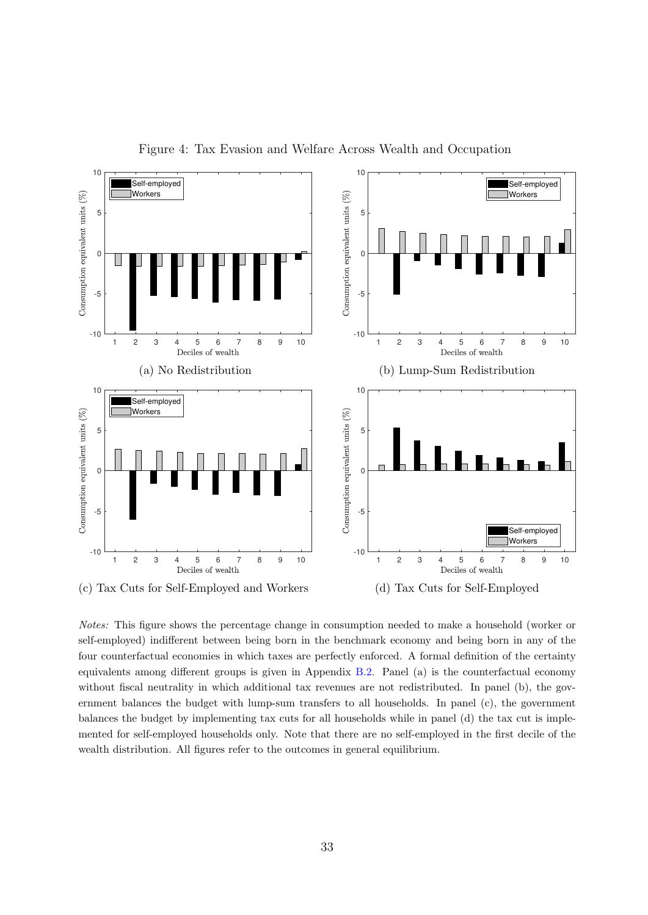<span id="page-33-0"></span>

Figure 4: Tax Evasion and Welfare Across Wealth and Occupation

Notes: This figure shows the percentage change in consumption needed to make a household (worker or self-employed) indifferent between being born in the benchmark economy and being born in any of the four counterfactual economies in which taxes are perfectly enforced. A formal definition of the certainty equivalents among different groups is given in Appendix [B.2.](#page-54-0) Panel (a) is the counterfactual economy without fiscal neutrality in which additional tax revenues are not redistributed. In panel (b), the government balances the budget with lump-sum transfers to all households. In panel (c), the government balances the budget by implementing tax cuts for all households while in panel (d) the tax cut is implemented for self-employed households only. Note that there are no self-employed in the first decile of the wealth distribution. All figures refer to the outcomes in general equilibrium.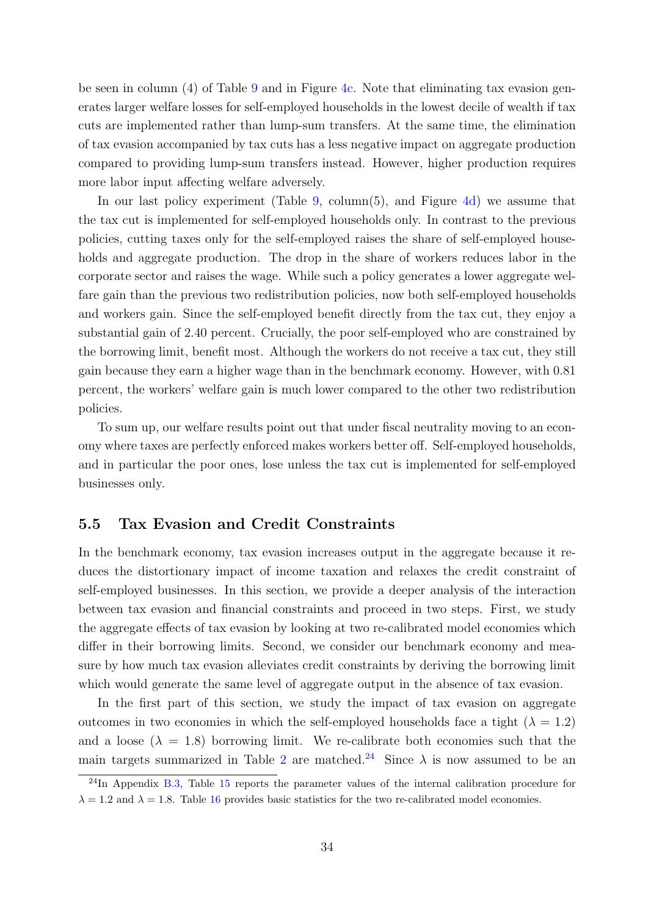<span id="page-34-0"></span>be seen in column (4) of Table [9](#page-31-0) and in Figure [4c.](#page-33-0) Note that eliminating tax evasion generates larger welfare losses for self-employed households in the lowest decile of wealth if tax cuts are implemented rather than lump-sum transfers. At the same time, the elimination of tax evasion accompanied by tax cuts has a less negative impact on aggregate production compared to providing lump-sum transfers instead. However, higher production requires more labor input affecting welfare adversely.

In our last policy experiment (Table [9,](#page-31-0) column(5), and Figure [4d\)](#page-33-0) we assume that the tax cut is implemented for self-employed households only. In contrast to the previous policies, cutting taxes only for the self-employed raises the share of self-employed households and aggregate production. The drop in the share of workers reduces labor in the corporate sector and raises the wage. While such a policy generates a lower aggregate welfare gain than the previous two redistribution policies, now both self-employed households and workers gain. Since the self-employed benefit directly from the tax cut, they enjoy a substantial gain of 2.40 percent. Crucially, the poor self-employed who are constrained by the borrowing limit, benefit most. Although the workers do not receive a tax cut, they still gain because they earn a higher wage than in the benchmark economy. However, with 0.81 percent, the workers' welfare gain is much lower compared to the other two redistribution policies.

To sum up, our welfare results point out that under fiscal neutrality moving to an economy where taxes are perfectly enforced makes workers better off. Self-employed households, and in particular the poor ones, lose unless the tax cut is implemented for self-employed businesses only.

### 5.5 Tax Evasion and Credit Constraints

In the benchmark economy, tax evasion increases output in the aggregate because it reduces the distortionary impact of income taxation and relaxes the credit constraint of self-employed businesses. In this section, we provide a deeper analysis of the interaction between tax evasion and financial constraints and proceed in two steps. First, we study the aggregate effects of tax evasion by looking at two re-calibrated model economies which differ in their borrowing limits. Second, we consider our benchmark economy and measure by how much tax evasion alleviates credit constraints by deriving the borrowing limit which would generate the same level of aggregate output in the absence of tax evasion.

In the first part of this section, we study the impact of tax evasion on aggregate outcomes in two economies in which the self-employed households face a tight  $(\lambda = 1.2)$ and a loose  $(\lambda = 1.8)$  borrowing limit. We re-calibrate both economies such that the main targets summarized in Table [2](#page-16-0) are matched.<sup>24</sup> Since  $\lambda$  is now assumed to be an

<sup>&</sup>lt;sup>24</sup>In Appendix [B.3,](#page-55-0) Table [15](#page-55-0) reports the parameter values of the internal calibration procedure for  $\lambda = 1.2$  and  $\lambda = 1.8$ . Table [16](#page-56-0) provides basic statistics for the two re-calibrated model economies.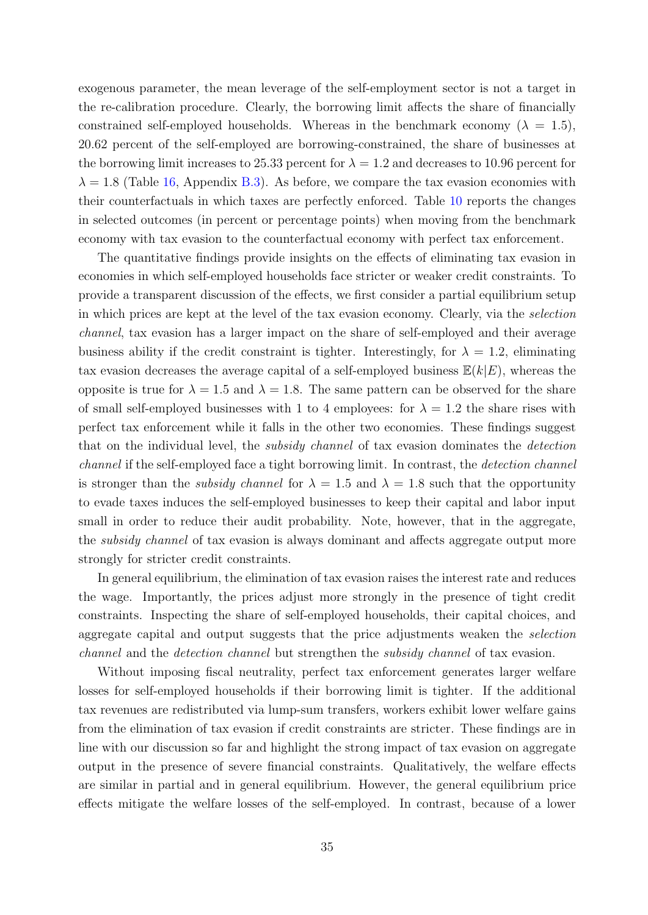exogenous parameter, the mean leverage of the self-employment sector is not a target in the re-calibration procedure. Clearly, the borrowing limit affects the share of financially constrained self-employed households. Whereas in the benchmark economy ( $\lambda = 1.5$ ), 20.62 percent of the self-employed are borrowing-constrained, the share of businesses at the borrowing limit increases to 25.33 percent for  $\lambda = 1.2$  and decreases to 10.96 percent for  $\lambda = 1.8$  (Table [16,](#page-56-0) Appendix [B.3\)](#page-55-0). As before, we compare the tax evasion economies with their counterfactuals in which taxes are perfectly enforced. Table [10](#page-36-0) reports the changes in selected outcomes (in percent or percentage points) when moving from the benchmark economy with tax evasion to the counterfactual economy with perfect tax enforcement.

The quantitative findings provide insights on the effects of eliminating tax evasion in economies in which self-employed households face stricter or weaker credit constraints. To provide a transparent discussion of the effects, we first consider a partial equilibrium setup in which prices are kept at the level of the tax evasion economy. Clearly, via the selection channel, tax evasion has a larger impact on the share of self-employed and their average business ability if the credit constraint is tighter. Interestingly, for  $\lambda = 1.2$ , eliminating tax evasion decreases the average capital of a self-employed business  $\mathbb{E}(k|E)$ , whereas the opposite is true for  $\lambda = 1.5$  and  $\lambda = 1.8$ . The same pattern can be observed for the share of small self-employed businesses with 1 to 4 employees: for  $\lambda = 1.2$  the share rises with perfect tax enforcement while it falls in the other two economies. These findings suggest that on the individual level, the subsidy channel of tax evasion dominates the detection channel if the self-employed face a tight borrowing limit. In contrast, the detection channel is stronger than the *subsidy channel* for  $\lambda = 1.5$  and  $\lambda = 1.8$  such that the opportunity to evade taxes induces the self-employed businesses to keep their capital and labor input small in order to reduce their audit probability. Note, however, that in the aggregate, the subsidy channel of tax evasion is always dominant and affects aggregate output more strongly for stricter credit constraints.

In general equilibrium, the elimination of tax evasion raises the interest rate and reduces the wage. Importantly, the prices adjust more strongly in the presence of tight credit constraints. Inspecting the share of self-employed households, their capital choices, and aggregate capital and output suggests that the price adjustments weaken the selection channel and the detection channel but strengthen the subsidy channel of tax evasion.

Without imposing fiscal neutrality, perfect tax enforcement generates larger welfare losses for self-employed households if their borrowing limit is tighter. If the additional tax revenues are redistributed via lump-sum transfers, workers exhibit lower welfare gains from the elimination of tax evasion if credit constraints are stricter. These findings are in line with our discussion so far and highlight the strong impact of tax evasion on aggregate output in the presence of severe financial constraints. Qualitatively, the welfare effects are similar in partial and in general equilibrium. However, the general equilibrium price effects mitigate the welfare losses of the self-employed. In contrast, because of a lower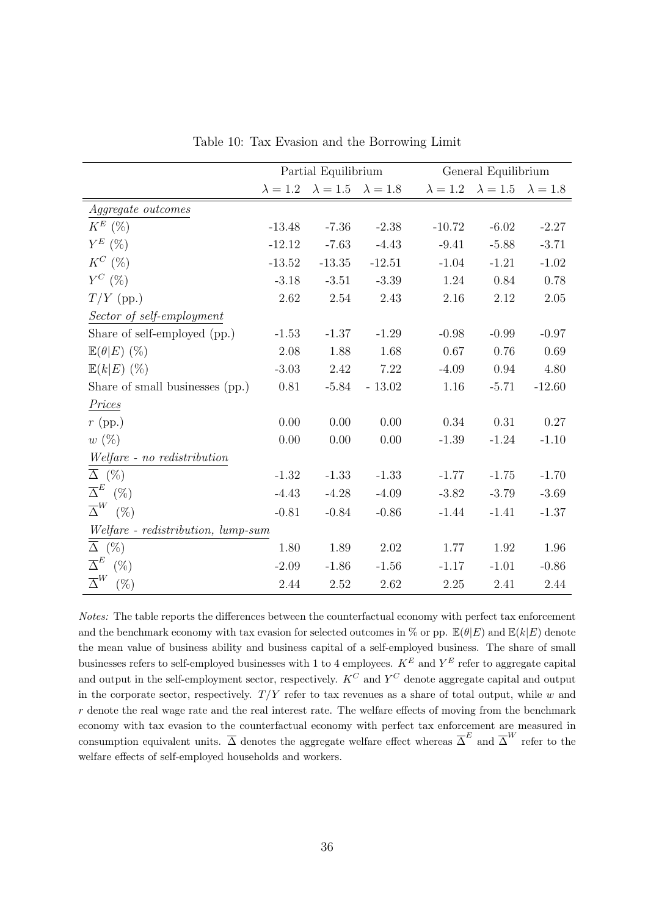<span id="page-36-0"></span>

|                                    |          | Partial Equilibrium |                                                         |          | General Equilibrium                                     |          |
|------------------------------------|----------|---------------------|---------------------------------------------------------|----------|---------------------------------------------------------|----------|
|                                    |          |                     | $\lambda = 1.2 \quad \lambda = 1.5 \quad \lambda = 1.8$ |          | $\lambda = 1.2 \quad \lambda = 1.5 \quad \lambda = 1.8$ |          |
| <i>Aggregate outcomes</i>          |          |                     |                                                         |          |                                                         |          |
| $K^E$ (%)                          | $-13.48$ | $-7.36$             | $-2.38$                                                 | $-10.72$ | $-6.02$                                                 | $-2.27$  |
| $Y^E$ (%)                          | $-12.12$ | $-7.63$             | $-4.43$                                                 | $-9.41$  | $-5.88$                                                 | $-3.71$  |
| $K^C$ (%)                          | $-13.52$ | $-13.35$            | $-12.51$                                                | $-1.04$  | $-1.21$                                                 | $-1.02$  |
| $Y^C$ (%)                          | $-3.18$  | $-3.51$             | $-3.39$                                                 | 1.24     | 0.84                                                    | 0.78     |
| $T/Y$ (pp.)                        | 2.62     | 2.54                | 2.43                                                    | 2.16     | 2.12                                                    | 2.05     |
| Sector of self-employment          |          |                     |                                                         |          |                                                         |          |
| Share of self-employed (pp.)       | $-1.53$  | $-1.37$             | $-1.29$                                                 | $-0.98$  | $-0.99$                                                 | $-0.97$  |
| $\mathbb{E}(\theta E)$ (%)         | 2.08     | 1.88                | 1.68                                                    | 0.67     | 0.76                                                    | 0.69     |
| $\mathbb{E}(k E)$ (%)              | $-3.03$  | 2.42                | 7.22                                                    | $-4.09$  | 0.94                                                    | 4.80     |
| Share of small businesses (pp.)    | 0.81     | $-5.84$             | $-13.02$                                                | 1.16     | $-5.71$                                                 | $-12.60$ |
| Prices                             |          |                     |                                                         |          |                                                         |          |
| $r$ (pp.)                          | 0.00     | 0.00                | 0.00                                                    | 0.34     | 0.31                                                    | 0.27     |
| $w(\%)$                            | 0.00     | 0.00                | 0.00                                                    | $-1.39$  | $-1.24$                                                 | $-1.10$  |
| Welfare - no redistribution        |          |                     |                                                         |          |                                                         |          |
| $\overline{\Delta}$<br>$(\%)$      | $-1.32$  | $-1.33$             | $-1.33$                                                 | $-1.77$  | $-1.75$                                                 | $-1.70$  |
| $\overline{\Delta}^E$<br>$(\%)$    | $-4.43$  | $-4.28$             | $-4.09$                                                 | $-3.82$  | $-3.79$                                                 | $-3.69$  |
| $\overline{\Delta}^W$<br>$(\% )$   | $-0.81$  | $-0.84$             | $-0.86$                                                 | $-1.44$  | $-1.41$                                                 | $-1.37$  |
| Welfare - redistribution, lump-sum |          |                     |                                                         |          |                                                         |          |
| $\overline{\Delta}$<br>$(\%)$      | 1.80     | 1.89                | 2.02                                                    | 1.77     | 1.92                                                    | 1.96     |
| $\overline{\Delta}^E$<br>$(\%)$    | $-2.09$  | $-1.86$             | $-1.56$                                                 | $-1.17$  | $-1.01$                                                 | $-0.86$  |
| $\overline{\Delta}^W$<br>$(\%)$    | 2.44     | 2.52                | 2.62                                                    | 2.25     | 2.41                                                    | 2.44     |

Table 10: Tax Evasion and the Borrowing Limit

Notes: The table reports the differences between the counterfactual economy with perfect tax enforcement and the benchmark economy with tax evasion for selected outcomes in % or pp.  $\mathbb{E}(\theta|E)$  and  $\mathbb{E}(k|E)$  denote the mean value of business ability and business capital of a self-employed business. The share of small businesses refers to self-employed businesses with 1 to 4 employees.  $K^E$  and  $Y^E$  refer to aggregate capital and output in the self-employment sector, respectively.  $K^C$  and  $Y^C$  denote aggregate capital and output in the corporate sector, respectively.  $T/Y$  refer to tax revenues as a share of total output, while w and r denote the real wage rate and the real interest rate. The welfare effects of moving from the benchmark economy with tax evasion to the counterfactual economy with perfect tax enforcement are measured in consumption equivalent units.  $\overline{\Delta}$  denotes the aggregate welfare effect whereas  $\overline{\Delta}^E$  and  $\overline{\Delta}^W$  refer to the welfare effects of self-employed households and workers.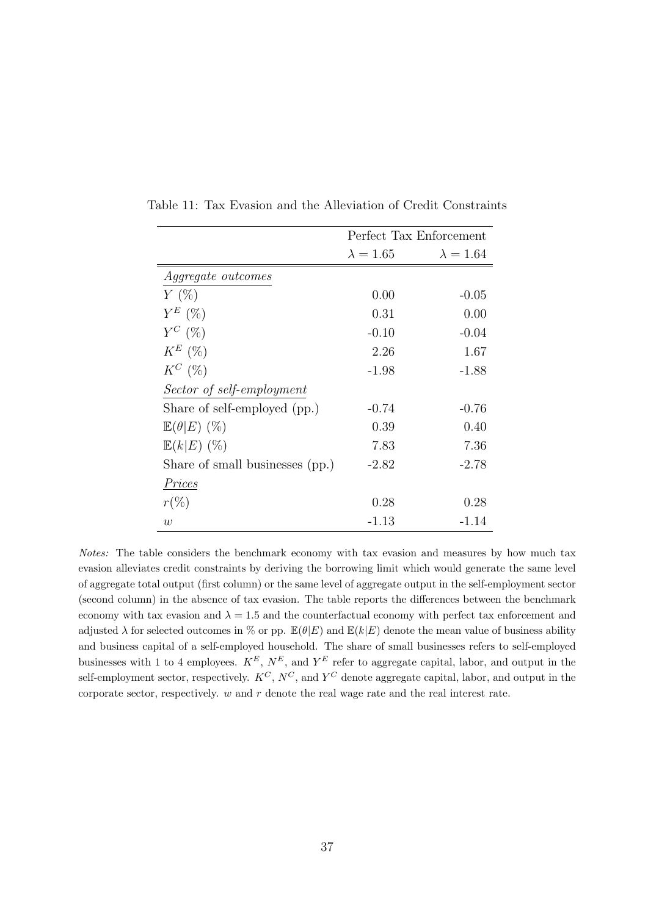|                                 |                  | Perfect Tax Enforcement |
|---------------------------------|------------------|-------------------------|
|                                 | $\lambda = 1.65$ | $\lambda = 1.64$        |
| <i>Aggregate outcomes</i>       |                  |                         |
| $Y(\%)$                         | 0.00             | $-0.05$                 |
| $Y^E$ (%)                       | 0.31             | 0.00                    |
| $Y^C$ (%)                       | $-0.10$          | $-0.04$                 |
| $K^E$ (%)                       | 2.26             | 1.67                    |
| $K^C$ (%)                       | $-1.98$          | $-1.88$                 |
| Sector of self-employment       |                  |                         |
| Share of self-employed (pp.)    | $-0.74$          | $-0.76$                 |
| $\mathbb{E}(\theta E)$ (%)      | 0.39             | 0.40                    |
| $\mathbb{E}(k E)$ (%)           | 7.83             | 7.36                    |
| Share of small businesses (pp.) | $-2.82$          | $-2.78$                 |
| Prices                          |                  |                         |
| $r(\%)$                         | 0.28             | 0.28                    |
| w                               | $-1.13$          | $-1.14$                 |

<span id="page-37-0"></span>Table 11: Tax Evasion and the Alleviation of Credit Constraints

Notes: The table considers the benchmark economy with tax evasion and measures by how much tax evasion alleviates credit constraints by deriving the borrowing limit which would generate the same level of aggregate total output (first column) or the same level of aggregate output in the self-employment sector (second column) in the absence of tax evasion. The table reports the differences between the benchmark economy with tax evasion and  $\lambda = 1.5$  and the counterfactual economy with perfect tax enforcement and adjusted  $\lambda$  for selected outcomes in % or pp.  $\mathbb{E}(\theta|E)$  and  $\mathbb{E}(k|E)$  denote the mean value of business ability and business capital of a self-employed household. The share of small businesses refers to self-employed businesses with 1 to 4 employees.  $K^E$ ,  $N^E$ , and  $Y^E$  refer to aggregate capital, labor, and output in the self-employment sector, respectively.  $K^C$ ,  $N^C$ , and  $Y^C$  denote aggregate capital, labor, and output in the corporate sector, respectively.  $w$  and  $r$  denote the real wage rate and the real interest rate.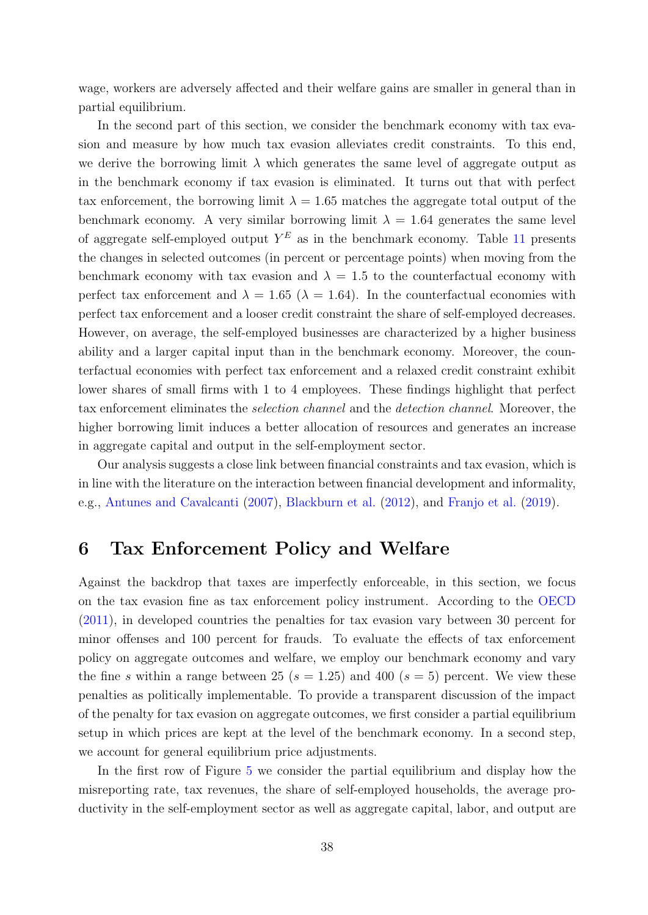<span id="page-38-0"></span>wage, workers are adversely affected and their welfare gains are smaller in general than in partial equilibrium.

In the second part of this section, we consider the benchmark economy with tax evasion and measure by how much tax evasion alleviates credit constraints. To this end, we derive the borrowing limit  $\lambda$  which generates the same level of aggregate output as in the benchmark economy if tax evasion is eliminated. It turns out that with perfect tax enforcement, the borrowing limit  $\lambda = 1.65$  matches the aggregate total output of the benchmark economy. A very similar borrowing limit  $\lambda = 1.64$  generates the same level of aggregate self-employed output  $Y^E$  as in the benchmark economy. Table [11](#page-37-0) presents the changes in selected outcomes (in percent or percentage points) when moving from the benchmark economy with tax evasion and  $\lambda = 1.5$  to the counterfactual economy with perfect tax enforcement and  $\lambda = 1.65$  ( $\lambda = 1.64$ ). In the counterfactual economies with perfect tax enforcement and a looser credit constraint the share of self-employed decreases. However, on average, the self-employed businesses are characterized by a higher business ability and a larger capital input than in the benchmark economy. Moreover, the counterfactual economies with perfect tax enforcement and a relaxed credit constraint exhibit lower shares of small firms with 1 to 4 employees. These findings highlight that perfect tax enforcement eliminates the selection channel and the detection channel. Moreover, the higher borrowing limit induces a better allocation of resources and generates an increase in aggregate capital and output in the self-employment sector.

Our analysis suggests a close link between financial constraints and tax evasion, which is in line with the literature on the interaction between financial development and informality, e.g., [Antunes and Cavalcanti](#page-45-0) [\(2007\)](#page-45-0), [Blackburn et al.](#page-45-0) [\(2012\)](#page-45-0), and [Franjo et al.](#page-46-0) [\(2019\)](#page-46-0).

### 6 Tax Enforcement Policy and Welfare

Against the backdrop that taxes are imperfectly enforceable, in this section, we focus on the tax evasion fine as tax enforcement policy instrument. According to the [OECD](#page-48-0) [\(2011\)](#page-48-0), in developed countries the penalties for tax evasion vary between 30 percent for minor offenses and 100 percent for frauds. To evaluate the effects of tax enforcement policy on aggregate outcomes and welfare, we employ our benchmark economy and vary the fine s within a range between 25 ( $s = 1.25$ ) and 400 ( $s = 5$ ) percent. We view these penalties as politically implementable. To provide a transparent discussion of the impact of the penalty for tax evasion on aggregate outcomes, we first consider a partial equilibrium setup in which prices are kept at the level of the benchmark economy. In a second step, we account for general equilibrium price adjustments.

In the first row of Figure [5](#page-41-0) we consider the partial equilibrium and display how the misreporting rate, tax revenues, the share of self-employed households, the average productivity in the self-employment sector as well as aggregate capital, labor, and output are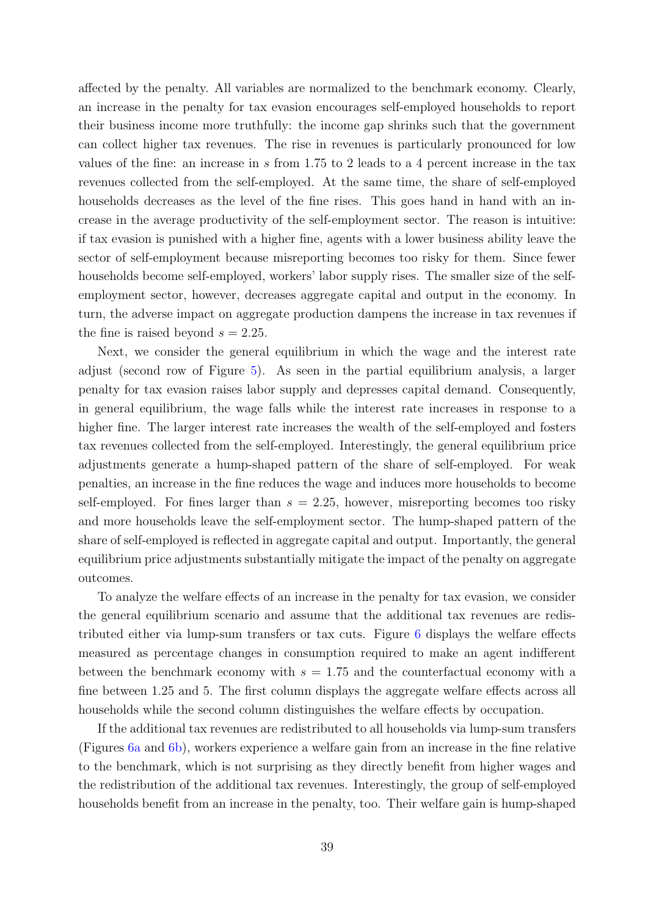affected by the penalty. All variables are normalized to the benchmark economy. Clearly, an increase in the penalty for tax evasion encourages self-employed households to report their business income more truthfully: the income gap shrinks such that the government can collect higher tax revenues. The rise in revenues is particularly pronounced for low values of the fine: an increase in s from 1.75 to 2 leads to a 4 percent increase in the tax revenues collected from the self-employed. At the same time, the share of self-employed households decreases as the level of the fine rises. This goes hand in hand with an increase in the average productivity of the self-employment sector. The reason is intuitive: if tax evasion is punished with a higher fine, agents with a lower business ability leave the sector of self-employment because misreporting becomes too risky for them. Since fewer households become self-employed, workers' labor supply rises. The smaller size of the selfemployment sector, however, decreases aggregate capital and output in the economy. In turn, the adverse impact on aggregate production dampens the increase in tax revenues if the fine is raised beyond  $s = 2.25$ .

Next, we consider the general equilibrium in which the wage and the interest rate adjust (second row of Figure [5\)](#page-41-0). As seen in the partial equilibrium analysis, a larger penalty for tax evasion raises labor supply and depresses capital demand. Consequently, in general equilibrium, the wage falls while the interest rate increases in response to a higher fine. The larger interest rate increases the wealth of the self-employed and fosters tax revenues collected from the self-employed. Interestingly, the general equilibrium price adjustments generate a hump-shaped pattern of the share of self-employed. For weak penalties, an increase in the fine reduces the wage and induces more households to become self-employed. For fines larger than  $s = 2.25$ , however, misreporting becomes too risky and more households leave the self-employment sector. The hump-shaped pattern of the share of self-employed is reflected in aggregate capital and output. Importantly, the general equilibrium price adjustments substantially mitigate the impact of the penalty on aggregate outcomes.

To analyze the welfare effects of an increase in the penalty for tax evasion, we consider the general equilibrium scenario and assume that the additional tax revenues are redistributed either via lump-sum transfers or tax cuts. Figure [6](#page-42-0) displays the welfare effects measured as percentage changes in consumption required to make an agent indifferent between the benchmark economy with  $s = 1.75$  and the counterfactual economy with a fine between 1.25 and 5. The first column displays the aggregate welfare effects across all households while the second column distinguishes the welfare effects by occupation.

If the additional tax revenues are redistributed to all households via lump-sum transfers (Figures [6a](#page-42-0) and [6b\)](#page-42-0), workers experience a welfare gain from an increase in the fine relative to the benchmark, which is not surprising as they directly benefit from higher wages and the redistribution of the additional tax revenues. Interestingly, the group of self-employed households benefit from an increase in the penalty, too. Their welfare gain is hump-shaped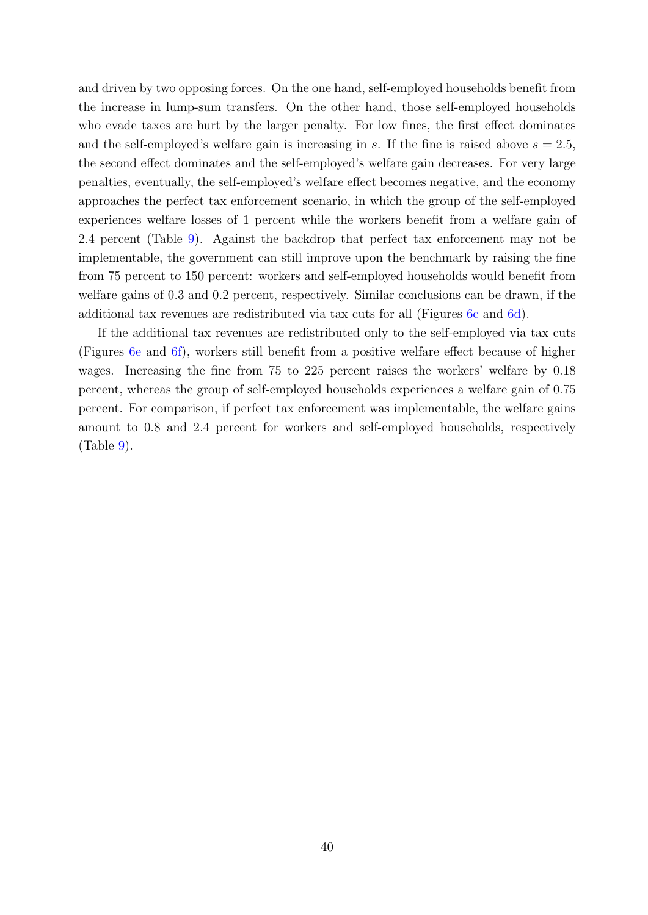and driven by two opposing forces. On the one hand, self-employed households benefit from the increase in lump-sum transfers. On the other hand, those self-employed households who evade taxes are hurt by the larger penalty. For low fines, the first effect dominates and the self-employed's welfare gain is increasing in s. If the fine is raised above  $s = 2.5$ , the second effect dominates and the self-employed's welfare gain decreases. For very large penalties, eventually, the self-employed's welfare effect becomes negative, and the economy approaches the perfect tax enforcement scenario, in which the group of the self-employed experiences welfare losses of 1 percent while the workers benefit from a welfare gain of 2.4 percent (Table [9\)](#page-31-0). Against the backdrop that perfect tax enforcement may not be implementable, the government can still improve upon the benchmark by raising the fine from 75 percent to 150 percent: workers and self-employed households would benefit from welfare gains of 0.3 and 0.2 percent, respectively. Similar conclusions can be drawn, if the additional tax revenues are redistributed via tax cuts for all (Figures [6c](#page-42-0) and [6d\)](#page-42-0).

If the additional tax revenues are redistributed only to the self-employed via tax cuts (Figures [6e](#page-42-0) and [6f\)](#page-42-0), workers still benefit from a positive welfare effect because of higher wages. Increasing the fine from 75 to 225 percent raises the workers' welfare by 0.18 percent, whereas the group of self-employed households experiences a welfare gain of 0.75 percent. For comparison, if perfect tax enforcement was implementable, the welfare gains amount to 0.8 and 2.4 percent for workers and self-employed households, respectively  $(Table 9)$  $(Table 9)$ .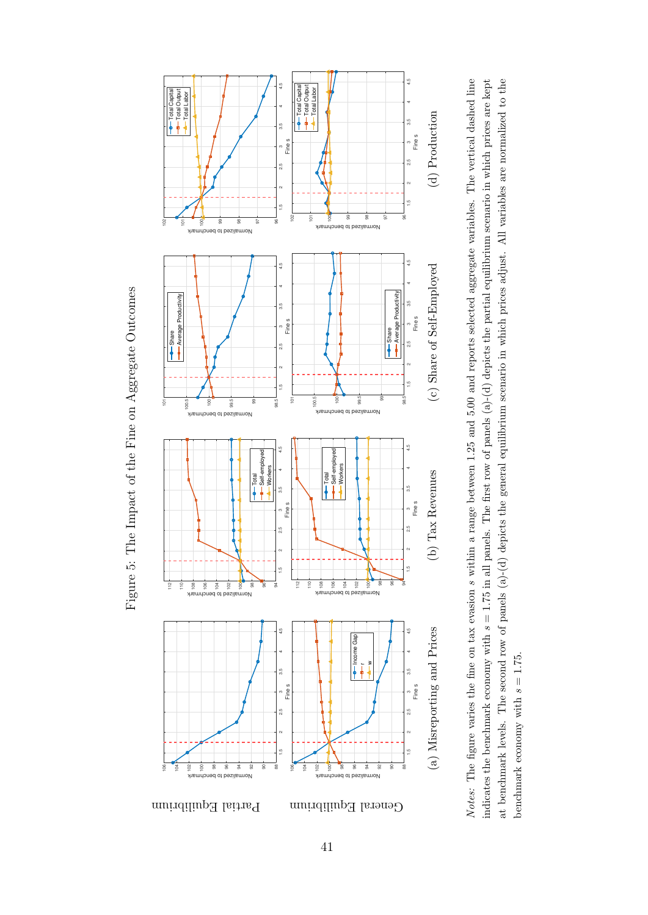

<span id="page-41-0"></span>

Notes: The figure varies the fine on tax evasion s within a range between 1.25 and 5.00 and reports selected aggregate variables. The vertical dashed line indicates the benchmark economy with  $s = 1.75$  in all panels. The first row of panels  $(a)-(d)$  depicts the partial equilibrium scenario in which prices are kept at benchmark levels. The second row of panels (a)-(d) depicts the general equilibrium scenario in which prices adjust. All variables are normalized to the Notes: The figure varies the fine on tax evasion s within a range between 1.25 and 5.00 and reports selected aggregate variables. The vertical dashed line indicates the benchmark economy with  $s = 1.75$  in all panels. The first row of panels  $(a)-(d)$  depicts the partial equilibrium scenario in which prices are kept at benchmark levels. The second row of panels (a)-(d) depicts the general equilibrium scenario in which prices adjust. All variables are normalized to the benchmark economy with  $s = 1.75$ . benchmark economy with  $s = 1.75$ .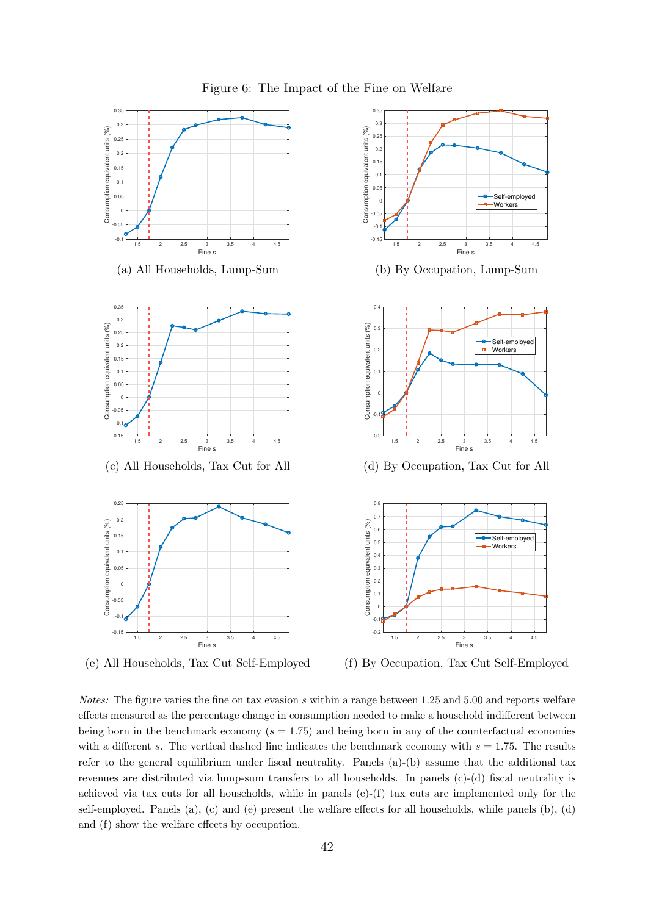<span id="page-42-0"></span>

Figure 6: The Impact of the Fine on Welfare

(e) All Households, Tax Cut Self-Employed



Notes: The figure varies the fine on tax evasion s within a range between 1.25 and 5.00 and reports welfare effects measured as the percentage change in consumption needed to make a household indifferent between being born in the benchmark economy  $(s = 1.75)$  and being born in any of the counterfactual economies with a different s. The vertical dashed line indicates the benchmark economy with  $s = 1.75$ . The results refer to the general equilibrium under fiscal neutrality. Panels (a)-(b) assume that the additional tax revenues are distributed via lump-sum transfers to all households. In panels (c)-(d) fiscal neutrality is achieved via tax cuts for all households, while in panels  $(e)$ - $(f)$  tax cuts are implemented only for the self-employed. Panels (a), (c) and (e) present the welfare effects for all households, while panels (b), (d) and (f) show the welfare effects by occupation.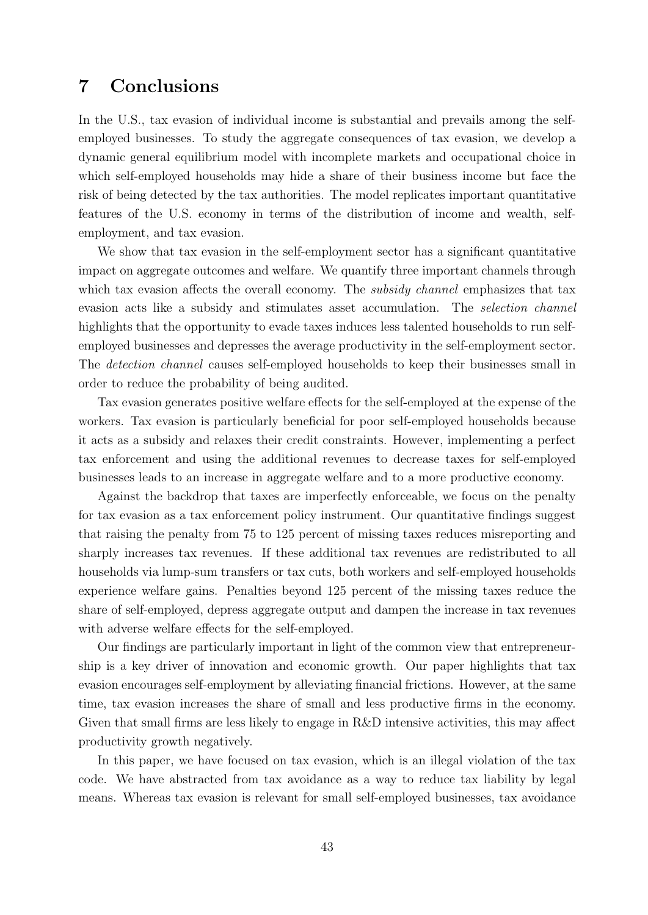## 7 Conclusions

In the U.S., tax evasion of individual income is substantial and prevails among the selfemployed businesses. To study the aggregate consequences of tax evasion, we develop a dynamic general equilibrium model with incomplete markets and occupational choice in which self-employed households may hide a share of their business income but face the risk of being detected by the tax authorities. The model replicates important quantitative features of the U.S. economy in terms of the distribution of income and wealth, selfemployment, and tax evasion.

We show that tax evasion in the self-employment sector has a significant quantitative impact on aggregate outcomes and welfare. We quantify three important channels through which tax evasion affects the overall economy. The *subsidy channel* emphasizes that tax evasion acts like a subsidy and stimulates asset accumulation. The selection channel highlights that the opportunity to evade taxes induces less talented households to run selfemployed businesses and depresses the average productivity in the self-employment sector. The detection channel causes self-employed households to keep their businesses small in order to reduce the probability of being audited.

Tax evasion generates positive welfare effects for the self-employed at the expense of the workers. Tax evasion is particularly beneficial for poor self-employed households because it acts as a subsidy and relaxes their credit constraints. However, implementing a perfect tax enforcement and using the additional revenues to decrease taxes for self-employed businesses leads to an increase in aggregate welfare and to a more productive economy.

Against the backdrop that taxes are imperfectly enforceable, we focus on the penalty for tax evasion as a tax enforcement policy instrument. Our quantitative findings suggest that raising the penalty from 75 to 125 percent of missing taxes reduces misreporting and sharply increases tax revenues. If these additional tax revenues are redistributed to all households via lump-sum transfers or tax cuts, both workers and self-employed households experience welfare gains. Penalties beyond 125 percent of the missing taxes reduce the share of self-employed, depress aggregate output and dampen the increase in tax revenues with adverse welfare effects for the self-employed.

Our findings are particularly important in light of the common view that entrepreneurship is a key driver of innovation and economic growth. Our paper highlights that tax evasion encourages self-employment by alleviating financial frictions. However, at the same time, tax evasion increases the share of small and less productive firms in the economy. Given that small firms are less likely to engage in R&D intensive activities, this may affect productivity growth negatively.

In this paper, we have focused on tax evasion, which is an illegal violation of the tax code. We have abstracted from tax avoidance as a way to reduce tax liability by legal means. Whereas tax evasion is relevant for small self-employed businesses, tax avoidance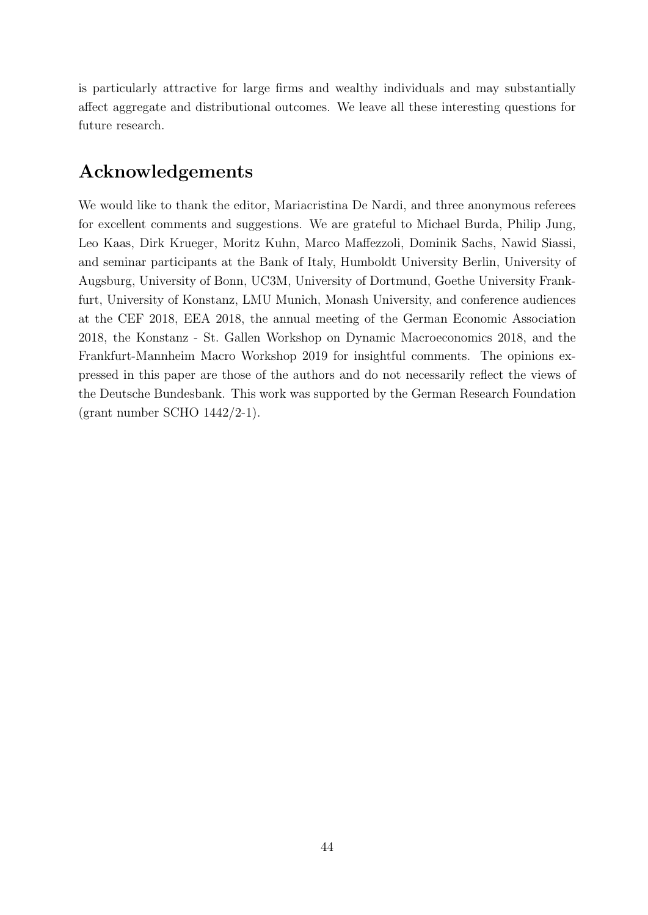is particularly attractive for large firms and wealthy individuals and may substantially affect aggregate and distributional outcomes. We leave all these interesting questions for future research.

# Acknowledgements

We would like to thank the editor, Mariacristina De Nardi, and three anonymous referees for excellent comments and suggestions. We are grateful to Michael Burda, Philip Jung, Leo Kaas, Dirk Krueger, Moritz Kuhn, Marco Maffezzoli, Dominik Sachs, Nawid Siassi, and seminar participants at the Bank of Italy, Humboldt University Berlin, University of Augsburg, University of Bonn, UC3M, University of Dortmund, Goethe University Frankfurt, University of Konstanz, LMU Munich, Monash University, and conference audiences at the CEF 2018, EEA 2018, the annual meeting of the German Economic Association 2018, the Konstanz - St. Gallen Workshop on Dynamic Macroeconomics 2018, and the Frankfurt-Mannheim Macro Workshop 2019 for insightful comments. The opinions expressed in this paper are those of the authors and do not necessarily reflect the views of the Deutsche Bundesbank. This work was supported by the German Research Foundation (grant number SCHO 1442/2-1).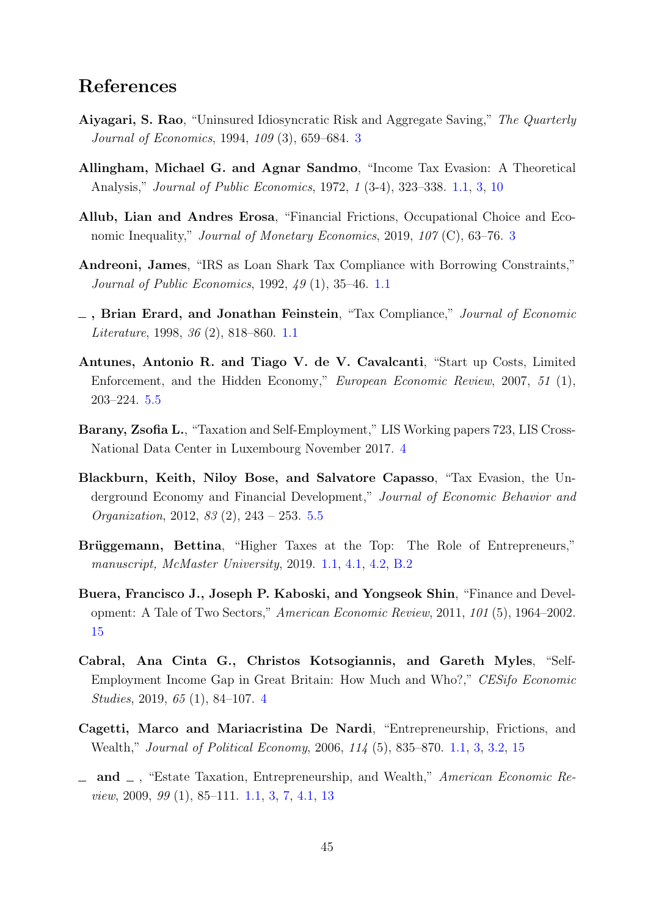## <span id="page-45-0"></span>References

- Aiyagari, S. Rao, "Uninsured Idiosyncratic Risk and Aggregate Saving," The Quarterly Journal of Economics, 1994, 109 (3), 659–684. [3](#page-6-0)
- Allingham, Michael G. and Agnar Sandmo, "Income Tax Evasion: A Theoretical Analysis," Journal of Public Economics, 1972, 1 (3-4), 323–338. [1.1,](#page-3-0) [3,](#page-6-0) [10](#page-9-0)
- Allub, Lian and Andres Erosa, "Financial Frictions, Occupational Choice and Economic Inequality," *Journal of Monetary Economics*, 2019, 107 (C), 6[3](#page-6-0)–76. 3
- Andreoni, James, "IRS as Loan Shark Tax Compliance with Borrowing Constraints," Journal of Public Economics, 1992, 49 (1), 35–46. [1.1](#page-3-0)
- $\overline{\phantom{a}}$ , Brian Erard, and Jonathan Feinstein, "Tax Compliance," Journal of Economic Literature, 1998, 36 (2), 818–860. [1.1](#page-3-0)
- Antunes, Antonio R. and Tiago V. de V. Cavalcanti, "Start up Costs, Limited Enforcement, and the Hidden Economy," European Economic Review, 2007, 51 (1), 203–224. [5.5](#page-37-0)
- Barany, Zsofia L., "Taxation and Self-Employment," LIS Working papers 723, LIS Cross-National Data Center in Luxembourg November 2017. [4](#page-5-0)
- Blackburn, Keith, Niloy Bose, and Salvatore Capasso, "Tax Evasion, the Underground Economy and Financial Development," Journal of Economic Behavior and Organization, 2012, 83 (2), 243 – 253. [5.5](#page-37-0)
- Brüggemann, Bettina, "Higher Taxes at the Top: The Role of Entrepreneurs," manuscript, McMaster University, 2019. [1.1,](#page-3-0) [4.1,](#page-14-0) [4.2,](#page-15-0) [B.2](#page-54-0)
- Buera, Francisco J., Joseph P. Kaboski, and Yongseok Shin, "Finance and Development: A Tale of Two Sectors," American Economic Review, 2011, 101 (5), 1964–2002. [15](#page-16-0)
- Cabral, Ana Cinta G., Christos Kotsogiannis, and Gareth Myles, "Self-Employment Income Gap in Great Britain: How Much and Who?," CESifo Economic Studies, 2019, 65 (1), 84–107. [4](#page-5-0)
- Cagetti, Marco and Mariacristina De Nardi, "Entrepreneurship, Frictions, and Wealth," Journal of Political Economy, 2006, 114 (5), 835–870. [1.1,](#page-3-0) [3,](#page-6-0) [3.2,](#page-7-0) [15](#page-16-0)
- $\Box$  and  $\Box$ , "Estate Taxation, Entrepreneurship, and Wealth," American Economic Review, 2009, 99 (1), 85–111. [1.1,](#page-3-0) [3,](#page-6-0) [7,](#page-8-0) [4.1,](#page-13-0) [13](#page-13-0)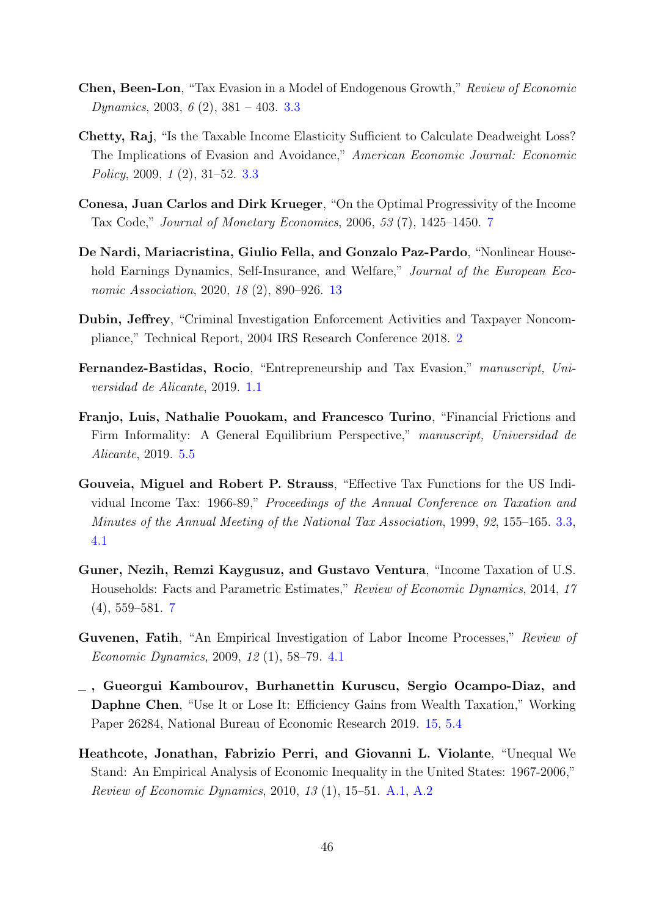- <span id="page-46-0"></span>Chen, Been-Lon, "Tax Evasion in a Model of Endogenous Growth," Review of Economic Dynamics, 2003, 6 (2), 381 – 403. [3.3](#page-8-0)
- Chetty, Raj, "Is the Taxable Income Elasticity Sufficient to Calculate Deadweight Loss? The Implications of Evasion and Avoidance," American Economic Journal: Economic Policy, 2009, 1 (2), 31–52. [3.3](#page-8-0)
- Conesa, Juan Carlos and Dirk Krueger, "On the Optimal Progressivity of the Income Tax Code," Journal of Monetary Economics, 2006, 53 (7), 1425–1450. [7](#page-8-0)
- De Nardi, Mariacristina, Giulio Fella, and Gonzalo Paz-Pardo, "Nonlinear Household Earnings Dynamics, Self-Insurance, and Welfare," Journal of the European Eco-nomic Association, 2020, 18 (2), 890-926. [13](#page-13-0)
- Dubin, Jeffrey, "Criminal Investigation Enforcement Activities and Taxpayer Noncompliance," Technical Report, 2004 IRS Research Conference 2018. [2](#page-5-0)
- Fernandez-Bastidas, Rocio, "Entrepreneurship and Tax Evasion," manuscript, Universidad de Alicante, 2019. [1.1](#page-3-0)
- Franjo, Luis, Nathalie Pouokam, and Francesco Turino, "Financial Frictions and Firm Informality: A General Equilibrium Perspective," manuscript, Universidad de Alicante, 2019. [5.5](#page-37-0)
- Gouveia, Miguel and Robert P. Strauss, "Effective Tax Functions for the US Individual Income Tax: 1966-89," Proceedings of the Annual Conference on Taxation and Minutes of the Annual Meeting of the National Tax Association, 1999, 92, 155–165. [3.3,](#page-8-0) [4.1](#page-13-0)
- Guner, Nezih, Remzi Kaygusuz, and Gustavo Ventura, "Income Taxation of U.S. Households: Facts and Parametric Estimates," Review of Economic Dynamics, 2014, 17 (4), 559–581. [7](#page-8-0)
- Guvenen, Fatih, "An Empirical Investigation of Labor Income Processes," Review of Economic Dynamics, 2009, 12 (1), 58–79. [4.1](#page-13-0)
- , Gueorgui Kambourov, Burhanettin Kuruscu, Sergio Ocampo-Diaz, and Daphne Chen, "Use It or Lose It: Efficiency Gains from Wealth Taxation," Working Paper 26284, National Bureau of Economic Research 2019. [15,](#page-16-0) [5.4](#page-30-0)
- Heathcote, Jonathan, Fabrizio Perri, and Giovanni L. Violante, "Unequal We Stand: An Empirical Analysis of Economic Inequality in the United States: 1967-2006," Review of Economic Dynamics, 2010, 13 (1), 15–51. [A.1,](#page-50-0) [A.2](#page-51-0)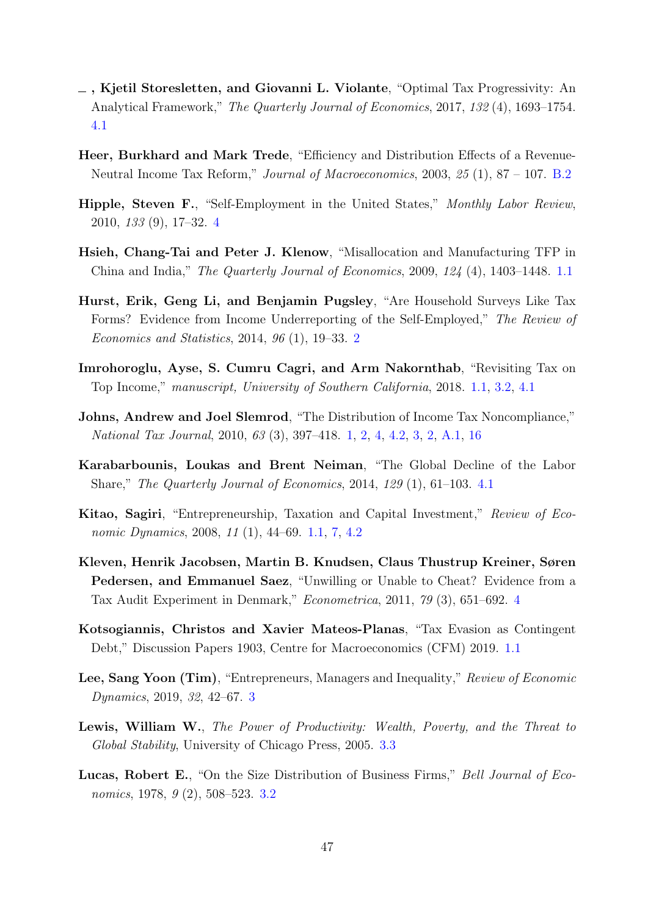- <span id="page-47-0"></span>, Kjetil Storesletten, and Giovanni L. Violante, "Optimal Tax Progressivity: An Analytical Framework," The Quarterly Journal of Economics, 2017, 132 (4), 1693–1754. [4.1](#page-13-0)
- Heer, Burkhard and Mark Trede, "Efficiency and Distribution Effects of a Revenue-Neutral Income Tax Reform," Journal of Macroeconomics, 2003, 25 (1), 87 – 107. [B.2](#page-54-0)
- Hipple, Steven F., "Self-Employment in the United States," Monthly Labor Review, 2010, 133 (9), 17–32. [4](#page-18-0)
- Hsieh, Chang-Tai and Peter J. Klenow, "Misallocation and Manufacturing TFP in China and India," The Quarterly Journal of Economics, 2009, 124 (4), 1403–1448. [1.1](#page-3-0)
- Hurst, Erik, Geng Li, and Benjamin Pugsley, "Are Household Surveys Like Tax Forms? Evidence from Income Underreporting of the Self-Employed," The Review of Economics and Statistics, 2014, 96 (1), 19–33. [2](#page-5-0)
- Imrohoroglu, Ayse, S. Cumru Cagri, and Arm Nakornthab, "Revisiting Tax on Top Income," manuscript, University of Southern California, 2018. [1.1,](#page-3-0) [3.2,](#page-7-0) [4.1](#page-14-0)
- Johns, Andrew and Joel Slemrod, "The Distribution of Income Tax Noncompliance," National Tax Journal, 2010, 63 (3), 397–418. [1,](#page-1-0) [2,](#page-5-0) [4,](#page-13-0) [4.2,](#page-15-0) [3,](#page-18-0) [2,](#page-21-0) [A.1,](#page-50-0) [16](#page-56-0)
- Karabarbounis, Loukas and Brent Neiman, "The Global Decline of the Labor Share," The Quarterly Journal of Economics, 2014, 129 (1), 61–103. [4.1](#page-14-0)
- Kitao, Sagiri, "Entrepreneurship, Taxation and Capital Investment," Review of Economic Dynamics, 2008, 11 (1), 44–69. [1.1,](#page-3-0) [7,](#page-8-0) [4.2](#page-15-0)
- Kleven, Henrik Jacobsen, Martin B. Knudsen, Claus Thustrup Kreiner, Søren Pedersen, and Emmanuel Saez, "Unwilling or Unable to Cheat? Evidence from a Tax Audit Experiment in Denmark," Econometrica, 2011, 79 (3), 651–692. [4](#page-5-0)
- Kotsogiannis, Christos and Xavier Mateos-Planas, "Tax Evasion as Contingent Debt," Discussion Papers 1903, Centre for Macroeconomics (CFM) 2019. [1.1](#page-3-0)
- Lee, Sang Yoon (Tim), "Entrepreneurs, Managers and Inequality," Review of Economic Dynamics, 2019, 32, 42–67. [3](#page-6-0)
- Lewis, William W., The Power of Productivity: Wealth, Poverty, and the Threat to Global Stability, University of Chicago Press, 2005. [3.3](#page-8-0)
- Lucas, Robert E., "On the Size Distribution of Business Firms," Bell Journal of Economics, 1978, 9 (2), 508–523. [3.2](#page-7-0)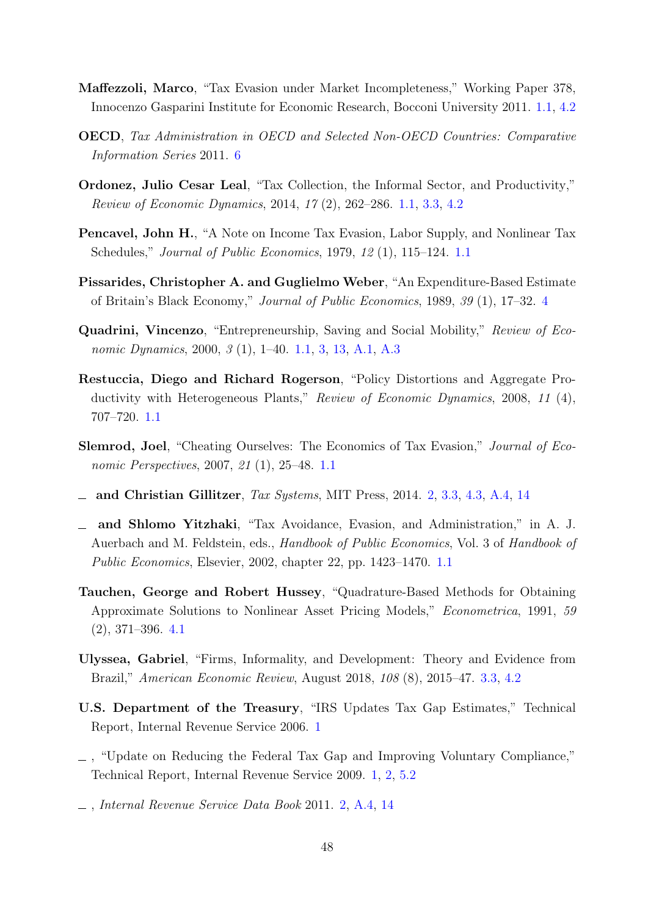- <span id="page-48-0"></span>Maffezzoli, Marco, "Tax Evasion under Market Incompleteness," Working Paper 378, Innocenzo Gasparini Institute for Economic Research, Bocconi University 2011. [1.1,](#page-3-0) [4.2](#page-15-0)
- OECD, Tax Administration in OECD and Selected Non-OECD Countries: Comparative Information Series 2011. [6](#page-38-0)
- Ordonez, Julio Cesar Leal, "Tax Collection, the Informal Sector, and Productivity," Review of Economic Dynamics, 2014, 17 (2), 262–286. [1.1,](#page-3-0) [3.3,](#page-8-0) [4.2](#page-15-0)
- Pencavel, John H., "A Note on Income Tax Evasion, Labor Supply, and Nonlinear Tax Schedules," Journal of Public Economics, 1979, 12 (1), 115–124. [1.1](#page-3-0)
- Pissarides, Christopher A. and Guglielmo Weber, "An Expenditure-Based Estimate of Britain's Black Economy," Journal of Public Economics, 1989, 39 (1), 17–32. [4](#page-5-0)
- Quadrini, Vincenzo, "Entrepreneurship, Saving and Social Mobility," Review of Economic Dynamics, 2000, 3 (1), 1–40. [1.1,](#page-3-0) [3,](#page-6-0) [13,](#page-13-0) [A.1,](#page-50-0) [A.3](#page-52-0)
- Restuccia, Diego and Richard Rogerson, "Policy Distortions and Aggregate Productivity with Heterogeneous Plants," Review of Economic Dynamics, 2008, 11 (4), 707–720. [1.1](#page-3-0)
- Slemrod, Joel, "Cheating Ourselves: The Economics of Tax Evasion," Journal of Economic Perspectives, 2007, 21 (1), 25–48. [1.1](#page-3-0)
- $\Delta$  and Christian Gillitzer, Tax Systems, MIT Press, 2014. [2,](#page-5-0) [3.3,](#page-8-0) [4.3,](#page-19-0) [A.4,](#page-52-0) [14](#page-53-0)
- and Shlomo Yitzhaki, "Tax Avoidance, Evasion, and Administration," in A. J. Auerbach and M. Feldstein, eds., Handbook of Public Economics, Vol. 3 of Handbook of Public Economics, Elsevier, 2002, chapter 22, pp. 1423–1470. [1.1](#page-3-0)
- Tauchen, George and Robert Hussey, "Quadrature-Based Methods for Obtaining Approximate Solutions to Nonlinear Asset Pricing Models," Econometrica, 1991, 59  $(2), 371-396.$  [4.1](#page-14-0)
- Ulyssea, Gabriel, "Firms, Informality, and Development: Theory and Evidence from Brazil," American Economic Review, August 2018, 108 (8), 2015–47. [3.3,](#page-8-0) [4.2](#page-15-0)
- U.S. Department of the Treasury, "IRS Updates Tax Gap Estimates," Technical Report, Internal Revenue Service 2006. [1](#page-1-0)
- $\overline{\phantom{a}}$ , "Update on Reducing the Federal Tax Gap and Improving Voluntary Compliance," Technical Report, Internal Revenue Service 2009. [1,](#page-1-0) [2,](#page-5-0) [5.2](#page-26-0)
- , Internal Revenue Service Data Book 2011. [2,](#page-5-0) [A.4,](#page-52-0) [14](#page-53-0)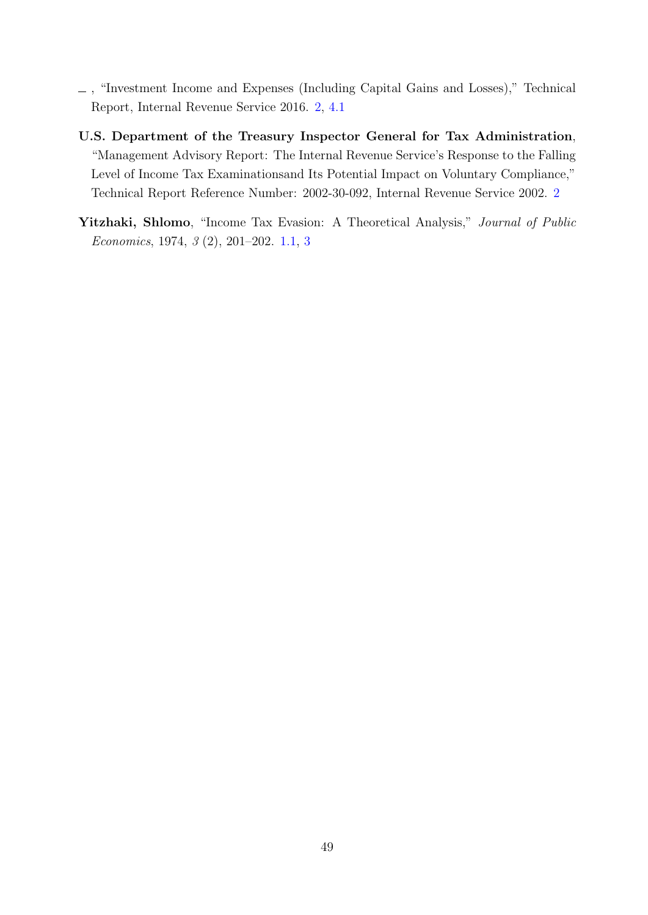- <span id="page-49-0"></span>, "Investment Income and Expenses (Including Capital Gains and Losses)," Technical Report, Internal Revenue Service 2016. [2,](#page-5-0) [4.1](#page-14-0)
- U.S. Department of the Treasury Inspector General for Tax Administration, "Management Advisory Report: The Internal Revenue Service's Response to the Falling Level of Income Tax Examinationsand Its Potential Impact on Voluntary Compliance," Technical Report Reference Number: 2002-30-092, Internal Revenue Service 2002. [2](#page-5-0)
- Yitzhaki, Shlomo, "Income Tax Evasion: A Theoretical Analysis," Journal of Public Economics, 1974, 3 (2), 201–202. [1.1,](#page-3-0) [3](#page-6-0)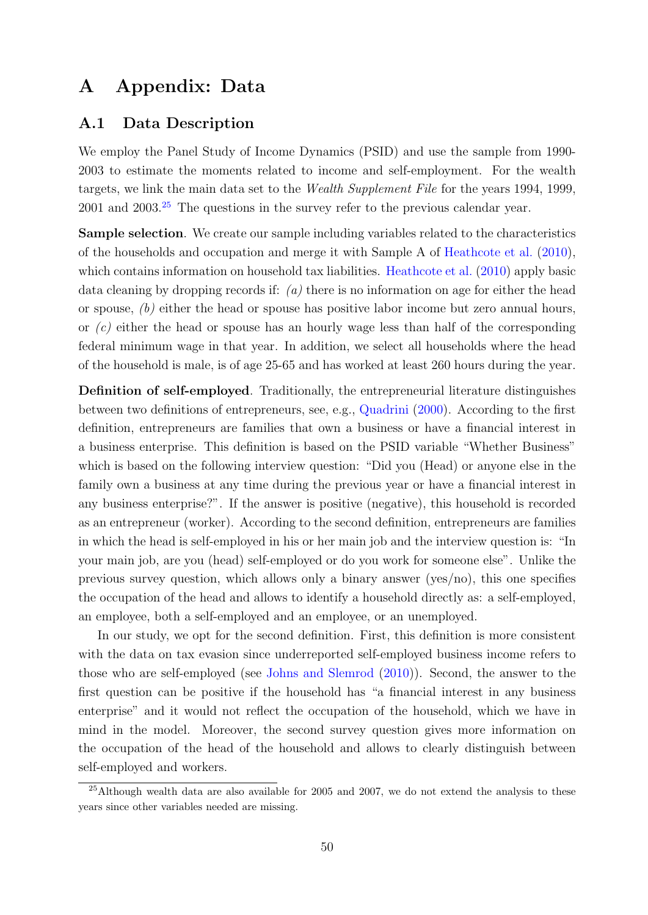## <span id="page-50-0"></span>A Appendix: Data

#### A.1 Data Description

We employ the Panel Study of Income Dynamics (PSID) and use the sample from 1990- 2003 to estimate the moments related to income and self-employment. For the wealth targets, we link the main data set to the Wealth Supplement File for the years 1994, 1999,  $2001$  and  $2003.<sup>25</sup>$  The questions in the survey refer to the previous calendar year.

Sample selection. We create our sample including variables related to the characteristics of the households and occupation and merge it with Sample A of [Heathcote et al.](#page-46-0) [\(2010\)](#page-46-0), which contains information on household tax liabilities. [Heathcote et al.](#page-46-0) [\(2010\)](#page-46-0) apply basic data cleaning by dropping records if:  $(a)$  there is no information on age for either the head or spouse, (b) either the head or spouse has positive labor income but zero annual hours, or  $(c)$  either the head or spouse has an hourly wage less than half of the corresponding federal minimum wage in that year. In addition, we select all households where the head of the household is male, is of age 25-65 and has worked at least 260 hours during the year.

Definition of self-employed. Traditionally, the entrepreneurial literature distinguishes between two definitions of entrepreneurs, see, e.g., [Quadrini](#page-48-0) [\(2000\)](#page-48-0). According to the first definition, entrepreneurs are families that own a business or have a financial interest in a business enterprise. This definition is based on the PSID variable "Whether Business" which is based on the following interview question: "Did you (Head) or anyone else in the family own a business at any time during the previous year or have a financial interest in any business enterprise?". If the answer is positive (negative), this household is recorded as an entrepreneur (worker). According to the second definition, entrepreneurs are families in which the head is self-employed in his or her main job and the interview question is: "In your main job, are you (head) self-employed or do you work for someone else". Unlike the previous survey question, which allows only a binary answer (yes/no), this one specifies the occupation of the head and allows to identify a household directly as: a self-employed, an employee, both a self-employed and an employee, or an unemployed.

In our study, we opt for the second definition. First, this definition is more consistent with the data on tax evasion since underreported self-employed business income refers to those who are self-employed (see [Johns and Slemrod](#page-47-0) [\(2010\)](#page-47-0)). Second, the answer to the first question can be positive if the household has "a financial interest in any business enterprise" and it would not reflect the occupation of the household, which we have in mind in the model. Moreover, the second survey question gives more information on the occupation of the head of the household and allows to clearly distinguish between self-employed and workers.

<sup>&</sup>lt;sup>25</sup>Although wealth data are also available for 2005 and 2007, we do not extend the analysis to these years since other variables needed are missing.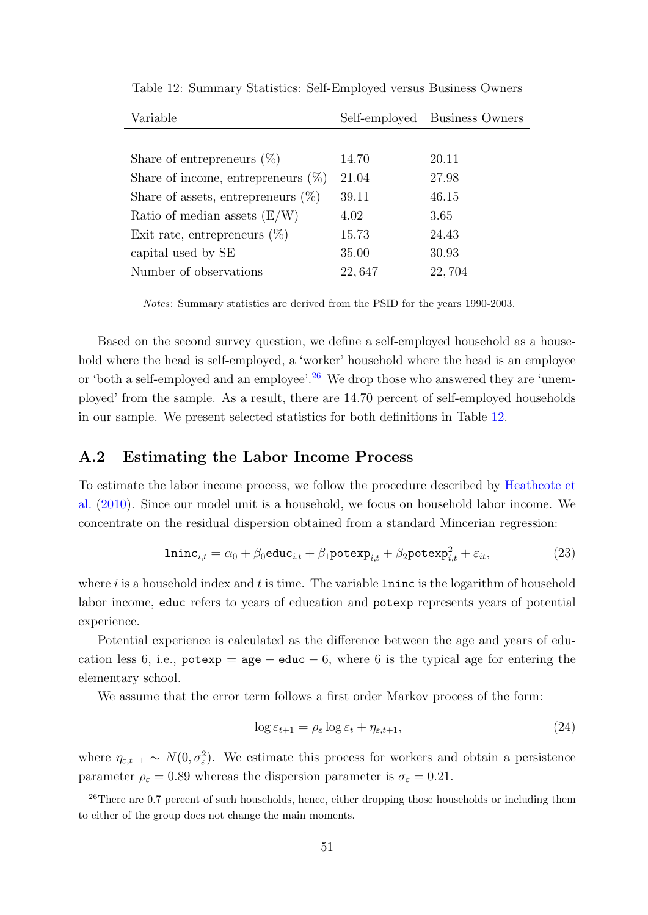| Variable                              |        | Self-employed Business Owners |
|---------------------------------------|--------|-------------------------------|
|                                       |        |                               |
| Share of entrepreneurs $(\%)$         | 14.70  | 20.11                         |
| Share of income, entrepreneurs $(\%)$ | 21.04  | 27.98                         |
| Share of assets, entrepreneurs $(\%)$ | 39.11  | 46.15                         |
| Ratio of median assets $(E/W)$        | 4.02   | 3.65                          |
| Exit rate, entrepreneurs $(\%)$       | 15.73  | 24.43                         |
| capital used by SE                    | 35.00  | 30.93                         |
| Number of observations                | 22,647 | 22,704                        |

<span id="page-51-0"></span>Table 12: Summary Statistics: Self-Employed versus Business Owners

Notes: Summary statistics are derived from the PSID for the years 1990-2003.

Based on the second survey question, we define a self-employed household as a household where the head is self-employed, a 'worker' household where the head is an employee or 'both a self-employed and an employee'.<sup>26</sup> We drop those who answered they are 'unemployed' from the sample. As a result, there are 14.70 percent of self-employed households in our sample. We present selected statistics for both definitions in Table 12.

#### A.2 Estimating the Labor Income Process

To estimate the labor income process, we follow the procedure described by [Heathcote et](#page-46-0) [al.](#page-46-0) [\(2010\)](#page-46-0). Since our model unit is a household, we focus on household labor income. We concentrate on the residual dispersion obtained from a standard Mincerian regression:

$$
lminc_{i,t} = \alpha_0 + \beta_0 \text{educ}_{i,t} + \beta_1 \text{potexp}_{i,t} + \beta_2 \text{potexp}_{i,t}^2 + \varepsilon_{it},
$$
\n(23)

where  $i$  is a household index and  $t$  is time. The variable  $\text{hinc}$  is the logarithm of household labor income, educ refers to years of education and potexp represents years of potential experience.

Potential experience is calculated as the difference between the age and years of education less 6, i.e., potexp =  $age - educ - 6$ , where 6 is the typical age for entering the elementary school.

We assume that the error term follows a first order Markov process of the form:

$$
\log \varepsilon_{t+1} = \rho_{\varepsilon} \log \varepsilon_t + \eta_{\varepsilon, t+1},\tag{24}
$$

where  $\eta_{\varepsilon,t+1} \sim N(0,\sigma_{\varepsilon}^2)$ . We estimate this process for workers and obtain a persistence parameter  $\rho_{\varepsilon} = 0.89$  whereas the dispersion parameter is  $\sigma_{\varepsilon} = 0.21$ .

 $^{26}$ There are 0.7 percent of such households, hence, either dropping those households or including them to either of the group does not change the main moments.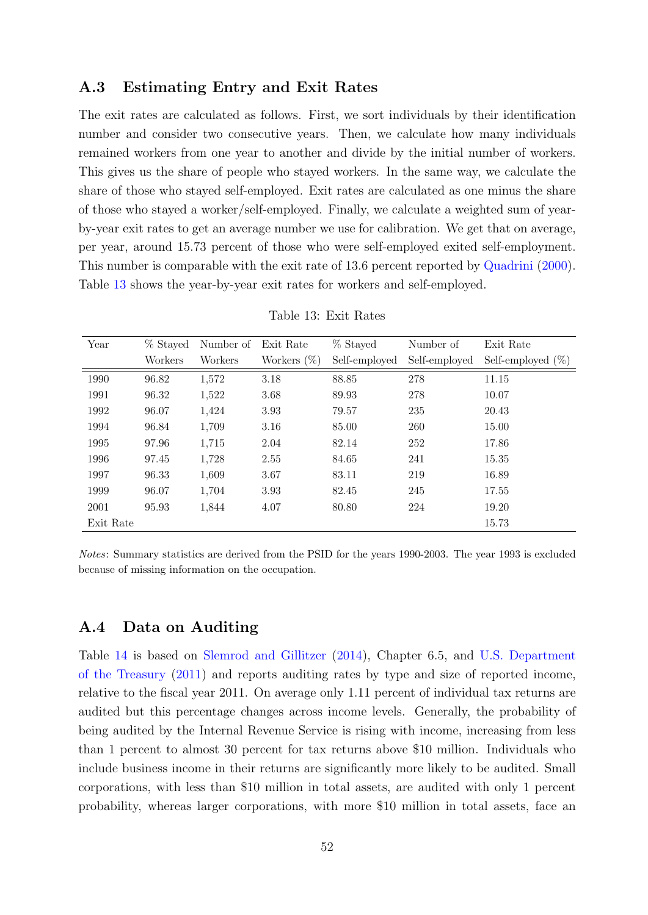#### <span id="page-52-0"></span>A.3 Estimating Entry and Exit Rates

The exit rates are calculated as follows. First, we sort individuals by their identification number and consider two consecutive years. Then, we calculate how many individuals remained workers from one year to another and divide by the initial number of workers. This gives us the share of people who stayed workers. In the same way, we calculate the share of those who stayed self-employed. Exit rates are calculated as one minus the share of those who stayed a worker/self-employed. Finally, we calculate a weighted sum of yearby-year exit rates to get an average number we use for calibration. We get that on average, per year, around 15.73 percent of those who were self-employed exited self-employment. This number is comparable with the exit rate of 13.6 percent reported by [Quadrini](#page-48-0) [\(2000\)](#page-48-0). Table 13 shows the year-by-year exit rates for workers and self-employed.

| Year      | % Stayed | Number of | Exit Rate      | % Stayed      | Number of     | Exit Rate            |
|-----------|----------|-----------|----------------|---------------|---------------|----------------------|
|           | Workers  | Workers   | Workers $(\%)$ | Self-employed | Self-employed | Self-employed $(\%)$ |
| 1990      | 96.82    | 1,572     | 3.18           | 88.85         | 278           | 11.15                |
| 1991      | 96.32    | 1,522     | 3.68           | 89.93         | 278           | 10.07                |
| 1992      | 96.07    | 1,424     | 3.93           | 79.57         | 235           | 20.43                |
| 1994      | 96.84    | 1,709     | 3.16           | 85.00         | 260           | 15.00                |
| 1995      | 97.96    | 1,715     | 2.04           | 82.14         | 252           | 17.86                |
| 1996      | 97.45    | 1,728     | 2.55           | 84.65         | 241           | 15.35                |
| 1997      | 96.33    | 1,609     | 3.67           | 83.11         | 219           | 16.89                |
| 1999      | 96.07    | 1,704     | 3.93           | 82.45         | 245           | 17.55                |
| 2001      | 95.93    | 1,844     | 4.07           | 80.80         | 224           | 19.20                |
| Exit Rate |          |           |                |               |               | 15.73                |

| Table 13: Exit Rates |
|----------------------|
|----------------------|

Notes: Summary statistics are derived from the PSID for the years 1990-2003. The year 1993 is excluded because of missing information on the occupation.

### A.4 Data on Auditing

Table [14](#page-53-0) is based on [Slemrod and Gillitzer](#page-48-0) [\(2014\)](#page-48-0), Chapter 6.5, and [U.S. Department](#page-48-0) [of the Treasury](#page-48-0) [\(2011\)](#page-48-0) and reports auditing rates by type and size of reported income, relative to the fiscal year 2011. On average only 1.11 percent of individual tax returns are audited but this percentage changes across income levels. Generally, the probability of being audited by the Internal Revenue Service is rising with income, increasing from less than 1 percent to almost 30 percent for tax returns above \$10 million. Individuals who include business income in their returns are significantly more likely to be audited. Small corporations, with less than \$10 million in total assets, are audited with only 1 percent probability, whereas larger corporations, with more \$10 million in total assets, face an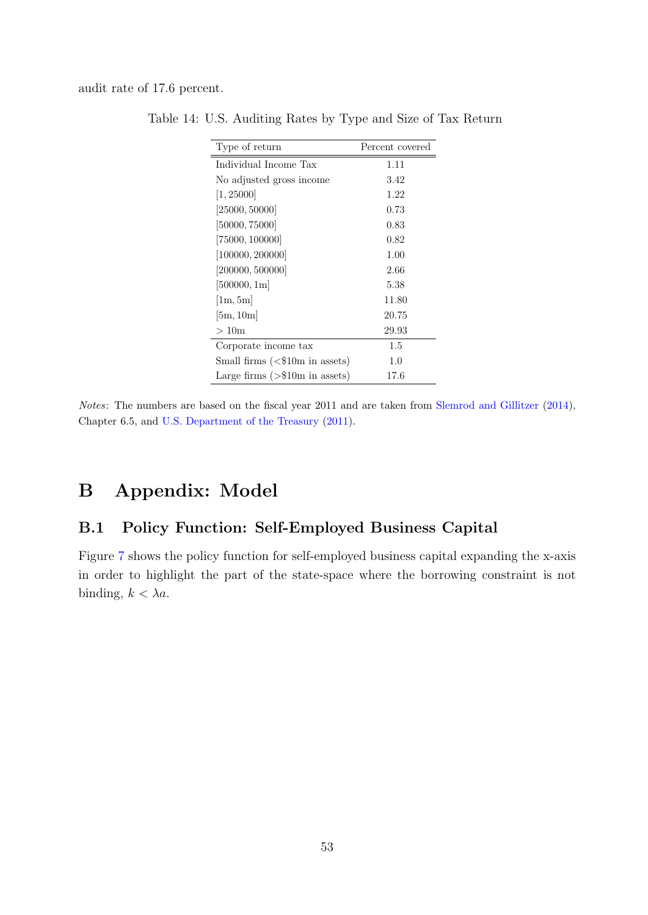<span id="page-53-0"></span>audit rate of 17.6 percent.

| Type of return                   | Percent covered |
|----------------------------------|-----------------|
| Individual Income Tax            | 1.11            |
| No adjusted gross income         | 3.42            |
| [1, 25000]                       | 1.22            |
| [25000, 50000]                   | 0.73            |
| [50000, 75000]                   | 0.83            |
| [75000, 100000]                  | 0.82            |
| [100000, 200000]                 | 1.00            |
| [200000, 500000]                 | 2.66            |
| [500000, 1m]                     | 5.38            |
| [1m, 5m]                         | 11.80           |
| [5m, 10m]                        | 20.75           |
| >10 <sub>m</sub>                 | 29.93           |
| Corporate income tax             | 1.5             |
| Small firms $(10m in assets)$    | $1.0\,$         |
| Large firms $(>\$10m$ in assets) | 17.6            |

Table 14: U.S. Auditing Rates by Type and Size of Tax Return

Notes: The numbers are based on the fiscal year 2011 and are taken from [Slemrod and Gillitzer](#page-48-0) [\(2014\)](#page-48-0), Chapter 6.5, and [U.S. Department of the Treasury](#page-48-0) [\(2011\)](#page-48-0).

# B Appendix: Model

### B.1 Policy Function: Self-Employed Business Capital

Figure [7](#page-54-0) shows the policy function for self-employed business capital expanding the x-axis in order to highlight the part of the state-space where the borrowing constraint is not binding,  $k < \lambda a$ .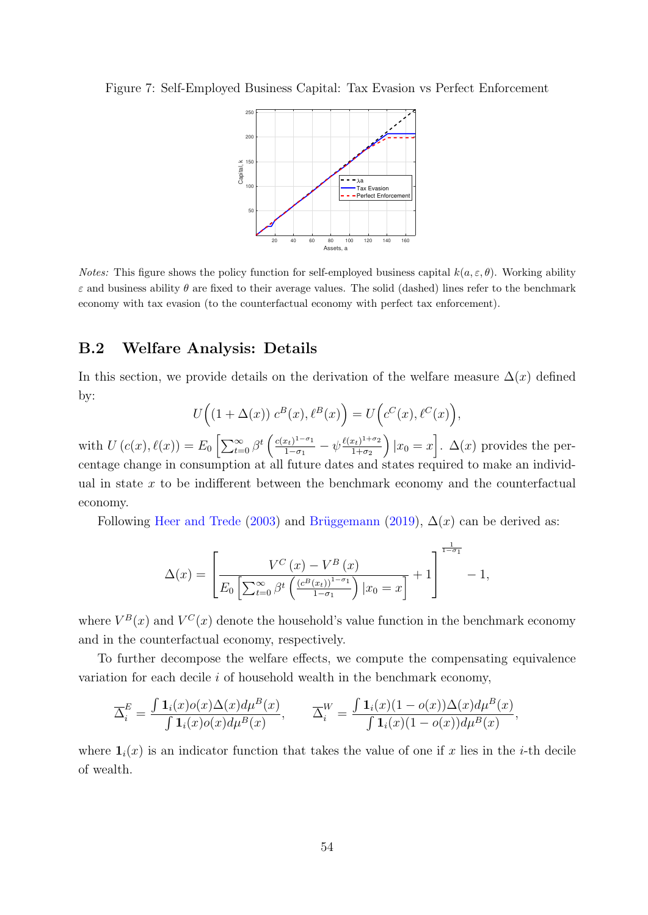<span id="page-54-0"></span>Figure 7: Self-Employed Business Capital: Tax Evasion vs Perfect Enforcement



*Notes:* This figure shows the policy function for self-employed business capital  $k(a, \varepsilon, \theta)$ . Working ability  $\varepsilon$  and business ability  $\theta$  are fixed to their average values. The solid (dashed) lines refer to the benchmark economy with tax evasion (to the counterfactual economy with perfect tax enforcement).

### B.2 Welfare Analysis: Details

In this section, we provide details on the derivation of the welfare measure  $\Delta(x)$  defined by:

$$
U\Big((1+\Delta(x))\,c^B(x),\ell^B(x)\Big) = U\Big(c^C(x),\ell^C(x)\Big),
$$

with  $U(c(x), \ell(x)) = E_0 \left[ \sum_{t=0}^{\infty} \beta^t \left( \frac{c(x_t)^{1-\sigma_1}}{1-\sigma_1} \right) \right]$  $\frac{(x_t)^{1-\sigma_1}}{1-\sigma_1} - \psi \frac{\ell(x_t)^{1+\sigma_2}}{1+\sigma_2}$  $1+\sigma_2$  $(x_0 = x)$ .  $\Delta(x)$  provides the percentage change in consumption at all future dates and states required to make an individual in state x to be indifferent between the benchmark economy and the counterfactual economy.

Following [Heer and Trede](#page-47-0) [\(2003\)](#page-47-0) and Brüggemann [\(2019\)](#page-45-0),  $\Delta(x)$  can be derived as:

$$
\Delta(x) = \left[ \frac{V^C(x) - V^B(x)}{E_0 \left[ \sum_{t=0}^{\infty} \beta^t \left( \frac{(c^B(x_t))^{1-\sigma_1}}{1-\sigma_1} \right) | x_0 = x \right]} + 1 \right]^{\frac{1}{1-\sigma_1}} - 1,
$$

where  $V^B(x)$  and  $V^C(x)$  denote the household's value function in the benchmark economy and in the counterfactual economy, respectively.

To further decompose the welfare effects, we compute the compensating equivalence variation for each decile  $i$  of household wealth in the benchmark economy,

$$
\overline{\Delta}_i^E = \frac{\int \mathbf{1}_i(x) o(x) \Delta(x) d\mu^B(x)}{\int \mathbf{1}_i(x) o(x) d\mu^B(x)}, \qquad \overline{\Delta}_i^W = \frac{\int \mathbf{1}_i(x) (1 - o(x)) \Delta(x) d\mu^B(x)}{\int \mathbf{1}_i(x) (1 - o(x)) d\mu^B(x)},
$$

where  $\mathbf{1}_i(x)$  is an indicator function that takes the value of one if x lies in the *i*-th decile of wealth.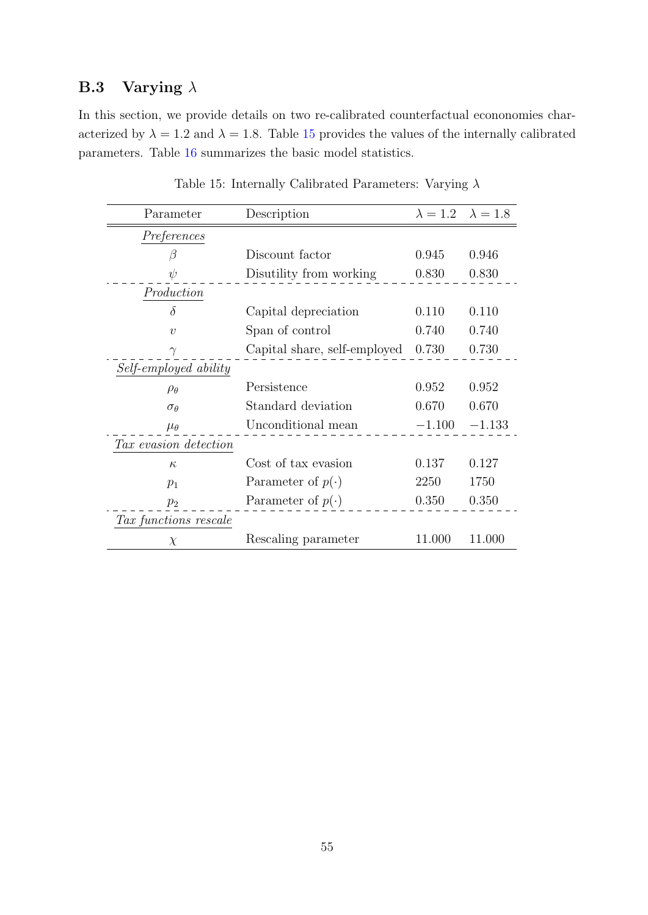### <span id="page-55-0"></span>B.3 Varying  $\lambda$

In this section, we provide details on two re-calibrated counterfactual econonomies characterized by  $\lambda = 1.2$  and  $\lambda = 1.8$ . Table 15 provides the values of the internally calibrated parameters. Table [16](#page-56-0) summarizes the basic model statistics.

| Parameter             | Description                  |          | $\lambda = 1.2 \quad \lambda = 1.8$ |
|-----------------------|------------------------------|----------|-------------------------------------|
| Preferences           |                              |          |                                     |
| 13                    | Discount factor              | 0.945    | 0.946                               |
| $\psi$                | Disutility from working      | 0.830    | 0.830                               |
| Production            |                              |          |                                     |
| $\delta$              | Capital depreciation         | 0.110    | 0.110                               |
| $\boldsymbol{v}$      | Span of control              | 0.740    | 0.740                               |
| $\gamma$              | Capital share, self-employed | 0.730    | 0.730                               |
| Self-employed ability |                              |          |                                     |
| $\rho_{\theta}$       | Persistence                  | 0.952    | 0.952                               |
| $\sigma_{\theta}$     | Standard deviation           | 0.670    | 0.670                               |
| $\mu_{\theta}$        | Unconditional mean           | $-1.100$ | $-1.133$                            |
| Tax evasion detection |                              |          |                                     |
| $\kappa$              | Cost of tax evasion          | 0.137    | 0.127                               |
| $p_1$                 | Parameter of $p(\cdot)$      | 2250     | 1750                                |
| $p_2$                 | Parameter of $p(\cdot)$      | 0.350    | 0.350                               |
| Tax functions rescale |                              |          |                                     |
| $\chi$                | Rescaling parameter          | 11.000   | 11.000                              |

Table 15: Internally Calibrated Parameters: Varying  $\lambda$